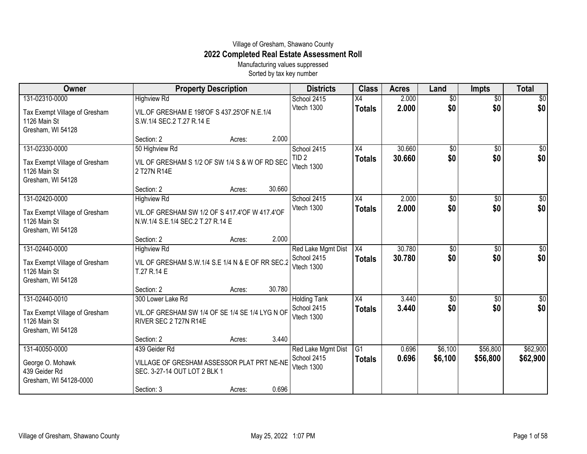## Village of Gresham, Shawano County **2022 Completed Real Estate Assessment Roll**

Manufacturing values suppressed Sorted by tax key number

| Owner                                                                                | <b>Property Description</b>                                                                                  |        |        | <b>Districts</b>                                 | <b>Class</b>                     | <b>Acres</b>     | Land                   | <b>Impts</b>           | <b>Total</b>           |
|--------------------------------------------------------------------------------------|--------------------------------------------------------------------------------------------------------------|--------|--------|--------------------------------------------------|----------------------------------|------------------|------------------------|------------------------|------------------------|
| 131-02310-0000<br>Tax Exempt Village of Gresham<br>1126 Main St<br>Gresham, WI 54128 | <b>Highview Rd</b><br>VIL.OF GRESHAM E 198'OF S 437.25'OF N.E.1/4<br>S.W.1/4 SEC.2 T.27 R.14 E               |        |        | School 2415<br>Vtech 1300                        | $\overline{X4}$<br><b>Totals</b> | 2.000<br>2.000   | $\overline{50}$<br>\$0 | $\overline{60}$<br>\$0 | $\overline{30}$<br>\$0 |
|                                                                                      | Section: 2                                                                                                   | Acres: | 2.000  |                                                  |                                  |                  |                        |                        |                        |
| 131-02330-0000<br>Tax Exempt Village of Gresham<br>1126 Main St<br>Gresham, WI 54128 | 50 Highview Rd<br>VIL OF GRESHAM S 1/2 OF SW 1/4 S & W OF RD SEC<br>2 T27N R14E                              |        |        | School 2415<br>TID <sub>2</sub><br>Vtech 1300    | X4<br><b>Totals</b>              | 30.660<br>30.660 | $\overline{50}$<br>\$0 | $\overline{50}$<br>\$0 | \$0<br>\$0             |
|                                                                                      | Section: 2                                                                                                   | Acres: | 30.660 |                                                  |                                  |                  |                        |                        |                        |
| 131-02420-0000<br>Tax Exempt Village of Gresham<br>1126 Main St<br>Gresham, WI 54128 | <b>Highview Rd</b><br>VIL. OF GRESHAM SW 1/2 OF S 417.4' OF W 417.4' OF<br>N.W.1/4 S.E.1/4 SEC.2 T.27 R.14 E |        |        | School 2415<br>Vtech 1300                        | X4<br><b>Totals</b>              | 2.000<br>2.000   | $\overline{50}$<br>\$0 | \$0<br>\$0             | \$0<br>\$0             |
|                                                                                      | Section: 2                                                                                                   | Acres: | 2.000  |                                                  |                                  |                  |                        |                        |                        |
| 131-02440-0000<br>Tax Exempt Village of Gresham<br>1126 Main St<br>Gresham, WI 54128 | <b>Highview Rd</b><br>VIL OF GRESHAM S.W.1/4 S.E 1/4 N & E OF RR SEC.2<br>T.27 R.14 E                        |        |        | Red Lake Mgmt Dist<br>School 2415<br>Vtech 1300  | $\overline{X4}$<br><b>Totals</b> | 30.780<br>30.780 | \$0<br>\$0             | $\overline{50}$<br>\$0 | \$0<br>\$0             |
|                                                                                      | Section: 2                                                                                                   | Acres: | 30.780 |                                                  |                                  |                  |                        |                        |                        |
| 131-02440-0010<br>Tax Exempt Village of Gresham<br>1126 Main St<br>Gresham, WI 54128 | 300 Lower Lake Rd<br>VIL.OF GRESHAM SW 1/4 OF SE 1/4 SE 1/4 LYG N OF<br>RIVER SEC 2 T27N R14E                |        |        | <b>Holding Tank</b><br>School 2415<br>Vtech 1300 | X4<br><b>Totals</b>              | 3.440<br>3.440   | \$0<br>\$0             | \$0<br>\$0             | \$0<br>\$0             |
| 131-40050-0000                                                                       | Section: 2<br>439 Geider Rd                                                                                  | Acres: | 3.440  | Red Lake Mgmt Dist                               | $\overline{G1}$                  | 0.696            | \$6,100                | \$56,800               | \$62,900               |
| George O. Mohawk<br>439 Geider Rd<br>Gresham, WI 54128-0000                          | VILLAGE OF GRESHAM ASSESSOR PLAT PRT NE-NE<br>SEC. 3-27-14 OUT LOT 2 BLK 1                                   |        |        | School 2415<br>Vtech 1300                        | <b>Totals</b>                    | 0.696            | \$6,100                | \$56,800               | \$62,900               |
|                                                                                      | Section: 3                                                                                                   | Acres: | 0.696  |                                                  |                                  |                  |                        |                        |                        |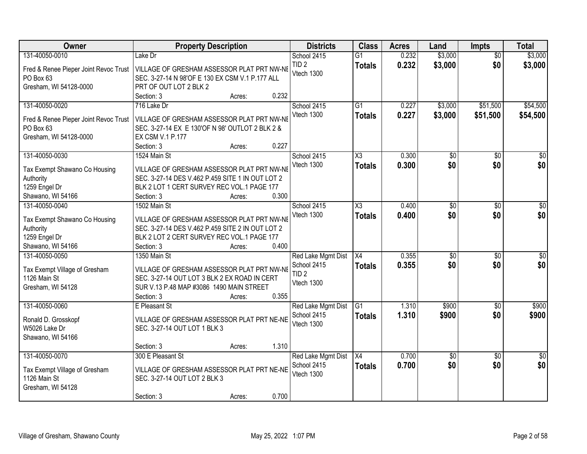| <b>Owner</b>                                                                                       | <b>Property Description</b>                                                                                                                                                                   | <b>Districts</b>                                                    | <b>Class</b>                     | <b>Acres</b>   | Land                   | <b>Impts</b>           | <b>Total</b>           |
|----------------------------------------------------------------------------------------------------|-----------------------------------------------------------------------------------------------------------------------------------------------------------------------------------------------|---------------------------------------------------------------------|----------------------------------|----------------|------------------------|------------------------|------------------------|
| 131-40050-0010                                                                                     | Lake Dr                                                                                                                                                                                       | School 2415                                                         | $\overline{G1}$                  | 0.232          | \$3,000                | $\overline{50}$        | \$3,000                |
| Fred & Renee Pieper Joint Revoc Trust<br>PO Box 63<br>Gresham, WI 54128-0000                       | VILLAGE OF GRESHAM ASSESSOR PLAT PRT NW-NE<br>SEC. 3-27-14 N 98'OF E 130 EX CSM V.1 P.177 ALL<br>PRT OF OUT LOT 2 BLK 2                                                                       | TID <sub>2</sub><br>Vtech 1300                                      | <b>Totals</b>                    | 0.232          | \$3,000                | \$0                    | \$3,000                |
|                                                                                                    | 0.232<br>Section: 3<br>Acres:                                                                                                                                                                 |                                                                     |                                  |                |                        |                        |                        |
| 131-40050-0020<br>Fred & Renee Pieper Joint Revoc Trust<br>PO Box 63<br>Gresham, WI 54128-0000     | 716 Lake Dr<br>VILLAGE OF GRESHAM ASSESSOR PLAT PRT NW-NE<br>SEC. 3-27-14 EX E 130'OF N 98' OUTLOT 2 BLK 2 &<br>EX CSM V.1 P.177                                                              | School 2415<br>Vtech 1300                                           | $\overline{G1}$<br><b>Totals</b> | 0.227<br>0.227 | \$3,000<br>\$3,000     | \$51,500<br>\$51,500   | \$54,500<br>\$54,500   |
|                                                                                                    | 0.227<br>Section: 3<br>Acres:                                                                                                                                                                 |                                                                     |                                  |                |                        |                        | $\overline{30}$        |
| 131-40050-0030<br>Tax Exempt Shawano Co Housing<br>Authority<br>1259 Engel Dr<br>Shawano, WI 54166 | 1524 Main St<br>VILLAGE OF GRESHAM ASSESSOR PLAT PRT NW-NE<br>SEC. 3-27-14 DES V.462 P.459 SITE 1 IN OUT LOT 2<br>BLK 2 LOT 1 CERT SURVEY REC VOL.1 PAGE 177<br>0.300<br>Section: 3<br>Acres: | School 2415<br>Vtech 1300                                           | X3<br><b>Totals</b>              | 0.300<br>0.300 | \$0<br>\$0             | \$0<br>\$0             | \$0                    |
| 131-40050-0040                                                                                     | 1502 Main St                                                                                                                                                                                  | School 2415                                                         | X3                               | 0.400          | $\overline{50}$        | $\sqrt{6}$             | $\sqrt{50}$            |
| Tax Exempt Shawano Co Housing<br>Authority<br>1259 Engel Dr<br>Shawano, WI 54166                   | VILLAGE OF GRESHAM ASSESSOR PLAT PRT NW-NE<br>SEC. 3-27-14 DES V.462 P.459 SITE 2 IN OUT LOT 2<br>BLK 2 LOT 2 CERT SURVEY REC VOL.1 PAGE 177<br>0.400<br>Section: 3<br>Acres:                 | Vtech 1300                                                          | <b>Totals</b>                    | 0.400          | \$0                    | \$0                    | \$0                    |
| 131-40050-0050<br>Tax Exempt Village of Gresham<br>1126 Main St<br>Gresham, WI 54128               | 1350 Main St<br>VILLAGE OF GRESHAM ASSESSOR PLAT PRT NW-NE<br>SEC. 3-27-14 OUT LOT 3 BLK 2 EX ROAD IN CERT<br>SUR V.13 P.48 MAP #3086 1490 MAIN STREET<br>0.355<br>Section: 3<br>Acres:       | Red Lake Mgmt Dist<br>School 2415<br>TID <sub>2</sub><br>Vtech 1300 | X4<br><b>Totals</b>              | 0.355<br>0.355 | \$0<br>\$0             | \$0<br>\$0             | $\sqrt{50}$<br>\$0     |
| 131-40050-0060<br>Ronald D. Grosskopf<br>W5026 Lake Dr<br>Shawano, WI 54166                        | E Pleasant St<br>VILLAGE OF GRESHAM ASSESSOR PLAT PRT NE-NE<br>SEC. 3-27-14 OUT LOT 1 BLK 3<br>1.310<br>Section: 3<br>Acres:                                                                  | Red Lake Mgmt Dist<br>School 2415<br>Vtech 1300                     | $\overline{G1}$<br><b>Totals</b> | 1.310<br>1.310 | \$900<br>\$900         | \$0<br>\$0             | \$900<br>\$900         |
| 131-40050-0070<br>Tax Exempt Village of Gresham<br>1126 Main St<br>Gresham, WI 54128               | 300 E Pleasant St<br>VILLAGE OF GRESHAM ASSESSOR PLAT PRT NE-NE<br>SEC. 3-27-14 OUT LOT 2 BLK 3<br>0.700<br>Section: 3<br>Acres:                                                              | Red Lake Mgmt Dist<br>School 2415<br>Vtech 1300                     | X4<br><b>Totals</b>              | 0.700<br>0.700 | $\overline{60}$<br>\$0 | $\overline{30}$<br>\$0 | $\overline{50}$<br>\$0 |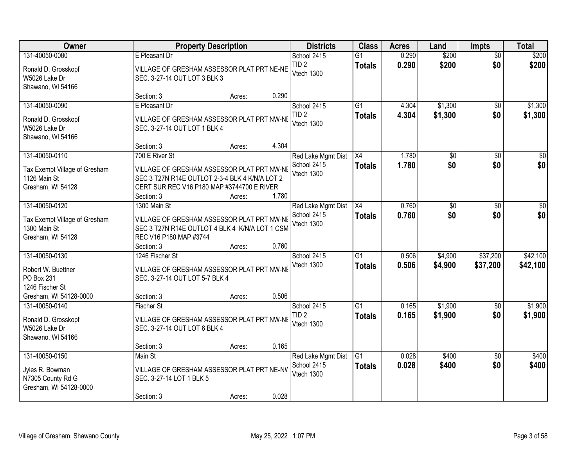| Owner                                                                                           |                                                                               | <b>Property Description</b>                                                                                                                          |                | <b>Districts</b>                                | <b>Class</b>                     | <b>Acres</b>   | Land               | <b>Impts</b>           | <b>Total</b>           |
|-------------------------------------------------------------------------------------------------|-------------------------------------------------------------------------------|------------------------------------------------------------------------------------------------------------------------------------------------------|----------------|-------------------------------------------------|----------------------------------|----------------|--------------------|------------------------|------------------------|
| 131-40050-0080                                                                                  | E Pleasant Dr                                                                 |                                                                                                                                                      |                | School 2415                                     | $\overline{G1}$                  | 0.290          | \$200              | $\overline{50}$        | \$200                  |
| Ronald D. Grosskopf<br>W5026 Lake Dr<br>Shawano, WI 54166                                       | SEC. 3-27-14 OUT LOT 3 BLK 3                                                  | VILLAGE OF GRESHAM ASSESSOR PLAT PRT NE-NE                                                                                                           |                | TID <sub>2</sub><br>Vtech 1300                  | <b>Totals</b>                    | 0.290          | \$200              | \$0                    | \$200                  |
|                                                                                                 | Section: 3                                                                    | Acres:                                                                                                                                               | 0.290          |                                                 |                                  |                |                    |                        |                        |
| 131-40050-0090<br>Ronald D. Grosskopf<br>W5026 Lake Dr<br>Shawano, WI 54166                     | E Pleasant Dr<br>SEC. 3-27-14 OUT LOT 1 BLK 4                                 | VILLAGE OF GRESHAM ASSESSOR PLAT PRT NW-NE                                                                                                           |                | School 2415<br>TID <sub>2</sub><br>Vtech 1300   | $\overline{G1}$<br><b>Totals</b> | 4.304<br>4.304 | \$1,300<br>\$1,300 | $\overline{50}$<br>\$0 | \$1,300<br>\$1,300     |
|                                                                                                 | Section: 3                                                                    | Acres:                                                                                                                                               | 4.304          |                                                 |                                  |                |                    |                        |                        |
| 131-40050-0110<br>Tax Exempt Village of Gresham<br>1126 Main St<br>Gresham, WI 54128            | 700 E River St<br>Section: 3                                                  | VILLAGE OF GRESHAM ASSESSOR PLAT PRT NW-NE<br>SEC 3 T27N R14E OUTLOT 2-3-4 BLK 4 K/N/A LOT 2<br>CERT SUR REC V16 P180 MAP #3744700 E RIVER<br>Acres: | 1.780          | Red Lake Mgmt Dist<br>School 2415<br>Vtech 1300 | X4<br><b>Totals</b>              | 1.780<br>1.780 | \$0<br>\$0         | \$0<br>\$0             | $\overline{30}$<br>\$0 |
| 131-40050-0120<br>Tax Exempt Village of Gresham<br>1300 Main St<br>Gresham, WI 54128            | 1300 Main St<br>REC V16 P180 MAP #3744                                        | VILLAGE OF GRESHAM ASSESSOR PLAT PRT NW-NE<br>SEC 3 T27N R14E OUTLOT 4 BLK 4 K/N/A LOT 1 CSM                                                         |                | Red Lake Mgmt Dist<br>School 2415<br>Vtech 1300 | X4<br><b>Totals</b>              | 0.760<br>0.760 | \$0<br>\$0         | $\sqrt{6}$<br>\$0      | $\sqrt{50}$<br>\$0     |
| 131-40050-0130<br>Robert W. Buettner<br>PO Box 231<br>1246 Fischer St<br>Gresham, WI 54128-0000 | Section: 3<br>1246 Fischer St<br>SEC. 3-27-14 OUT LOT 5-7 BLK 4<br>Section: 3 | Acres:<br>VILLAGE OF GRESHAM ASSESSOR PLAT PRT NW-NI<br>Acres:                                                                                       | 0.760<br>0.506 | School 2415<br>Vtech 1300                       | $\overline{G1}$<br><b>Totals</b> | 0.506<br>0.506 | \$4,900<br>\$4,900 | \$37,200<br>\$37,200   | \$42,100<br>\$42,100   |
| 131-40050-0140<br>Ronald D. Grosskopf<br>W5026 Lake Dr<br>Shawano, WI 54166                     | <b>Fischer St</b><br>SEC. 3-27-14 OUT LOT 6 BLK 4<br>Section: 3               | VILLAGE OF GRESHAM ASSESSOR PLAT PRT NW-NE<br>Acres:                                                                                                 | 0.165          | School 2415<br>TID <sub>2</sub><br>Vtech 1300   | $\overline{G1}$<br><b>Totals</b> | 0.165<br>0.165 | \$1,900<br>\$1,900 | $\overline{30}$<br>\$0 | \$1,900<br>\$1,900     |
| 131-40050-0150<br>Jyles R. Bowman<br>N7305 County Rd G<br>Gresham, WI 54128-0000                | Main St<br>SEC. 3-27-14 LOT 1 BLK 5<br>Section: 3                             | VILLAGE OF GRESHAM ASSESSOR PLAT PRT NE-NV<br>Acres:                                                                                                 | 0.028          | Red Lake Mgmt Dist<br>School 2415<br>Vtech 1300 | G1<br><b>Totals</b>              | 0.028<br>0.028 | \$400<br>\$400     | $\overline{50}$<br>\$0 | \$400<br>\$400         |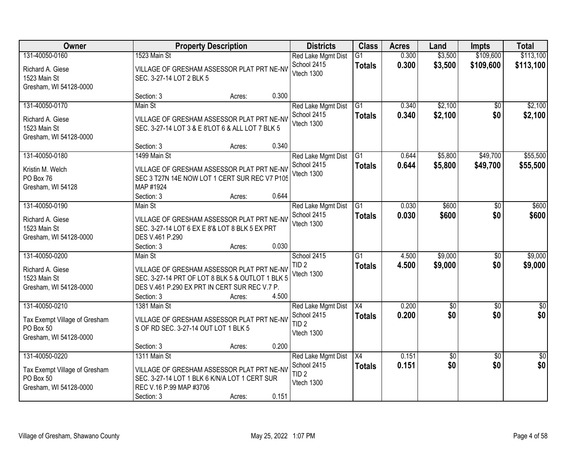| Owner                                                                                  |                                                                                                                                                                          | <b>Property Description</b> |       | <b>Districts</b>                                                    | <b>Class</b>                     | <b>Acres</b>   | Land                   | <b>Impts</b>           | <b>Total</b>           |
|----------------------------------------------------------------------------------------|--------------------------------------------------------------------------------------------------------------------------------------------------------------------------|-----------------------------|-------|---------------------------------------------------------------------|----------------------------------|----------------|------------------------|------------------------|------------------------|
| 131-40050-0160<br>Richard A. Giese<br>1523 Main St<br>Gresham, WI 54128-0000           | 1523 Main St<br>VILLAGE OF GRESHAM ASSESSOR PLAT PRT NE-NV<br>SEC. 3-27-14 LOT 2 BLK 5                                                                                   |                             |       | Red Lake Mgmt Dist<br>School 2415<br>Vtech 1300                     | $\overline{G1}$<br><b>Totals</b> | 0.300<br>0.300 | \$3,500<br>\$3,500     | \$109,600<br>\$109,600 | \$113,100<br>\$113,100 |
|                                                                                        | Section: 3                                                                                                                                                               | Acres:                      | 0.300 |                                                                     |                                  |                |                        |                        |                        |
| 131-40050-0170<br>Richard A. Giese<br>1523 Main St<br>Gresham, WI 54128-0000           | Main St<br>VILLAGE OF GRESHAM ASSESSOR PLAT PRT NE-NV<br>SEC. 3-27-14 LOT 3 & E 8'LOT 6 & ALL LOT 7 BLK 5                                                                |                             |       | Red Lake Mgmt Dist<br>School 2415<br>Vtech 1300                     | $\overline{G1}$<br><b>Totals</b> | 0.340<br>0.340 | \$2,100<br>\$2,100     | $\overline{50}$<br>\$0 | \$2,100<br>\$2,100     |
|                                                                                        | Section: 3                                                                                                                                                               | Acres:                      | 0.340 |                                                                     |                                  |                |                        |                        |                        |
| 131-40050-0180<br>Kristin M. Welch<br>PO Box 76<br>Gresham, WI 54128                   | 1499 Main St<br>VILLAGE OF GRESHAM ASSESSOR PLAT PRT NE-NV<br>SEC 3 T27N 14E NOW LOT 1 CERT SUR REC V7 P105<br>MAP #1924                                                 |                             |       | Red Lake Mgmt Dist<br>School 2415<br>Vtech 1300                     | $\overline{G1}$<br><b>Totals</b> | 0.644<br>0.644 | \$5,800<br>\$5,800     | \$49,700<br>\$49,700   | \$55,500<br>\$55,500   |
|                                                                                        | Section: 3                                                                                                                                                               | Acres:                      | 0.644 |                                                                     |                                  |                |                        |                        |                        |
| 131-40050-0190<br>Richard A. Giese<br>1523 Main St<br>Gresham, WI 54128-0000           | Main St<br>VILLAGE OF GRESHAM ASSESSOR PLAT PRT NE-NV<br>SEC. 3-27-14 LOT 6 EX E 8'& LOT 8 BLK 5 EX PRT<br>DES V.461 P.290                                               |                             |       | Red Lake Mgmt Dist<br>School 2415<br>Vtech 1300                     | G1<br><b>Totals</b>              | 0.030<br>0.030 | \$600<br>\$600         | \$0<br>\$0             | \$600<br>\$600         |
|                                                                                        | Section: 3                                                                                                                                                               | Acres:                      | 0.030 |                                                                     |                                  |                |                        |                        |                        |
| 131-40050-0200<br>Richard A. Giese<br>1523 Main St<br>Gresham, WI 54128-0000           | Main St<br>VILLAGE OF GRESHAM ASSESSOR PLAT PRT NE-NV<br>SEC. 3-27-14 PRT OF LOT 8 BLK 5 & OUTLOT 1 BLK 5<br>DES V.461 P.290 EX PRT IN CERT SUR REC V.7 P.<br>Section: 3 | Acres:                      | 4.500 | School 2415<br>TID <sub>2</sub><br>Vtech 1300                       | $\overline{G1}$<br><b>Totals</b> | 4.500<br>4.500 | \$9,000<br>\$9,000     | $\overline{50}$<br>\$0 | \$9,000<br>\$9,000     |
| 131-40050-0210<br>Tax Exempt Village of Gresham<br>PO Box 50<br>Gresham, WI 54128-0000 | 1381 Main St<br>VILLAGE OF GRESHAM ASSESSOR PLAT PRT NE-NV<br>S OF RD SEC. 3-27-14 OUT LOT 1 BLK 5<br>Section: 3                                                         | Acres:                      | 0.200 | Red Lake Mgmt Dist<br>School 2415<br>TID <sub>2</sub><br>Vtech 1300 | X4<br><b>Totals</b>              | 0.200<br>0.200 | $\sqrt{$0}$<br>\$0     | $\sqrt{6}$<br>\$0      | $\frac{1}{6}$<br>\$0   |
| 131-40050-0220<br>Tax Exempt Village of Gresham<br>PO Box 50<br>Gresham, WI 54128-0000 | 1311 Main St<br>VILLAGE OF GRESHAM ASSESSOR PLAT PRT NE-NV<br>SEC. 3-27-14 LOT 1 BLK 6 K/N/A LOT 1 CERT SUR<br>REC V.16 P.99 MAP #3706<br>Section: 3                     | Acres:                      | 0.151 | Red Lake Mgmt Dist<br>School 2415<br>TID <sub>2</sub><br>Vtech 1300 | $\overline{X4}$<br><b>Totals</b> | 0.151<br>0.151 | $\overline{50}$<br>\$0 | $\overline{50}$<br>\$0 | $\frac{1}{2}$<br>\$0   |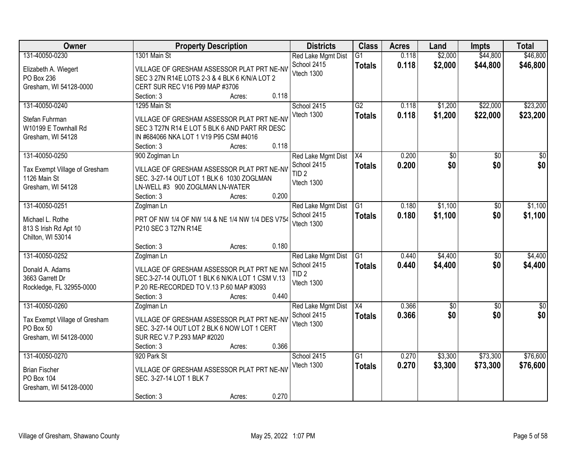| <b>Owner</b>                               | <b>Property Description</b>                                                                 |        |       | <b>Districts</b>                  | <b>Class</b>    | <b>Acres</b> | Land            | <b>Impts</b>    | <b>Total</b> |
|--------------------------------------------|---------------------------------------------------------------------------------------------|--------|-------|-----------------------------------|-----------------|--------------|-----------------|-----------------|--------------|
| 131-40050-0230                             | 1301 Main St                                                                                |        |       | Red Lake Mgmt Dist                | $\overline{G1}$ | 0.118        | \$2,000         | \$44,800        | \$46,800     |
| Elizabeth A. Wiegert                       | VILLAGE OF GRESHAM ASSESSOR PLAT PRT NE-NV                                                  |        |       | School 2415                       | <b>Totals</b>   | 0.118        | \$2,000         | \$44,800        | \$46,800     |
| PO Box 236                                 | SEC 3 27N R14E LOTS 2-3 & 4 BLK 6 K/N/A LOT 2                                               |        |       | Vtech 1300                        |                 |              |                 |                 |              |
| Gresham, WI 54128-0000                     | CERT SUR REC V16 P99 MAP #3706                                                              |        |       |                                   |                 |              |                 |                 |              |
|                                            | Section: 3                                                                                  | Acres: | 0.118 |                                   |                 |              |                 |                 |              |
| 131-40050-0240                             | 1295 Main St                                                                                |        |       | School 2415                       | G2              | 0.118        | \$1,200         | \$22,000        | \$23,200     |
|                                            |                                                                                             |        |       | Vtech 1300                        | <b>Totals</b>   | 0.118        | \$1,200         | \$22,000        | \$23,200     |
| Stefan Fuhrman<br>W10199 E Townhall Rd     | VILLAGE OF GRESHAM ASSESSOR PLAT PRT NE-NV<br>SEC 3 T27N R14 E LOT 5 BLK 6 AND PART RR DESC |        |       |                                   |                 |              |                 |                 |              |
| Gresham, WI 54128                          | IN #684066 NKA LOT 1 V19 P95 CSM #4016                                                      |        |       |                                   |                 |              |                 |                 |              |
|                                            | Section: 3                                                                                  | Acres: | 0.118 |                                   |                 |              |                 |                 |              |
| 131-40050-0250                             | 900 Zoglman Ln                                                                              |        |       | Red Lake Mgmt Dist                | X4              | 0.200        | \$0             | \$0             | \$0          |
|                                            |                                                                                             |        |       | School 2415                       | <b>Totals</b>   | 0.200        | \$0             | \$0             | \$0          |
| Tax Exempt Village of Gresham              | VILLAGE OF GRESHAM ASSESSOR PLAT PRT NE-NV                                                  |        |       | TID <sub>2</sub>                  |                 |              |                 |                 |              |
| 1126 Main St                               | SEC. 3-27-14 OUT LOT 1 BLK 6 1030 ZOGLMAN                                                   |        |       | Vtech 1300                        |                 |              |                 |                 |              |
| Gresham, WI 54128                          | LN-WELL #3 900 ZOGLMAN LN-WATER                                                             |        |       |                                   |                 |              |                 |                 |              |
|                                            | Section: 3                                                                                  | Acres: | 0.200 |                                   |                 |              |                 |                 |              |
| 131-40050-0251                             | Zoglman Ln                                                                                  |        |       | Red Lake Mgmt Dist<br>School 2415 | G1              | 0.180        | \$1,100         | $\overline{50}$ | \$1,100      |
| Michael L. Rothe                           | PRT OF NW 1/4 OF NW 1/4 & NE 1/4 NW 1/4 DES V754                                            |        |       | Vtech 1300                        | <b>Totals</b>   | 0.180        | \$1,100         | \$0             | \$1,100      |
| 813 S Irish Rd Apt 10                      | P210 SEC 3 T27N R14E                                                                        |        |       |                                   |                 |              |                 |                 |              |
| Chilton, WI 53014                          |                                                                                             |        |       |                                   |                 |              |                 |                 |              |
|                                            | Section: 3                                                                                  | Acres: | 0.180 |                                   |                 |              |                 |                 |              |
| 131-40050-0252                             | Zoglman Ln                                                                                  |        |       | Red Lake Mgmt Dist                | $\overline{G1}$ | 0.440        | \$4,400         | \$0             | \$4,400      |
| Donald A. Adams                            | VILLAGE OF GRESHAM ASSESSOR PLAT PRT NE NW                                                  |        |       | School 2415                       | <b>Totals</b>   | 0.440        | \$4,400         | \$0             | \$4,400      |
| 3663 Garrett Dr                            | SEC.3-27-14 OUTLOT 1 BLK 6 N/K/A LOT 1 CSM V.13                                             |        |       | TID <sub>2</sub>                  |                 |              |                 |                 |              |
| Rockledge, FL 32955-0000                   | P.20 RE-RECORDED TO V.13 P.60 MAP #3093                                                     |        |       | Vtech 1300                        |                 |              |                 |                 |              |
|                                            | Section: 3                                                                                  | Acres: | 0.440 |                                   |                 |              |                 |                 |              |
| 131-40050-0260                             | Zoglman Ln                                                                                  |        |       | Red Lake Mgmt Dist                | X4              | 0.366        | $\overline{50}$ | \$0             | $\sqrt{30}$  |
|                                            | VILLAGE OF GRESHAM ASSESSOR PLAT PRT NE-NV                                                  |        |       | School 2415                       | <b>Totals</b>   | 0.366        | \$0             | \$0             | \$0          |
| Tax Exempt Village of Gresham<br>PO Box 50 | SEC. 3-27-14 OUT LOT 2 BLK 6 NOW LOT 1 CERT                                                 |        |       | Vtech 1300                        |                 |              |                 |                 |              |
| Gresham, WI 54128-0000                     | SUR REC V.7 P.293 MAP #2020                                                                 |        |       |                                   |                 |              |                 |                 |              |
|                                            | Section: 3                                                                                  | Acres: | 0.366 |                                   |                 |              |                 |                 |              |
| 131-40050-0270                             | 920 Park St                                                                                 |        |       | School 2415                       | $\overline{G1}$ | 0.270        | \$3,300         | \$73,300        | \$76,600     |
|                                            |                                                                                             |        |       | Vtech 1300                        | <b>Totals</b>   | 0.270        | \$3,300         | \$73,300        | \$76,600     |
| <b>Brian Fischer</b>                       | VILLAGE OF GRESHAM ASSESSOR PLAT PRT NE-NV                                                  |        |       |                                   |                 |              |                 |                 |              |
| PO Box 104                                 | SEC. 3-27-14 LOT 1 BLK 7                                                                    |        |       |                                   |                 |              |                 |                 |              |
| Gresham, WI 54128-0000                     |                                                                                             |        |       |                                   |                 |              |                 |                 |              |
|                                            | Section: 3                                                                                  | Acres: | 0.270 |                                   |                 |              |                 |                 |              |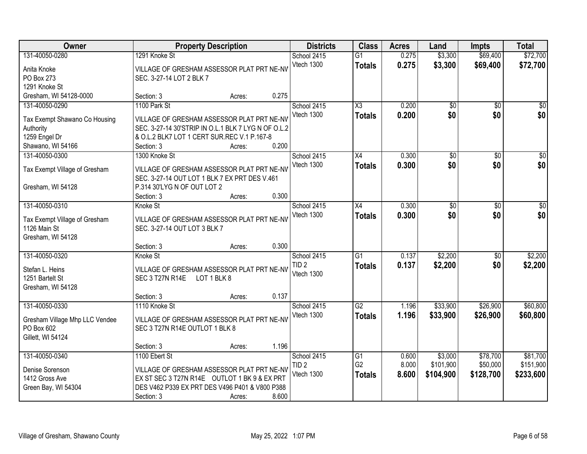| Owner                                |                                | <b>Property Description</b>                                                                       |       | <b>Districts</b> | <b>Class</b>           | <b>Acres</b> | Land            | <b>Impts</b>    | <b>Total</b>    |
|--------------------------------------|--------------------------------|---------------------------------------------------------------------------------------------------|-------|------------------|------------------------|--------------|-----------------|-----------------|-----------------|
| 131-40050-0280                       | 1291 Knoke St                  |                                                                                                   |       | School 2415      | $\overline{G1}$        | 0.275        | \$3,300         | \$69,400        | \$72,700        |
| Anita Knoke                          |                                | VILLAGE OF GRESHAM ASSESSOR PLAT PRT NE-NV                                                        |       | Vtech 1300       | <b>Totals</b>          | 0.275        | \$3,300         | \$69,400        | \$72,700        |
| PO Box 273                           | SEC. 3-27-14 LOT 2 BLK 7       |                                                                                                   |       |                  |                        |              |                 |                 |                 |
| 1291 Knoke St                        |                                |                                                                                                   |       |                  |                        |              |                 |                 |                 |
| Gresham, WI 54128-0000               | Section: 3                     | Acres:                                                                                            | 0.275 |                  |                        |              |                 |                 |                 |
| 131-40050-0290                       | 1100 Park St                   |                                                                                                   |       | School 2415      | $\overline{\text{X3}}$ | 0.200        | \$0             | $\overline{50}$ | \$0             |
|                                      |                                |                                                                                                   |       | Vtech 1300       | <b>Totals</b>          | 0.200        | \$0             | \$0             | \$0             |
| Tax Exempt Shawano Co Housing        |                                | VILLAGE OF GRESHAM ASSESSOR PLAT PRT NE-NV<br>SEC. 3-27-14 30'STRIP IN O.L.1 BLK 7 LYG N OF O.L.2 |       |                  |                        |              |                 |                 |                 |
| Authority<br>1259 Engel Dr           |                                | & O.L.2 BLK7 LOT 1 CERT SUR.REC V.1 P.167-8                                                       |       |                  |                        |              |                 |                 |                 |
| Shawano, WI 54166                    | Section: 3                     | Acres:                                                                                            | 0.200 |                  |                        |              |                 |                 |                 |
| 131-40050-0300                       | 1300 Knoke St                  |                                                                                                   |       | School 2415      | $\overline{X4}$        | 0.300        | $\overline{50}$ | $\overline{50}$ | $\overline{30}$ |
|                                      |                                |                                                                                                   |       | Vtech 1300       |                        | 0.300        | \$0             | \$0             | \$0             |
| Tax Exempt Village of Gresham        |                                | VILLAGE OF GRESHAM ASSESSOR PLAT PRT NE-NV                                                        |       |                  | <b>Totals</b>          |              |                 |                 |                 |
|                                      |                                | SEC. 3-27-14 OUT LOT 1 BLK 7 EX PRT DES V.461                                                     |       |                  |                        |              |                 |                 |                 |
| Gresham, WI 54128                    | P.314 30'LYG N OF OUT LOT 2    |                                                                                                   |       |                  |                        |              |                 |                 |                 |
|                                      | Section: 3                     | Acres:                                                                                            | 0.300 |                  |                        |              |                 |                 |                 |
| 131-40050-0310                       | Knoke St                       |                                                                                                   |       | School 2415      | X4                     | 0.300        | \$0             | \$0             | \$0             |
| Tax Exempt Village of Gresham        |                                | VILLAGE OF GRESHAM ASSESSOR PLAT PRT NE-NV                                                        |       | Vtech 1300       | <b>Totals</b>          | 0.300        | \$0             | \$0             | \$0             |
| 1126 Main St                         | SEC. 3-27-14 OUT LOT 3 BLK 7   |                                                                                                   |       |                  |                        |              |                 |                 |                 |
| Gresham, WI 54128                    |                                |                                                                                                   |       |                  |                        |              |                 |                 |                 |
|                                      | Section: 3                     | Acres:                                                                                            | 0.300 |                  |                        |              |                 |                 |                 |
| 131-40050-0320                       | Knoke St                       |                                                                                                   |       | School 2415      | $\overline{G1}$        | 0.137        | \$2,200         | $\overline{50}$ | \$2,200         |
|                                      |                                |                                                                                                   |       | TID <sub>2</sub> | <b>Totals</b>          | 0.137        | \$2,200         | \$0             | \$2,200         |
| Stefan L. Heins                      |                                | VILLAGE OF GRESHAM ASSESSOR PLAT PRT NE-NV                                                        |       | Vtech 1300       |                        |              |                 |                 |                 |
| 1251 Bartelt St<br>Gresham, WI 54128 | SEC 3 T27N R14E                | LOT 1 BLK 8                                                                                       |       |                  |                        |              |                 |                 |                 |
|                                      | Section: 3                     | Acres:                                                                                            | 0.137 |                  |                        |              |                 |                 |                 |
| 131-40050-0330                       | 1110 Knoke St                  |                                                                                                   |       | School 2415      | G2                     | 1.196        | \$33,900        | \$26,900        | \$60,800        |
|                                      |                                |                                                                                                   |       | Vtech 1300       | <b>Totals</b>          | 1.196        | \$33,900        | \$26,900        | \$60,800        |
| Gresham Village Mhp LLC Vendee       |                                | VILLAGE OF GRESHAM ASSESSOR PLAT PRT NE-NV                                                        |       |                  |                        |              |                 |                 |                 |
| PO Box 602                           | SEC 3 T27N R14E OUTLOT 1 BLK 8 |                                                                                                   |       |                  |                        |              |                 |                 |                 |
| Gillett, WI 54124                    |                                |                                                                                                   |       |                  |                        |              |                 |                 |                 |
|                                      | Section: 3                     | Acres:                                                                                            | 1.196 |                  |                        |              |                 |                 |                 |
| 131-40050-0340                       | 1100 Ebert St                  |                                                                                                   |       | School 2415      | $\overline{G1}$        | 0.600        | \$3,000         | \$78,700        | \$81,700        |
| Denise Sorenson                      |                                | VILLAGE OF GRESHAM ASSESSOR PLAT PRT NE-NV                                                        |       | TID <sub>2</sub> | G <sub>2</sub>         | 8.000        | \$101,900       | \$50,000        | \$151,900       |
| 1412 Gross Ave                       |                                | EX ST SEC 3 T27N R14E OUTLOT 1 BK 9 & EX PRT                                                      |       | Vtech 1300       | <b>Totals</b>          | 8.600        | \$104,900       | \$128,700       | \$233,600       |
| Green Bay, WI 54304                  |                                | DES V462 P339 EX PRT DES V496 P401 & V800 P388                                                    |       |                  |                        |              |                 |                 |                 |
|                                      | Section: 3                     | Acres:                                                                                            | 8.600 |                  |                        |              |                 |                 |                 |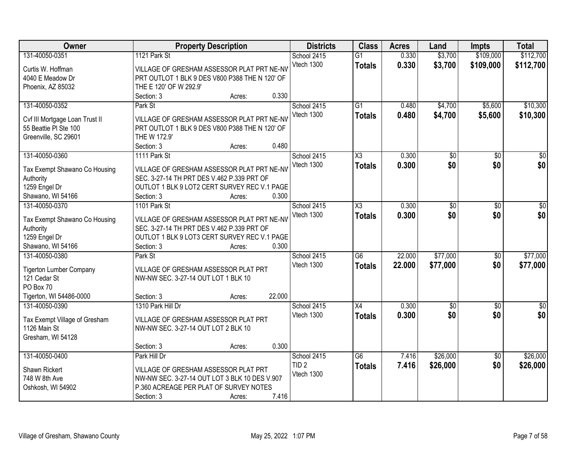| Owner                               |                                                            | <b>Property Description</b> |        | <b>Districts</b> | <b>Class</b>        | <b>Acres</b> | Land            | <b>Impts</b>    | <b>Total</b> |
|-------------------------------------|------------------------------------------------------------|-----------------------------|--------|------------------|---------------------|--------------|-----------------|-----------------|--------------|
| 131-40050-0351                      | 1121 Park St                                               |                             |        | School 2415      | $\overline{G1}$     | 0.330        | \$3,700         | \$109,000       | \$112,700    |
| Curtis W. Hoffman                   | VILLAGE OF GRESHAM ASSESSOR PLAT PRT NE-NV                 |                             |        | Vtech 1300       | <b>Totals</b>       | 0.330        | \$3,700         | \$109,000       | \$112,700    |
| 4040 E Meadow Dr                    | PRT OUTLOT 1 BLK 9 DES V800 P388 THE N 120' OF             |                             |        |                  |                     |              |                 |                 |              |
| Phoenix, AZ 85032                   | THE E 120' OF W 292.9'                                     |                             |        |                  |                     |              |                 |                 |              |
|                                     | Section: 3                                                 | Acres:                      | 0.330  |                  |                     |              |                 |                 |              |
| 131-40050-0352                      | Park St                                                    |                             |        | School 2415      | $\overline{G1}$     | 0.480        | \$4,700         | \$5,600         | \$10,300     |
|                                     |                                                            |                             |        | Vtech 1300       | <b>Totals</b>       | 0.480        | \$4,700         | \$5,600         | \$10,300     |
| Cvf III Mortgage Loan Trust II      | VILLAGE OF GRESHAM ASSESSOR PLAT PRT NE-NV                 |                             |        |                  |                     |              |                 |                 |              |
| 55 Beattie PI Ste 100               | PRT OUTLOT 1 BLK 9 DES V800 P388 THE N 120' OF             |                             |        |                  |                     |              |                 |                 |              |
| Greenville, SC 29601                | THE W 172.9'                                               |                             | 0.480  |                  |                     |              |                 |                 |              |
|                                     | Section: 3                                                 | Acres:                      |        |                  |                     |              |                 |                 |              |
| 131-40050-0360                      | 1111 Park St                                               |                             |        | School 2415      | $\overline{\chi_3}$ | 0.300        | $\overline{50}$ | \$0             | $\sqrt{50}$  |
| Tax Exempt Shawano Co Housing       | VILLAGE OF GRESHAM ASSESSOR PLAT PRT NE-NV                 |                             |        | Vtech 1300       | <b>Totals</b>       | 0.300        | \$0             | \$0             | \$0          |
| Authority                           | SEC. 3-27-14 TH PRT DES V.462 P.339 PRT OF                 |                             |        |                  |                     |              |                 |                 |              |
| 1259 Engel Dr                       | OUTLOT 1 BLK 9 LOT2 CERT SURVEY REC V.1 PAGE               |                             |        |                  |                     |              |                 |                 |              |
| Shawano, WI 54166                   | Section: 3                                                 | Acres:                      | 0.300  |                  |                     |              |                 |                 |              |
| 131-40050-0370                      | 1101 Park St                                               |                             |        | School 2415      | X3                  | 0.300        | \$0             | \$0             | $\sqrt{50}$  |
|                                     |                                                            |                             |        | Vtech 1300       | <b>Totals</b>       | 0.300        | \$0             | \$0             | \$0          |
| Tax Exempt Shawano Co Housing       | VILLAGE OF GRESHAM ASSESSOR PLAT PRT NE-NV                 |                             |        |                  |                     |              |                 |                 |              |
| Authority                           | SEC. 3-27-14 TH PRT DES V.462 P.339 PRT OF                 |                             |        |                  |                     |              |                 |                 |              |
| 1259 Engel Dr                       | OUTLOT 1 BLK 9 LOT3 CERT SURVEY REC V.1 PAGE<br>Section: 3 |                             | 0.300  |                  |                     |              |                 |                 |              |
| Shawano, WI 54166<br>131-40050-0380 |                                                            | Acres:                      |        |                  | $\overline{G6}$     | 22.000       | \$77,000        |                 |              |
|                                     | Park St                                                    |                             |        | School 2415      |                     |              |                 | $\overline{50}$ | \$77,000     |
| <b>Tigerton Lumber Company</b>      | VILLAGE OF GRESHAM ASSESSOR PLAT PRT                       |                             |        | Vtech 1300       | <b>Totals</b>       | 22,000       | \$77,000        | \$0             | \$77,000     |
| 121 Cedar St                        | NW-NW SEC. 3-27-14 OUT LOT 1 BLK 10                        |                             |        |                  |                     |              |                 |                 |              |
| PO Box 70                           |                                                            |                             |        |                  |                     |              |                 |                 |              |
| Tigerton, WI 54486-0000             | Section: 3                                                 | Acres:                      | 22.000 |                  |                     |              |                 |                 |              |
| 131-40050-0390                      | 1310 Park Hill Dr                                          |                             |        | School 2415      | X4                  | 0.300        | $\sqrt{6}$      | \$0             | \$0          |
| Tax Exempt Village of Gresham       | VILLAGE OF GRESHAM ASSESSOR PLAT PRT                       |                             |        | Vtech 1300       | <b>Totals</b>       | 0.300        | \$0             | \$0             | \$0          |
| 1126 Main St                        | NW-NW SEC. 3-27-14 OUT LOT 2 BLK 10                        |                             |        |                  |                     |              |                 |                 |              |
| Gresham, WI 54128                   |                                                            |                             |        |                  |                     |              |                 |                 |              |
|                                     | Section: 3                                                 | Acres:                      | 0.300  |                  |                     |              |                 |                 |              |
| 131-40050-0400                      | Park Hill Dr                                               |                             |        | School 2415      | $\overline{G6}$     | 7.416        | \$26,000        | $\overline{50}$ | \$26,000     |
|                                     |                                                            |                             |        | TID <sub>2</sub> |                     | 7.416        |                 | \$0             |              |
| Shawn Rickert                       | VILLAGE OF GRESHAM ASSESSOR PLAT PRT                       |                             |        | Vtech 1300       | <b>Totals</b>       |              | \$26,000        |                 | \$26,000     |
| 748 W 8th Ave                       | NW-NW SEC. 3-27-14 OUT LOT 3 BLK 10 DES V.907              |                             |        |                  |                     |              |                 |                 |              |
| Oshkosh, WI 54902                   | P.360 ACREAGE PER PLAT OF SURVEY NOTES                     |                             |        |                  |                     |              |                 |                 |              |
|                                     | Section: 3                                                 | Acres:                      | 7.416  |                  |                     |              |                 |                 |              |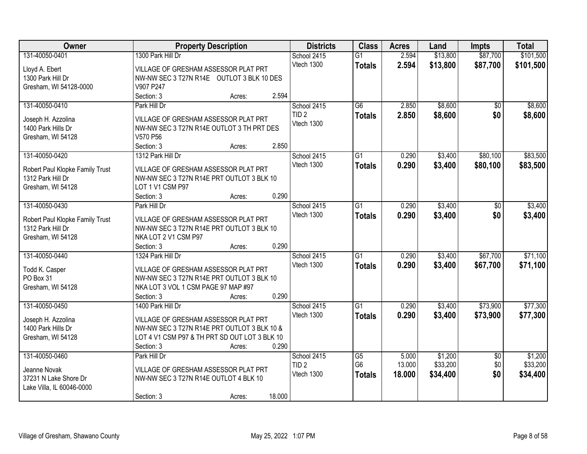| Owner                                                | <b>Property Description</b>                                       |        |        | <b>Districts</b> | <b>Class</b>    | <b>Acres</b> | Land     | <b>Impts</b>    | <b>Total</b> |
|------------------------------------------------------|-------------------------------------------------------------------|--------|--------|------------------|-----------------|--------------|----------|-----------------|--------------|
| 131-40050-0401                                       | 1300 Park Hill Dr                                                 |        |        | School 2415      | $\overline{G1}$ | 2.594        | \$13,800 | \$87,700        | \$101,500    |
| Lloyd A. Ebert                                       | VILLAGE OF GRESHAM ASSESSOR PLAT PRT                              |        |        | Vtech 1300       | <b>Totals</b>   | 2.594        | \$13,800 | \$87,700        | \$101,500    |
| 1300 Park Hill Dr                                    | NW-NW SEC 3 T27N R14E OUTLOT 3 BLK 10 DES                         |        |        |                  |                 |              |          |                 |              |
| Gresham, WI 54128-0000                               | V907 P247                                                         |        |        |                  |                 |              |          |                 |              |
|                                                      | Section: 3                                                        | Acres: | 2.594  |                  |                 |              |          |                 |              |
| 131-40050-0410                                       | Park Hill Dr                                                      |        |        | School 2415      | $\overline{G6}$ | 2.850        | \$8,600  | \$0             | \$8,600      |
|                                                      |                                                                   |        |        | TID <sub>2</sub> | <b>Totals</b>   | 2.850        | \$8,600  | \$0             | \$8,600      |
| Joseph H. Azzolina                                   | VILLAGE OF GRESHAM ASSESSOR PLAT PRT                              |        |        | Vtech 1300       |                 |              |          |                 |              |
| 1400 Park Hills Dr                                   | NW-NW SEC 3 T27N R14E OUTLOT 3 TH PRT DES                         |        |        |                  |                 |              |          |                 |              |
| Gresham, WI 54128                                    | V570 P56<br>Section: 3                                            |        | 2.850  |                  |                 |              |          |                 |              |
| 131-40050-0420                                       |                                                                   | Acres: |        |                  |                 |              |          |                 |              |
|                                                      | 1312 Park Hill Dr                                                 |        |        | School 2415      | $\overline{G1}$ | 0.290        | \$3,400  | \$80,100        | \$83,500     |
| Robert Paul Klopke Family Trust                      | VILLAGE OF GRESHAM ASSESSOR PLAT PRT                              |        |        | Vtech 1300       | <b>Totals</b>   | 0.290        | \$3,400  | \$80,100        | \$83,500     |
| 1312 Park Hill Dr                                    | NW-NW SEC 3 T27N R14E PRT OUTLOT 3 BLK 10                         |        |        |                  |                 |              |          |                 |              |
| Gresham, WI 54128                                    | LOT 1 V1 CSM P97                                                  |        |        |                  |                 |              |          |                 |              |
|                                                      | Section: 3                                                        | Acres: | 0.290  |                  |                 |              |          |                 |              |
| 131-40050-0430                                       | Park Hill Dr                                                      |        |        | School 2415      | G1              | 0.290        | \$3,400  | \$0             | \$3,400      |
|                                                      |                                                                   |        |        | Vtech 1300       | <b>Totals</b>   | 0.290        | \$3,400  | \$0             | \$3,400      |
| Robert Paul Klopke Family Trust<br>1312 Park Hill Dr | VILLAGE OF GRESHAM ASSESSOR PLAT PRT                              |        |        |                  |                 |              |          |                 |              |
|                                                      | NW-NW SEC 3 T27N R14E PRT OUTLOT 3 BLK 10<br>NKA LOT 2 V1 CSM P97 |        |        |                  |                 |              |          |                 |              |
| Gresham, WI 54128                                    |                                                                   |        | 0.290  |                  |                 |              |          |                 |              |
| 131-40050-0440                                       | Section: 3<br>1324 Park Hill Dr                                   | Acres: |        |                  | $\overline{G1}$ | 0.290        |          | \$67,700        | \$71,100     |
|                                                      |                                                                   |        |        | School 2415      |                 |              | \$3,400  |                 |              |
| Todd K. Casper                                       | VILLAGE OF GRESHAM ASSESSOR PLAT PRT                              |        |        | Vtech 1300       | <b>Totals</b>   | 0.290        | \$3,400  | \$67,700        | \$71,100     |
| PO Box 31                                            | NW-NW SEC 3 T27N R14E PRT OUTLOT 3 BLK 10                         |        |        |                  |                 |              |          |                 |              |
| Gresham, WI 54128                                    | NKA LOT 3 VOL 1 CSM PAGE 97 MAP #97                               |        |        |                  |                 |              |          |                 |              |
|                                                      | Section: 3                                                        | Acres: | 0.290  |                  |                 |              |          |                 |              |
| 131-40050-0450                                       | 1400 Park Hill Dr                                                 |        |        | School 2415      | $\overline{G1}$ | 0.290        | \$3,400  | \$73,900        | \$77,300     |
|                                                      | VILLAGE OF GRESHAM ASSESSOR PLAT PRT                              |        |        | Vtech 1300       | <b>Totals</b>   | 0.290        | \$3,400  | \$73,900        | \$77,300     |
| Joseph H. Azzolina<br>1400 Park Hills Dr             | NW-NW SEC 3 T27N R14E PRT OUTLOT 3 BLK 10 &                       |        |        |                  |                 |              |          |                 |              |
| Gresham, WI 54128                                    | LOT 4 V1 CSM P97 & TH PRT SD OUT LOT 3 BLK 10                     |        |        |                  |                 |              |          |                 |              |
|                                                      | Section: 3                                                        | Acres: | 0.290  |                  |                 |              |          |                 |              |
| 131-40050-0460                                       | Park Hill Dr                                                      |        |        | School 2415      | $\overline{G5}$ | 5.000        | \$1,200  | $\overline{50}$ | \$1,200      |
|                                                      |                                                                   |        |        | TID <sub>2</sub> | G <sub>6</sub>  | 13.000       | \$33,200 | \$0             | \$33,200     |
| Jeanne Novak                                         | VILLAGE OF GRESHAM ASSESSOR PLAT PRT                              |        |        |                  |                 |              |          |                 |              |
| 37231 N Lake Shore Dr                                | NW-NW SEC 3 T27N R14E OUTLOT 4 BLK 10                             |        |        | Vtech 1300       | <b>Totals</b>   | 18.000       | \$34,400 | \$0             | \$34,400     |
| Lake Villa, IL 60046-0000                            |                                                                   |        |        |                  |                 |              |          |                 |              |
|                                                      | Section: 3                                                        | Acres: | 18.000 |                  |                 |              |          |                 |              |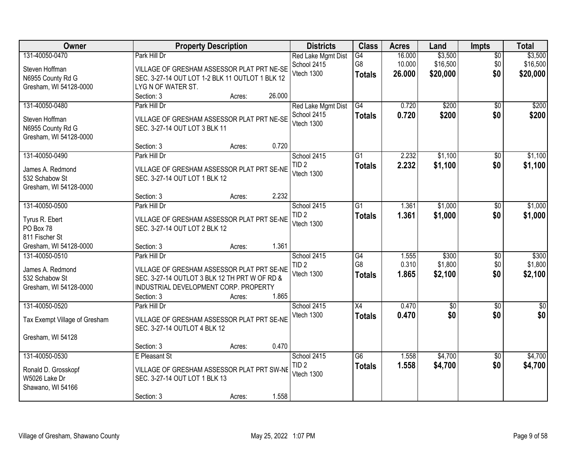| Owner                                                                           |                                                                                                                                                                    | <b>Property Description</b> |        | <b>Districts</b>                                | <b>Class</b>                           | <b>Acres</b>               | Land                            | <b>Impts</b>                  | <b>Total</b>                    |
|---------------------------------------------------------------------------------|--------------------------------------------------------------------------------------------------------------------------------------------------------------------|-----------------------------|--------|-------------------------------------------------|----------------------------------------|----------------------------|---------------------------------|-------------------------------|---------------------------------|
| 131-40050-0470<br>Steven Hoffman<br>N6955 County Rd G<br>Gresham, WI 54128-0000 | Park Hill Dr<br>VILLAGE OF GRESHAM ASSESSOR PLAT PRT NE-SE<br>SEC. 3-27-14 OUT LOT 1-2 BLK 11 OUTLOT 1 BLK 12<br>LYG N OF WATER ST.                                |                             |        | Red Lake Mgmt Dist<br>School 2415<br>Vtech 1300 | $\overline{G4}$<br>G8<br><b>Totals</b> | 16.000<br>10.000<br>26.000 | \$3,500<br>\$16,500<br>\$20,000 | $\overline{50}$<br>\$0<br>\$0 | \$3,500<br>\$16,500<br>\$20,000 |
|                                                                                 | Section: 3                                                                                                                                                         | Acres:                      | 26.000 |                                                 |                                        |                            |                                 |                               |                                 |
| 131-40050-0480<br>Steven Hoffman<br>N6955 County Rd G<br>Gresham, WI 54128-0000 | Park Hill Dr<br>VILLAGE OF GRESHAM ASSESSOR PLAT PRT NE-SE<br>SEC. 3-27-14 OUT LOT 3 BLK 11                                                                        |                             |        | Red Lake Mgmt Dist<br>School 2415<br>Vtech 1300 | G4<br><b>Totals</b>                    | 0.720<br>0.720             | \$200<br>\$200                  | $\overline{50}$<br>\$0        | \$200<br>\$200                  |
|                                                                                 | Section: 3                                                                                                                                                         | Acres:                      | 0.720  |                                                 |                                        | 2.232                      |                                 |                               |                                 |
| 131-40050-0490<br>James A. Redmond<br>532 Schabow St<br>Gresham, WI 54128-0000  | Park Hill Dr<br>VILLAGE OF GRESHAM ASSESSOR PLAT PRT SE-NE<br>SEC. 3-27-14 OUT LOT 1 BLK 12                                                                        |                             |        | School 2415<br>TID <sub>2</sub><br>Vtech 1300   | G1<br><b>Totals</b>                    | 2.232                      | \$1,100<br>\$1,100              | \$0<br>\$0                    | \$1,100<br>\$1,100              |
|                                                                                 | Section: 3                                                                                                                                                         | Acres:                      | 2.232  |                                                 |                                        |                            |                                 |                               |                                 |
| 131-40050-0500<br>Tyrus R. Ebert<br>PO Box 78<br>811 Fischer St                 | Park Hill Dr<br>VILLAGE OF GRESHAM ASSESSOR PLAT PRT SE-NE<br>SEC. 3-27-14 OUT LOT 2 BLK 12                                                                        |                             |        | School 2415<br>TID <sub>2</sub><br>Vtech 1300   | G1<br><b>Totals</b>                    | 1.361<br>1.361             | \$1,000<br>\$1,000              | \$0<br>\$0                    | \$1,000<br>\$1,000              |
| Gresham, WI 54128-0000                                                          | Section: 3                                                                                                                                                         | Acres:                      | 1.361  |                                                 |                                        |                            |                                 |                               |                                 |
| 131-40050-0510<br>James A. Redmond<br>532 Schabow St<br>Gresham, WI 54128-0000  | Park Hill Dr<br>VILLAGE OF GRESHAM ASSESSOR PLAT PRT SE-NE<br>SEC. 3-27-14 OUTLOT 3 BLK 12 TH PRT W OF RD &<br>INDUSTRIAL DEVELOPMENT CORP. PROPERTY<br>Section: 3 | Acres:                      | 1.865  | School 2415<br>TID <sub>2</sub><br>Vtech 1300   | G4<br>G <sub>8</sub><br><b>Totals</b>  | 1.555<br>0.310<br>1.865    | \$300<br>\$1,800<br>\$2,100     | $\overline{30}$<br>\$0<br>\$0 | \$300<br>\$1,800<br>\$2,100     |
| 131-40050-0520                                                                  | Park Hill Dr                                                                                                                                                       |                             |        | School 2415                                     | X4                                     | 0.470                      | $\overline{50}$                 | $\overline{50}$               | $\overline{\$0}$                |
| Tax Exempt Village of Gresham<br>Gresham, WI 54128                              | VILLAGE OF GRESHAM ASSESSOR PLAT PRT SE-NE<br>SEC. 3-27-14 OUTLOT 4 BLK 12                                                                                         |                             |        | Vtech 1300                                      | <b>Totals</b>                          | 0.470                      | \$0                             | \$0                           | \$0                             |
|                                                                                 | Section: 3                                                                                                                                                         | Acres:                      | 0.470  |                                                 |                                        |                            |                                 |                               |                                 |
| 131-40050-0530<br>Ronald D. Grosskopf<br>W5026 Lake Dr<br>Shawano, WI 54166     | E Pleasant St<br>VILLAGE OF GRESHAM ASSESSOR PLAT PRT SW-NE<br>SEC. 3-27-14 OUT LOT 1 BLK 13<br>Section: 3                                                         | Acres:                      | 1.558  | School 2415<br>TID <sub>2</sub><br>Vtech 1300   | $\overline{G6}$<br><b>Totals</b>       | 1.558<br>1.558             | \$4,700<br>\$4,700              | $\overline{50}$<br>\$0        | \$4,700<br>\$4,700              |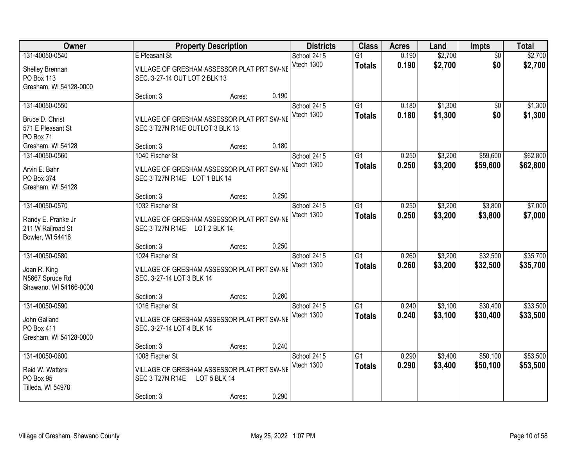| Owner                                                                         |                                                                                                | <b>Property Description</b> |       | <b>Class</b><br><b>Districts</b> | <b>Acres</b>                     | Land           | Impts              | <b>Total</b>           |                      |
|-------------------------------------------------------------------------------|------------------------------------------------------------------------------------------------|-----------------------------|-------|----------------------------------|----------------------------------|----------------|--------------------|------------------------|----------------------|
| 131-40050-0540<br>Shelley Brennan<br>PO Box 113<br>Gresham, WI 54128-0000     | E Pleasant St<br>VILLAGE OF GRESHAM ASSESSOR PLAT PRT SW-NE<br>SEC. 3-27-14 OUT LOT 2 BLK 13   |                             |       | School 2415<br>Vtech 1300        | $\overline{G1}$<br><b>Totals</b> | 0.190<br>0.190 | \$2,700<br>\$2,700 | $\overline{50}$<br>\$0 | \$2,700<br>\$2,700   |
|                                                                               | Section: 3                                                                                     | Acres:                      | 0.190 |                                  |                                  |                |                    |                        |                      |
| 131-40050-0550<br>Bruce D. Christ<br>571 E Pleasant St<br>PO Box 71           | VILLAGE OF GRESHAM ASSESSOR PLAT PRT SW-NE<br>SEC 3 T27N R14E OUTLOT 3 BLK 13                  |                             |       | School 2415<br>Vtech 1300        | $\overline{G1}$<br><b>Totals</b> | 0.180<br>0.180 | \$1,300<br>\$1,300 | $\overline{50}$<br>\$0 | \$1,300<br>\$1,300   |
| Gresham, WI 54128                                                             | Section: 3                                                                                     | Acres:                      | 0.180 |                                  |                                  |                |                    |                        |                      |
| 131-40050-0560<br>Arvin E. Bahr<br>PO Box 374<br>Gresham, WI 54128            | 1040 Fischer St<br>VILLAGE OF GRESHAM ASSESSOR PLAT PRT SW-NE<br>SEC 3 T27N R14E LOT 1 BLK 14  |                             |       | School 2415<br>Vtech 1300        | G1<br><b>Totals</b>              | 0.250<br>0.250 | \$3,200<br>\$3,200 | \$59,600<br>\$59,600   | \$62,800<br>\$62,800 |
|                                                                               | Section: 3                                                                                     | Acres:                      | 0.250 |                                  |                                  |                |                    |                        |                      |
| 131-40050-0570<br>Randy E. Pranke Jr<br>211 W Railroad St<br>Bowler, WI 54416 | 1032 Fischer St<br>VILLAGE OF GRESHAM ASSESSOR PLAT PRT SW-NE<br>SEC 3 T27N R14E LOT 2 BLK 14  |                             |       | School 2415<br>Vtech 1300        | G1<br><b>Totals</b>              | 0.250<br>0.250 | \$3,200<br>\$3,200 | \$3,800<br>\$3,800     | \$7,000<br>\$7,000   |
|                                                                               | Section: 3                                                                                     | Acres:                      | 0.250 |                                  |                                  |                |                    |                        |                      |
| 131-40050-0580<br>Joan R. King<br>N5667 Spruce Rd<br>Shawano, WI 54166-0000   | 1024 Fischer St<br>VILLAGE OF GRESHAM ASSESSOR PLAT PRT SW-NE<br>SEC. 3-27-14 LOT 3 BLK 14     |                             |       | School 2415<br>Vtech 1300        | $\overline{G1}$<br><b>Totals</b> | 0.260<br>0.260 | \$3,200<br>\$3,200 | \$32,500<br>\$32,500   | \$35,700<br>\$35,700 |
|                                                                               | Section: 3                                                                                     | Acres:                      | 0.260 |                                  |                                  |                |                    |                        |                      |
| 131-40050-0590<br>John Galland<br>PO Box 411<br>Gresham, WI 54128-0000        | 1016 Fischer St<br>VILLAGE OF GRESHAM ASSESSOR PLAT PRT SW-NE<br>SEC. 3-27-14 LOT 4 BLK 14     |                             |       | School 2415<br>Vtech 1300        | $\overline{G1}$<br><b>Totals</b> | 0.240<br>0.240 | \$3,100<br>\$3,100 | \$30,400<br>\$30,400   | \$33,500<br>\$33,500 |
|                                                                               | Section: 3                                                                                     | Acres:                      | 0.240 |                                  |                                  |                |                    |                        |                      |
| 131-40050-0600<br>Reid W. Watters<br>PO Box 95<br>Tilleda, WI 54978           | 1008 Fischer St<br>VILLAGE OF GRESHAM ASSESSOR PLAT PRT SW-NE<br>SEC 3 T27N R14E<br>Section: 3 | LOT 5 BLK 14<br>Acres:      | 0.290 | School 2415<br>Vtech 1300        | $\overline{G1}$<br><b>Totals</b> | 0.290<br>0.290 | \$3,400<br>\$3,400 | \$50,100<br>\$50,100   | \$53,500<br>\$53,500 |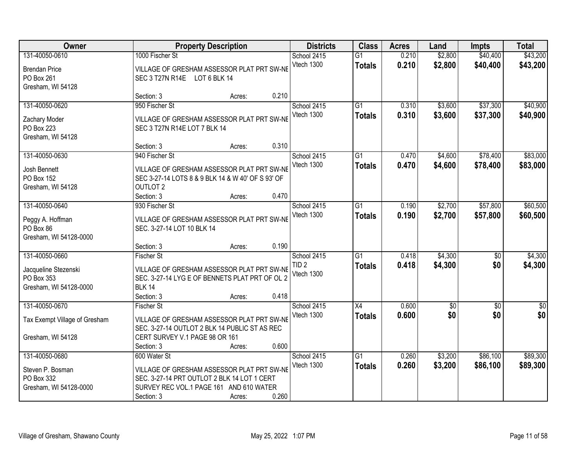| Owner                              |                                                                                              | <b>Property Description</b> |       | <b>Districts</b> | <b>Class</b>    |       | <b>Acres</b><br>Land |                 | <b>Total</b>     |
|------------------------------------|----------------------------------------------------------------------------------------------|-----------------------------|-------|------------------|-----------------|-------|----------------------|-----------------|------------------|
| 131-40050-0610                     | 1000 Fischer St                                                                              |                             |       | School 2415      | $\overline{G1}$ | 0.210 | \$2,800              | \$40,400        | \$43,200         |
| <b>Brendan Price</b>               | VILLAGE OF GRESHAM ASSESSOR PLAT PRT SW-NE                                                   |                             |       | Vtech 1300       | <b>Totals</b>   | 0.210 | \$2,800              | \$40,400        | \$43,200         |
| PO Box 261                         | SEC 3 T27N R14E LOT 6 BLK 14                                                                 |                             |       |                  |                 |       |                      |                 |                  |
| Gresham, WI 54128                  |                                                                                              |                             |       |                  |                 |       |                      |                 |                  |
|                                    | Section: 3                                                                                   | Acres:                      | 0.210 |                  |                 |       |                      |                 |                  |
| 131-40050-0620                     | 950 Fischer St                                                                               |                             |       | School 2415      | $\overline{G1}$ | 0.310 | \$3,600              | \$37,300        | \$40,900         |
| Zachary Moder                      | VILLAGE OF GRESHAM ASSESSOR PLAT PRT SW-NE                                                   |                             |       | Vtech 1300       | <b>Totals</b>   | 0.310 | \$3,600              | \$37,300        | \$40,900         |
| PO Box 223                         | SEC 3 T27N R14E LOT 7 BLK 14                                                                 |                             |       |                  |                 |       |                      |                 |                  |
| Gresham, WI 54128                  |                                                                                              |                             |       |                  |                 |       |                      |                 |                  |
|                                    | Section: 3                                                                                   | Acres:                      | 0.310 |                  |                 |       |                      |                 |                  |
| 131-40050-0630                     | 940 Fischer St                                                                               |                             |       | School 2415      | G1              | 0.470 | \$4,600              | \$78,400        | \$83,000         |
| Josh Bennett                       | VILLAGE OF GRESHAM ASSESSOR PLAT PRT SW-NE                                                   |                             |       | Vtech 1300       | <b>Totals</b>   | 0.470 | \$4,600              | \$78,400        | \$83,000         |
| PO Box 152                         | SEC 3-27-14 LOTS 8 & 9 BLK 14 & W 40' OF S 93' OF                                            |                             |       |                  |                 |       |                      |                 |                  |
| Gresham, WI 54128                  | <b>OUTLOT 2</b>                                                                              |                             |       |                  |                 |       |                      |                 |                  |
|                                    | Section: 3                                                                                   | Acres:                      | 0.470 |                  |                 |       |                      |                 |                  |
| 131-40050-0640                     | 930 Fischer St                                                                               |                             |       | School 2415      | G1              | 0.190 | \$2,700              | \$57,800        | \$60,500         |
|                                    |                                                                                              |                             |       | Vtech 1300       | <b>Totals</b>   | 0.190 | \$2,700              | \$57,800        | \$60,500         |
| Peggy A. Hoffman<br>PO Box 86      | VILLAGE OF GRESHAM ASSESSOR PLAT PRT SW-NE<br>SEC. 3-27-14 LOT 10 BLK 14                     |                             |       |                  |                 |       |                      |                 |                  |
| Gresham, WI 54128-0000             |                                                                                              |                             |       |                  |                 |       |                      |                 |                  |
|                                    | Section: 3                                                                                   | Acres:                      | 0.190 |                  |                 |       |                      |                 |                  |
| 131-40050-0660                     | <b>Fischer St</b>                                                                            |                             |       | School 2415      | $\overline{G1}$ | 0.418 | \$4,300              | $\overline{50}$ | \$4,300          |
|                                    |                                                                                              |                             |       | TID <sub>2</sub> | <b>Totals</b>   | 0.418 | \$4,300              | \$0             | \$4,300          |
| Jacqueline Stezenski<br>PO Box 353 | VILLAGE OF GRESHAM ASSESSOR PLAT PRT SW-NE<br>SEC. 3-27-14 LYG E OF BENNETS PLAT PRT OF OL 2 |                             |       | Vtech 1300       |                 |       |                      |                 |                  |
| Gresham, WI 54128-0000             | <b>BLK 14</b>                                                                                |                             |       |                  |                 |       |                      |                 |                  |
|                                    | Section: 3                                                                                   | Acres:                      | 0.418 |                  |                 |       |                      |                 |                  |
| 131-40050-0670                     | <b>Fischer St</b>                                                                            |                             |       | School 2415      | $\overline{X4}$ | 0.600 | $\overline{50}$      | $\overline{30}$ | $\overline{\$0}$ |
|                                    |                                                                                              |                             |       | Vtech 1300       | <b>Totals</b>   | 0.600 | \$0                  | \$0             | \$0              |
| Tax Exempt Village of Gresham      | VILLAGE OF GRESHAM ASSESSOR PLAT PRT SW-NE                                                   |                             |       |                  |                 |       |                      |                 |                  |
| Gresham, WI 54128                  | SEC. 3-27-14 OUTLOT 2 BLK 14 PUBLIC ST AS REC<br>CERT SURVEY V.1 PAGE 98 OR 161              |                             |       |                  |                 |       |                      |                 |                  |
|                                    | Section: 3                                                                                   | Acres:                      | 0.600 |                  |                 |       |                      |                 |                  |
| 131-40050-0680                     | 600 Water St                                                                                 |                             |       | School 2415      | $\overline{G1}$ | 0.260 | \$3,200              | \$86,100        | \$89,300         |
|                                    |                                                                                              |                             |       | Vtech 1300       | <b>Totals</b>   | 0.260 | \$3,200              | \$86,100        | \$89,300         |
| Steven P. Bosman                   | VILLAGE OF GRESHAM ASSESSOR PLAT PRT SW-NE                                                   |                             |       |                  |                 |       |                      |                 |                  |
| PO Box 332                         | SEC. 3-27-14 PRT OUTLOT 2 BLK 14 LOT 1 CERT<br>SURVEY REC VOL.1 PAGE 161 AND 610 WATER       |                             |       |                  |                 |       |                      |                 |                  |
| Gresham, WI 54128-0000             | Section: 3                                                                                   |                             | 0.260 |                  |                 |       |                      |                 |                  |
|                                    |                                                                                              | Acres:                      |       |                  |                 |       |                      |                 |                  |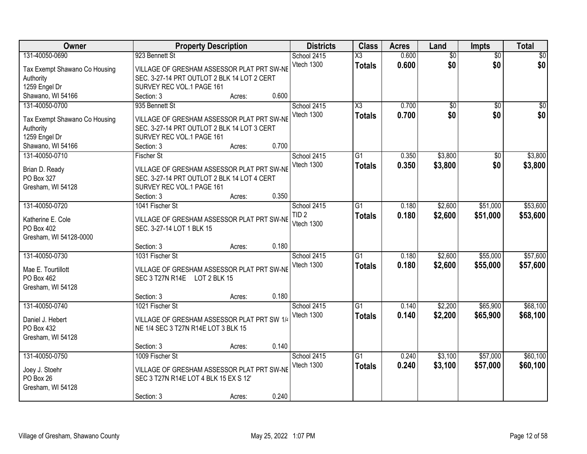| Owner                                      | <b>Property Description</b>                 | <b>Districts</b> | <b>Class</b>    | <b>Acres</b> | Land            | <b>Impts</b>    | <b>Total</b> |
|--------------------------------------------|---------------------------------------------|------------------|-----------------|--------------|-----------------|-----------------|--------------|
| 131-40050-0690                             | 923 Bennett St                              | School 2415      | X3              | 0.600        | $\overline{50}$ | \$0             | \$0          |
| Tax Exempt Shawano Co Housing              | VILLAGE OF GRESHAM ASSESSOR PLAT PRT SW-NE  | Vtech 1300       | <b>Totals</b>   | 0.600        | \$0             | \$0             | \$0          |
| Authority                                  | SEC. 3-27-14 PRT OUTLOT 2 BLK 14 LOT 2 CERT |                  |                 |              |                 |                 |              |
| 1259 Engel Dr                              | SURVEY REC VOL.1 PAGE 161                   |                  |                 |              |                 |                 |              |
| Shawano, WI 54166                          | 0.600<br>Section: 3<br>Acres:               |                  |                 |              |                 |                 |              |
| 131-40050-0700                             | 935 Bennett St                              | School 2415      | X3              | 0.700        | $\overline{50}$ | $\overline{50}$ | \$0          |
|                                            | VILLAGE OF GRESHAM ASSESSOR PLAT PRT SW-NE  | Vtech 1300       | <b>Totals</b>   | 0.700        | \$0             | \$0             | \$0          |
| Tax Exempt Shawano Co Housing<br>Authority | SEC. 3-27-14 PRT OUTLOT 2 BLK 14 LOT 3 CERT |                  |                 |              |                 |                 |              |
| 1259 Engel Dr                              | SURVEY REC VOL.1 PAGE 161                   |                  |                 |              |                 |                 |              |
| Shawano, WI 54166                          | 0.700<br>Section: 3<br>Acres:               |                  |                 |              |                 |                 |              |
| 131-40050-0710                             | <b>Fischer St</b>                           | School 2415      | G1              | 0.350        | \$3,800         | \$0             | \$3,800      |
|                                            |                                             | Vtech 1300       | <b>Totals</b>   | 0.350        | \$3,800         | \$0             | \$3,800      |
| Brian D. Ready                             | VILLAGE OF GRESHAM ASSESSOR PLAT PRT SW-NE  |                  |                 |              |                 |                 |              |
| PO Box 327                                 | SEC. 3-27-14 PRT OUTLOT 2 BLK 14 LOT 4 CERT |                  |                 |              |                 |                 |              |
| Gresham, WI 54128                          | SURVEY REC VOL.1 PAGE 161                   |                  |                 |              |                 |                 |              |
|                                            | 0.350<br>Section: 3<br>Acres:               |                  |                 |              |                 |                 |              |
| 131-40050-0720                             | 1041 Fischer St                             | School 2415      | G1              | 0.180        | \$2,600         | \$51,000        | \$53,600     |
| Katherine E. Cole                          | VILLAGE OF GRESHAM ASSESSOR PLAT PRT SW-NE  | TID <sub>2</sub> | <b>Totals</b>   | 0.180        | \$2,600         | \$51,000        | \$53,600     |
| PO Box 402                                 | SEC. 3-27-14 LOT 1 BLK 15                   | Vtech 1300       |                 |              |                 |                 |              |
| Gresham, WI 54128-0000                     |                                             |                  |                 |              |                 |                 |              |
|                                            | 0.180<br>Section: 3<br>Acres:               |                  |                 |              |                 |                 |              |
| 131-40050-0730                             | 1031 Fischer St                             | School 2415      | $\overline{G1}$ | 0.180        | \$2,600         | \$55,000        | \$57,600     |
| Mae E. Tourtillott                         | VILLAGE OF GRESHAM ASSESSOR PLAT PRT SW-NE  | Vtech 1300       | <b>Totals</b>   | 0.180        | \$2,600         | \$55,000        | \$57,600     |
| PO Box 462                                 | SEC 3 T27N R14E LOT 2 BLK 15                |                  |                 |              |                 |                 |              |
| Gresham, WI 54128                          |                                             |                  |                 |              |                 |                 |              |
|                                            | 0.180<br>Section: 3<br>Acres:               |                  |                 |              |                 |                 |              |
| 131-40050-0740                             | 1021 Fischer St                             | School 2415      | $\overline{G1}$ | 0.140        | \$2,200         | \$65,900        | \$68,100     |
|                                            |                                             | Vtech 1300       | <b>Totals</b>   | 0.140        | \$2,200         | \$65,900        | \$68,100     |
| Daniel J. Hebert                           | VILLAGE OF GRESHAM ASSESSOR PLAT PRT SW 1/4 |                  |                 |              |                 |                 |              |
| PO Box 432<br>Gresham, WI 54128            | NE 1/4 SEC 3 T27N R14E LOT 3 BLK 15         |                  |                 |              |                 |                 |              |
|                                            | 0.140<br>Section: 3<br>Acres:               |                  |                 |              |                 |                 |              |
| 131-40050-0750                             | 1009 Fischer St                             | School 2415      | $\overline{G1}$ | 0.240        | \$3,100         | \$57,000        | \$60,100     |
|                                            |                                             | Vtech 1300       | <b>Totals</b>   | 0.240        | \$3,100         | \$57,000        | \$60,100     |
| Joey J. Stoehr                             | VILLAGE OF GRESHAM ASSESSOR PLAT PRT SW-NE  |                  |                 |              |                 |                 |              |
| PO Box 26                                  | SEC 3 T27N R14E LOT 4 BLK 15 EX S 12'       |                  |                 |              |                 |                 |              |
| Gresham, WI 54128                          |                                             |                  |                 |              |                 |                 |              |
|                                            | 0.240<br>Section: 3<br>Acres:               |                  |                 |              |                 |                 |              |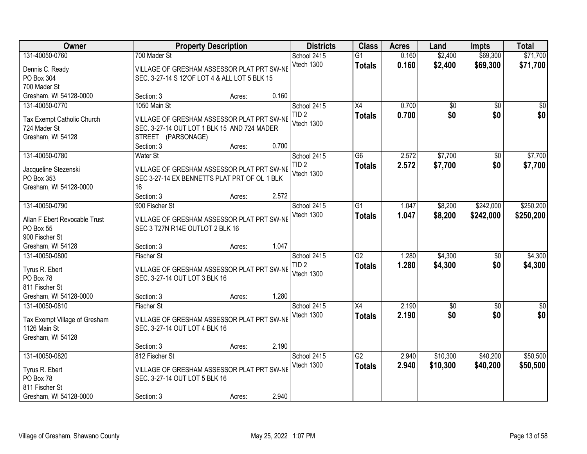| Owner                                |                                                                                            | <b>Property Description</b> |       | <b>Districts</b> | <b>Class</b>    | <b>Acres</b> | Land            | <b>Impts</b>    | <b>Total</b>     |
|--------------------------------------|--------------------------------------------------------------------------------------------|-----------------------------|-------|------------------|-----------------|--------------|-----------------|-----------------|------------------|
| 131-40050-0760                       | 700 Mader St                                                                               |                             |       | School 2415      | $\overline{G1}$ | 0.160        | \$2,400         | \$69,300        | \$71,700         |
| Dennis C. Ready                      | VILLAGE OF GRESHAM ASSESSOR PLAT PRT SW-NE                                                 |                             |       | Vtech 1300       | <b>Totals</b>   | 0.160        | \$2,400         | \$69,300        | \$71,700         |
| PO Box 304                           | SEC. 3-27-14 S 12'OF LOT 4 & ALL LOT 5 BLK 15                                              |                             |       |                  |                 |              |                 |                 |                  |
| 700 Mader St                         |                                                                                            |                             |       |                  |                 |              |                 |                 |                  |
| Gresham, WI 54128-0000               | Section: 3                                                                                 | Acres:                      | 0.160 |                  |                 |              |                 |                 |                  |
| 131-40050-0770                       | 1050 Main St                                                                               |                             |       | School 2415      | $\overline{X4}$ | 0.700        | $\overline{50}$ | \$0             | \$0              |
| Tax Exempt Catholic Church           | VILLAGE OF GRESHAM ASSESSOR PLAT PRT SW-NE                                                 |                             |       | TID <sub>2</sub> | <b>Totals</b>   | 0.700        | \$0             | \$0             | \$0              |
| 724 Mader St                         | SEC. 3-27-14 OUT LOT 1 BLK 15 AND 724 MADER                                                |                             |       | Vtech 1300       |                 |              |                 |                 |                  |
| Gresham, WI 54128                    | STREET (PARSONAGE)                                                                         |                             |       |                  |                 |              |                 |                 |                  |
|                                      | Section: 3                                                                                 | Acres:                      | 0.700 |                  |                 |              |                 |                 |                  |
| 131-40050-0780                       | <b>Water St</b>                                                                            |                             |       | School 2415      | G6              | 2.572        | \$7,700         | \$0             | \$7,700          |
|                                      |                                                                                            |                             |       | TID <sub>2</sub> | <b>Totals</b>   | 2.572        | \$7,700         | \$0             | \$7,700          |
| Jacqueline Stezenski                 | VILLAGE OF GRESHAM ASSESSOR PLAT PRT SW-NE<br>SEC 3-27-14 EX BENNETTS PLAT PRT OF OL 1 BLK |                             |       | Vtech 1300       |                 |              |                 |                 |                  |
| PO Box 353<br>Gresham, WI 54128-0000 | 16                                                                                         |                             |       |                  |                 |              |                 |                 |                  |
|                                      | Section: 3                                                                                 | Acres:                      | 2.572 |                  |                 |              |                 |                 |                  |
| 131-40050-0790                       | 900 Fischer St                                                                             |                             |       | School 2415      | G1              | 1.047        | \$8,200         | \$242,000       | \$250,200        |
|                                      |                                                                                            |                             |       | Vtech 1300       | <b>Totals</b>   | 1.047        | \$8,200         | \$242,000       | \$250,200        |
| Allan F Ebert Revocable Trust        | VILLAGE OF GRESHAM ASSESSOR PLAT PRT SW-NE                                                 |                             |       |                  |                 |              |                 |                 |                  |
| PO Box 55                            | SEC 3 T27N R14E OUTLOT 2 BLK 16                                                            |                             |       |                  |                 |              |                 |                 |                  |
| 900 Fischer St<br>Gresham, WI 54128  |                                                                                            |                             | 1.047 |                  |                 |              |                 |                 |                  |
| 131-40050-0800                       | Section: 3<br><b>Fischer St</b>                                                            | Acres:                      |       | School 2415      | $\overline{G2}$ | 1.280        | \$4,300         | \$0             | \$4,300          |
|                                      |                                                                                            |                             |       | TID <sub>2</sub> |                 | 1.280        |                 | \$0             |                  |
| Tyrus R. Ebert                       | VILLAGE OF GRESHAM ASSESSOR PLAT PRT SW-NE                                                 |                             |       | Vtech 1300       | <b>Totals</b>   |              | \$4,300         |                 | \$4,300          |
| PO Box 78                            | SEC. 3-27-14 OUT LOT 3 BLK 16                                                              |                             |       |                  |                 |              |                 |                 |                  |
| 811 Fischer St                       |                                                                                            |                             |       |                  |                 |              |                 |                 |                  |
| Gresham, WI 54128-0000               | Section: 3                                                                                 | Acres:                      | 1.280 |                  |                 |              |                 |                 |                  |
| 131-40050-0810                       | <b>Fischer St</b>                                                                          |                             |       | School 2415      | X4              | 2.190        | $\overline{50}$ | $\overline{30}$ | $\overline{\$0}$ |
| Tax Exempt Village of Gresham        | VILLAGE OF GRESHAM ASSESSOR PLAT PRT SW-NE                                                 |                             |       | Vtech 1300       | <b>Totals</b>   | 2.190        | \$0             | \$0             | \$0              |
| 1126 Main St                         | SEC. 3-27-14 OUT LOT 4 BLK 16                                                              |                             |       |                  |                 |              |                 |                 |                  |
| Gresham, WI 54128                    |                                                                                            |                             |       |                  |                 |              |                 |                 |                  |
|                                      | Section: 3                                                                                 | Acres:                      | 2.190 |                  |                 |              |                 |                 |                  |
| 131-40050-0820                       | 812 Fischer St                                                                             |                             |       | School 2415      | $\overline{G2}$ | 2.940        | \$10,300        | \$40,200        | \$50,500         |
| Tyrus R. Ebert                       | VILLAGE OF GRESHAM ASSESSOR PLAT PRT SW-NE                                                 |                             |       | Vtech 1300       | <b>Totals</b>   | 2.940        | \$10,300        | \$40,200        | \$50,500         |
| PO Box 78                            | SEC. 3-27-14 OUT LOT 5 BLK 16                                                              |                             |       |                  |                 |              |                 |                 |                  |
| 811 Fischer St                       |                                                                                            |                             |       |                  |                 |              |                 |                 |                  |
| Gresham, WI 54128-0000               | Section: 3                                                                                 | Acres:                      | 2.940 |                  |                 |              |                 |                 |                  |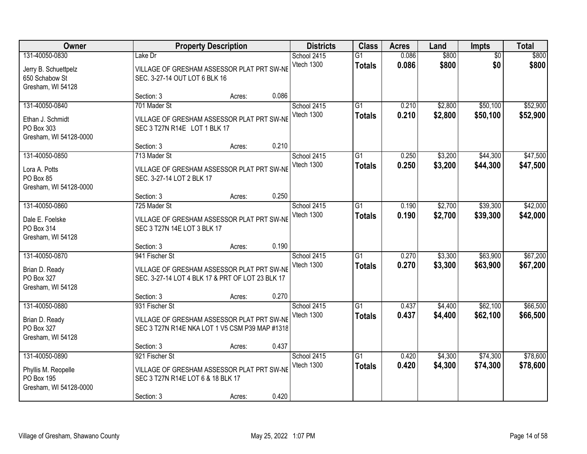| Owner                                                                         |                                                                                                                  | <b>Property Description</b> |       | <b>Districts</b>          | <b>Class</b>                     | <b>Acres</b>   | Land               | <b>Impts</b>           | <b>Total</b>         |
|-------------------------------------------------------------------------------|------------------------------------------------------------------------------------------------------------------|-----------------------------|-------|---------------------------|----------------------------------|----------------|--------------------|------------------------|----------------------|
| 131-40050-0830<br>Jerry B. Schuettpelz<br>650 Schabow St<br>Gresham, WI 54128 | Lake Dr<br>VILLAGE OF GRESHAM ASSESSOR PLAT PRT SW-NE<br>SEC. 3-27-14 OUT LOT 6 BLK 16                           |                             |       | School 2415<br>Vtech 1300 | $\overline{G1}$<br><b>Totals</b> | 0.086<br>0.086 | \$800<br>\$800     | $\overline{50}$<br>\$0 | \$800<br>\$800       |
|                                                                               | Section: 3                                                                                                       | Acres:                      | 0.086 |                           |                                  |                |                    |                        |                      |
| 131-40050-0840<br>Ethan J. Schmidt<br>PO Box 303<br>Gresham, WI 54128-0000    | 701 Mader St<br>VILLAGE OF GRESHAM ASSESSOR PLAT PRT SW-NE<br>SEC 3 T27N R14E LOT 1 BLK 17                       |                             |       | School 2415<br>Vtech 1300 | $\overline{G1}$<br><b>Totals</b> | 0.210<br>0.210 | \$2,800<br>\$2,800 | \$50,100<br>\$50,100   | \$52,900<br>\$52,900 |
|                                                                               | Section: 3                                                                                                       | Acres:                      | 0.210 |                           |                                  |                |                    |                        |                      |
| 131-40050-0850<br>Lora A. Potts<br>PO Box 85<br>Gresham, WI 54128-0000        | 713 Mader St<br>VILLAGE OF GRESHAM ASSESSOR PLAT PRT SW-NE<br>SEC. 3-27-14 LOT 2 BLK 17                          |                             |       | School 2415<br>Vtech 1300 | $\overline{G1}$<br><b>Totals</b> | 0.250<br>0.250 | \$3,200<br>\$3,200 | \$44,300<br>\$44,300   | \$47,500<br>\$47,500 |
|                                                                               | Section: 3                                                                                                       | Acres:                      | 0.250 |                           |                                  |                |                    |                        |                      |
| 131-40050-0860<br>Dale E. Foelske<br>PO Box 314<br>Gresham, WI 54128          | 725 Mader St<br>VILLAGE OF GRESHAM ASSESSOR PLAT PRT SW-NE<br>SEC 3 T27N 14E LOT 3 BLK 17                        |                             |       | School 2415<br>Vtech 1300 | $\overline{G1}$<br><b>Totals</b> | 0.190<br>0.190 | \$2,700<br>\$2,700 | \$39,300<br>\$39,300   | \$42,000<br>\$42,000 |
|                                                                               | Section: 3                                                                                                       | Acres:                      | 0.190 |                           |                                  |                |                    |                        |                      |
| 131-40050-0870<br>Brian D. Ready<br>PO Box 327<br>Gresham, WI 54128           | 941 Fischer St<br>VILLAGE OF GRESHAM ASSESSOR PLAT PRT SW-NE<br>SEC. 3-27-14 LOT 4 BLK 17 & PRT OF LOT 23 BLK 17 |                             |       | School 2415<br>Vtech 1300 | G1<br><b>Totals</b>              | 0.270<br>0.270 | \$3,300<br>\$3,300 | \$63,900<br>\$63,900   | \$67,200<br>\$67,200 |
|                                                                               | Section: 3                                                                                                       | Acres:                      | 0.270 |                           |                                  |                |                    |                        |                      |
| 131-40050-0880<br>Brian D. Ready<br>PO Box 327<br>Gresham, WI 54128           | 931 Fischer St<br>VILLAGE OF GRESHAM ASSESSOR PLAT PRT SW-NE<br>SEC 3 T27N R14E NKA LOT 1 V5 CSM P39 MAP #1318   |                             |       | School 2415<br>Vtech 1300 | $\overline{G1}$<br><b>Totals</b> | 0.437<br>0.437 | \$4,400<br>\$4,400 | \$62,100<br>\$62,100   | \$66,500<br>\$66,500 |
|                                                                               | Section: 3                                                                                                       | Acres:                      | 0.437 |                           |                                  |                |                    |                        |                      |
| 131-40050-0890<br>Phyllis M. Reopelle<br>PO Box 195<br>Gresham, WI 54128-0000 | 921 Fischer St<br>VILLAGE OF GRESHAM ASSESSOR PLAT PRT SW-NE<br>SEC 3 T27N R14E LOT 6 & 18 BLK 17<br>Section: 3  | Acres:                      | 0.420 | School 2415<br>Vtech 1300 | $\overline{G1}$<br><b>Totals</b> | 0.420<br>0.420 | \$4,300<br>\$4,300 | \$74,300<br>\$74,300   | \$78,600<br>\$78,600 |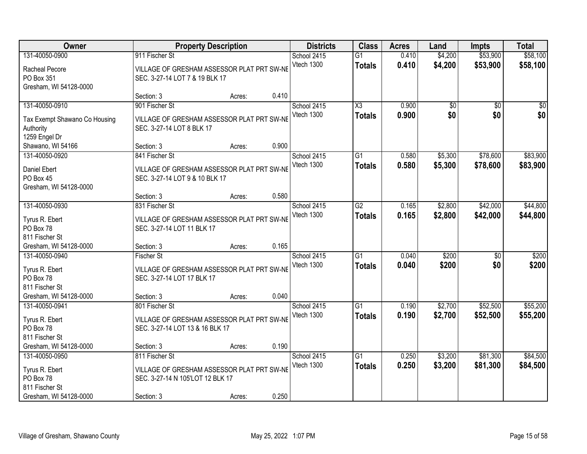| 131-40050-0900<br>\$53,900<br>911 Fischer St<br>0.410<br>\$4,200<br>School 2415<br>$\overline{G1}$<br>Vtech 1300<br>0.410<br>\$4,200<br>\$53,900<br><b>Totals</b><br>Racheal Pecore<br>VILLAGE OF GRESHAM ASSESSOR PLAT PRT SW-NE<br>PO Box 351<br>SEC. 3-27-14 LOT 7 & 19 BLK 17<br>Gresham, WI 54128-0000<br>0.410<br>Section: 3<br>Acres:<br>131-40050-0910<br>901 Fischer St<br>$\overline{\text{X3}}$<br>0.900<br>$\overline{50}$<br>School 2415<br>\$0<br>\$0<br>Vtech 1300<br>0.900<br>\$0<br><b>Totals</b><br>Tax Exempt Shawano Co Housing<br>VILLAGE OF GRESHAM ASSESSOR PLAT PRT SW-NE<br>SEC. 3-27-14 LOT 8 BLK 17<br>Authority<br>1259 Engel Dr<br>0.900 | Owner             | <b>Property Description</b> |        | <b>Districts</b> | <b>Class</b> | <b>Acres</b> | Land | <b>Impts</b> | <b>Total</b> |
|-----------------------------------------------------------------------------------------------------------------------------------------------------------------------------------------------------------------------------------------------------------------------------------------------------------------------------------------------------------------------------------------------------------------------------------------------------------------------------------------------------------------------------------------------------------------------------------------------------------------------------------------------------------------------|-------------------|-----------------------------|--------|------------------|--------------|--------------|------|--------------|--------------|
|                                                                                                                                                                                                                                                                                                                                                                                                                                                                                                                                                                                                                                                                       |                   |                             |        |                  |              |              |      |              | \$58,100     |
|                                                                                                                                                                                                                                                                                                                                                                                                                                                                                                                                                                                                                                                                       |                   |                             |        |                  |              |              |      |              | \$58,100     |
|                                                                                                                                                                                                                                                                                                                                                                                                                                                                                                                                                                                                                                                                       |                   |                             |        |                  |              |              |      |              |              |
|                                                                                                                                                                                                                                                                                                                                                                                                                                                                                                                                                                                                                                                                       |                   |                             |        |                  |              |              |      |              |              |
|                                                                                                                                                                                                                                                                                                                                                                                                                                                                                                                                                                                                                                                                       |                   |                             |        |                  |              |              |      |              |              |
|                                                                                                                                                                                                                                                                                                                                                                                                                                                                                                                                                                                                                                                                       |                   |                             |        |                  |              |              |      |              | \$0          |
|                                                                                                                                                                                                                                                                                                                                                                                                                                                                                                                                                                                                                                                                       |                   |                             |        |                  |              |              |      |              | \$0          |
|                                                                                                                                                                                                                                                                                                                                                                                                                                                                                                                                                                                                                                                                       |                   |                             |        |                  |              |              |      |              |              |
|                                                                                                                                                                                                                                                                                                                                                                                                                                                                                                                                                                                                                                                                       |                   |                             |        |                  |              |              |      |              |              |
|                                                                                                                                                                                                                                                                                                                                                                                                                                                                                                                                                                                                                                                                       | Shawano, WI 54166 | Section: 3                  | Acres: |                  |              |              |      |              |              |
| \$78,600<br>131-40050-0920<br>841 Fischer St<br>School 2415<br>$\overline{G1}$<br>0.580<br>\$5,300                                                                                                                                                                                                                                                                                                                                                                                                                                                                                                                                                                    |                   |                             |        |                  |              |              |      |              | \$83,900     |
| Vtech 1300<br>0.580<br>\$5,300<br>\$78,600<br><b>Totals</b>                                                                                                                                                                                                                                                                                                                                                                                                                                                                                                                                                                                                           |                   |                             |        |                  |              |              |      |              | \$83,900     |
| VILLAGE OF GRESHAM ASSESSOR PLAT PRT SW-NE<br>Daniel Ebert<br>PO Box 45                                                                                                                                                                                                                                                                                                                                                                                                                                                                                                                                                                                               |                   |                             |        |                  |              |              |      |              |              |
| SEC. 3-27-14 LOT 9 & 10 BLK 17<br>Gresham, WI 54128-0000                                                                                                                                                                                                                                                                                                                                                                                                                                                                                                                                                                                                              |                   |                             |        |                  |              |              |      |              |              |
| 0.580<br>Section: 3<br>Acres:                                                                                                                                                                                                                                                                                                                                                                                                                                                                                                                                                                                                                                         |                   |                             |        |                  |              |              |      |              |              |
| 131-40050-0930<br>$\overline{G2}$<br>\$2,800<br>\$42,000<br>831 Fischer St<br>School 2415<br>0.165                                                                                                                                                                                                                                                                                                                                                                                                                                                                                                                                                                    |                   |                             |        |                  |              |              |      |              | \$44,800     |
| Vtech 1300<br>0.165<br>\$2,800<br>\$42,000<br><b>Totals</b>                                                                                                                                                                                                                                                                                                                                                                                                                                                                                                                                                                                                           |                   |                             |        |                  |              |              |      |              | \$44,800     |
| VILLAGE OF GRESHAM ASSESSOR PLAT PRT SW-NE<br>Tyrus R. Ebert                                                                                                                                                                                                                                                                                                                                                                                                                                                                                                                                                                                                          |                   |                             |        |                  |              |              |      |              |              |
| PO Box 78<br>SEC. 3-27-14 LOT 11 BLK 17                                                                                                                                                                                                                                                                                                                                                                                                                                                                                                                                                                                                                               |                   |                             |        |                  |              |              |      |              |              |
| 811 Fischer St                                                                                                                                                                                                                                                                                                                                                                                                                                                                                                                                                                                                                                                        |                   |                             |        |                  |              |              |      |              |              |
| 0.165<br>Gresham, WI 54128-0000<br>Section: 3<br>Acres:                                                                                                                                                                                                                                                                                                                                                                                                                                                                                                                                                                                                               |                   |                             |        |                  |              |              |      |              |              |
| $\overline{G1}$<br>0.040<br>\$200<br>131-40050-0940<br>$\overline{50}$<br><b>Fischer St</b><br>School 2415                                                                                                                                                                                                                                                                                                                                                                                                                                                                                                                                                            |                   |                             |        |                  |              |              |      |              | \$200        |
| 0.040<br>\$200<br>Vtech 1300<br>\$0<br><b>Totals</b><br>Tyrus R. Ebert<br>VILLAGE OF GRESHAM ASSESSOR PLAT PRT SW-NE                                                                                                                                                                                                                                                                                                                                                                                                                                                                                                                                                  |                   |                             |        |                  |              |              |      |              | \$200        |
| PO Box 78<br>SEC. 3-27-14 LOT 17 BLK 17                                                                                                                                                                                                                                                                                                                                                                                                                                                                                                                                                                                                                               |                   |                             |        |                  |              |              |      |              |              |
| 811 Fischer St                                                                                                                                                                                                                                                                                                                                                                                                                                                                                                                                                                                                                                                        |                   |                             |        |                  |              |              |      |              |              |
| 0.040<br>Gresham, WI 54128-0000<br>Section: 3<br>Acres:                                                                                                                                                                                                                                                                                                                                                                                                                                                                                                                                                                                                               |                   |                             |        |                  |              |              |      |              |              |
| G1<br>\$2,700<br>\$52,500<br>131-40050-0941<br>801 Fischer St<br>School 2415<br>0.190                                                                                                                                                                                                                                                                                                                                                                                                                                                                                                                                                                                 |                   |                             |        |                  |              |              |      |              | \$55,200     |
| Vtech 1300<br>0.190<br>\$2,700<br>\$52,500<br><b>Totals</b><br>Tyrus R. Ebert<br>VILLAGE OF GRESHAM ASSESSOR PLAT PRT SW-NE                                                                                                                                                                                                                                                                                                                                                                                                                                                                                                                                           |                   |                             |        |                  |              |              |      |              | \$55,200     |
| PO Box 78<br>SEC. 3-27-14 LOT 13 & 16 BLK 17                                                                                                                                                                                                                                                                                                                                                                                                                                                                                                                                                                                                                          |                   |                             |        |                  |              |              |      |              |              |
| 811 Fischer St                                                                                                                                                                                                                                                                                                                                                                                                                                                                                                                                                                                                                                                        |                   |                             |        |                  |              |              |      |              |              |
| 0.190<br>Gresham, WI 54128-0000<br>Section: 3<br>Acres:                                                                                                                                                                                                                                                                                                                                                                                                                                                                                                                                                                                                               |                   |                             |        |                  |              |              |      |              |              |
| $\overline{G1}$<br>\$3,200<br>\$81,300<br>131-40050-0950<br>811 Fischer St<br>School 2415<br>0.250                                                                                                                                                                                                                                                                                                                                                                                                                                                                                                                                                                    |                   |                             |        |                  |              |              |      |              | \$84,500     |
| Vtech 1300<br>0.250<br>\$3,200<br>\$81,300<br><b>Totals</b><br>VILLAGE OF GRESHAM ASSESSOR PLAT PRT SW-NE                                                                                                                                                                                                                                                                                                                                                                                                                                                                                                                                                             |                   |                             |        |                  |              |              |      |              | \$84,500     |
| Tyrus R. Ebert<br>PO Box 78<br>SEC. 3-27-14 N 105'LOT 12 BLK 17                                                                                                                                                                                                                                                                                                                                                                                                                                                                                                                                                                                                       |                   |                             |        |                  |              |              |      |              |              |
| 811 Fischer St                                                                                                                                                                                                                                                                                                                                                                                                                                                                                                                                                                                                                                                        |                   |                             |        |                  |              |              |      |              |              |
| 0.250<br>Gresham, WI 54128-0000<br>Section: 3<br>Acres:                                                                                                                                                                                                                                                                                                                                                                                                                                                                                                                                                                                                               |                   |                             |        |                  |              |              |      |              |              |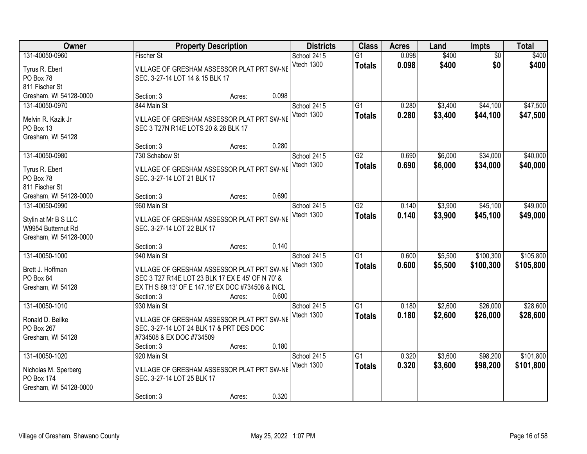| Owner                            |                                                                 | <b>Property Description</b> |       | <b>Districts</b>          | <b>Class</b>                     | <b>Acres</b>   | Land           | <b>Impts</b>           | <b>Total</b>   |
|----------------------------------|-----------------------------------------------------------------|-----------------------------|-------|---------------------------|----------------------------------|----------------|----------------|------------------------|----------------|
| 131-40050-0960<br>Tyrus R. Ebert | <b>Fischer St</b><br>VILLAGE OF GRESHAM ASSESSOR PLAT PRT SW-NE |                             |       | School 2415<br>Vtech 1300 | $\overline{G1}$<br><b>Totals</b> | 0.098<br>0.098 | \$400<br>\$400 | $\overline{50}$<br>\$0 | \$400<br>\$400 |
| PO Box 78                        | SEC. 3-27-14 LOT 14 & 15 BLK 17                                 |                             |       |                           |                                  |                |                |                        |                |
| 811 Fischer St                   |                                                                 |                             |       |                           |                                  |                |                |                        |                |
| Gresham, WI 54128-0000           | Section: 3                                                      | Acres:                      | 0.098 |                           |                                  |                |                |                        |                |
| 131-40050-0970                   | 844 Main St                                                     |                             |       | School 2415               | $\overline{G1}$                  | 0.280          | \$3,400        | \$44,100               | \$47,500       |
| Melvin R. Kazik Jr               | VILLAGE OF GRESHAM ASSESSOR PLAT PRT SW-NE                      |                             |       | Vtech 1300                | <b>Totals</b>                    | 0.280          | \$3,400        | \$44,100               | \$47,500       |
| PO Box 13                        | SEC 3 T27N R14E LOTS 20 & 28 BLK 17                             |                             |       |                           |                                  |                |                |                        |                |
| Gresham, WI 54128                |                                                                 |                             |       |                           |                                  |                |                |                        |                |
|                                  | Section: 3                                                      | Acres:                      | 0.280 |                           |                                  |                |                |                        |                |
| 131-40050-0980                   | 730 Schabow St                                                  |                             |       | School 2415               | $\overline{G2}$                  | 0.690          | \$6,000        | \$34,000               | \$40,000       |
| Tyrus R. Ebert                   | VILLAGE OF GRESHAM ASSESSOR PLAT PRT SW-NE                      |                             |       | Vtech 1300                | <b>Totals</b>                    | 0.690          | \$6,000        | \$34,000               | \$40,000       |
| PO Box 78                        | SEC. 3-27-14 LOT 21 BLK 17                                      |                             |       |                           |                                  |                |                |                        |                |
| 811 Fischer St                   |                                                                 |                             |       |                           |                                  |                |                |                        |                |
| Gresham, WI 54128-0000           | Section: 3                                                      | Acres:                      | 0.690 |                           |                                  |                |                |                        |                |
| 131-40050-0990                   | 960 Main St                                                     |                             |       | School 2415               | $\overline{G2}$                  | 0.140          | \$3,900        | \$45,100               | \$49,000       |
|                                  |                                                                 |                             |       | Vtech 1300                | <b>Totals</b>                    | 0.140          | \$3,900        | \$45,100               | \$49,000       |
| Stylin at Mr B S LLC             | VILLAGE OF GRESHAM ASSESSOR PLAT PRT SW-NE                      |                             |       |                           |                                  |                |                |                        |                |
| W9954 Butternut Rd               | SEC. 3-27-14 LOT 22 BLK 17                                      |                             |       |                           |                                  |                |                |                        |                |
| Gresham, WI 54128-0000           | Section: 3                                                      | Acres:                      | 0.140 |                           |                                  |                |                |                        |                |
| 131-40050-1000                   | 940 Main St                                                     |                             |       | School 2415               | $\overline{G1}$                  | 0.600          | \$5,500        | \$100,300              | \$105,800      |
|                                  |                                                                 |                             |       | Vtech 1300                | <b>Totals</b>                    | 0.600          | \$5,500        | \$100,300              | \$105,800      |
| Brett J. Hoffman                 | VILLAGE OF GRESHAM ASSESSOR PLAT PRT SW-NE                      |                             |       |                           |                                  |                |                |                        |                |
| PO Box 84                        | SEC 3 T27 R14E LOT 23 BLK 17 EX E 45' OF N 70' &                |                             |       |                           |                                  |                |                |                        |                |
| Gresham, WI 54128                | EX TH S 89.13' OF E 147.16' EX DOC #734508 & INCL               |                             |       |                           |                                  |                |                |                        |                |
|                                  | Section: 3                                                      | Acres:                      | 0.600 |                           |                                  |                |                |                        |                |
| 131-40050-1010                   | 930 Main St                                                     |                             |       | School 2415               | $\overline{G1}$                  | 0.180          | \$2,600        | \$26,000               | \$28,600       |
| Ronald D. Beilke                 | VILLAGE OF GRESHAM ASSESSOR PLAT PRT SW-NE                      |                             |       | Vtech 1300                | <b>Totals</b>                    | 0.180          | \$2,600        | \$26,000               | \$28,600       |
| PO Box 267                       | SEC. 3-27-14 LOT 24 BLK 17 & PRT DES DOC                        |                             |       |                           |                                  |                |                |                        |                |
| Gresham, WI 54128                | #734508 & EX DOC #734509                                        |                             |       |                           |                                  |                |                |                        |                |
|                                  | Section: 3                                                      | Acres:                      | 0.180 |                           |                                  |                |                |                        |                |
| 131-40050-1020                   | 920 Main St                                                     |                             |       | School 2415               | $\overline{G1}$                  | 0.320          | \$3,600        | \$98,200               | \$101,800      |
| Nicholas M. Sperberg             | VILLAGE OF GRESHAM ASSESSOR PLAT PRT SW-NE                      |                             |       | Vtech 1300                | <b>Totals</b>                    | 0.320          | \$3,600        | \$98,200               | \$101,800      |
| PO Box 174                       | SEC. 3-27-14 LOT 25 BLK 17                                      |                             |       |                           |                                  |                |                |                        |                |
| Gresham, WI 54128-0000           |                                                                 |                             |       |                           |                                  |                |                |                        |                |
|                                  | Section: 3                                                      | Acres:                      | 0.320 |                           |                                  |                |                |                        |                |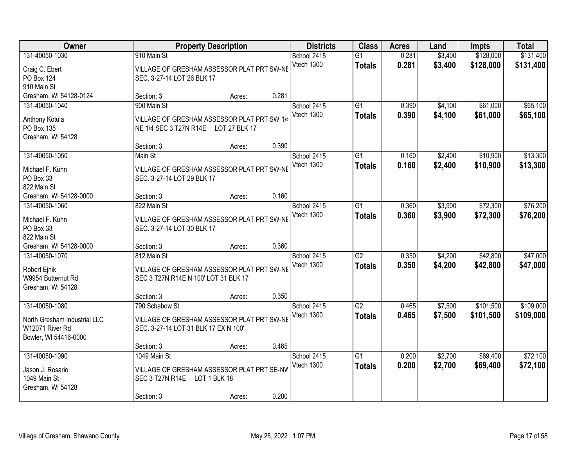| Owner                                                                                      |                                                                                                      | <b>Property Description</b> |       | <b>Districts</b>          | <b>Class</b>                     | <b>Acres</b>   | Land               | <b>Impts</b>           | <b>Total</b>           |
|--------------------------------------------------------------------------------------------|------------------------------------------------------------------------------------------------------|-----------------------------|-------|---------------------------|----------------------------------|----------------|--------------------|------------------------|------------------------|
| 131-40050-1030<br>Craig C. Ebert<br>PO Box 124<br>910 Main St                              | 910 Main St<br>VILLAGE OF GRESHAM ASSESSOR PLAT PRT SW-NE<br>SEC. 3-27-14 LOT 26 BLK 17              |                             |       | School 2415<br>Vtech 1300 | $\overline{G1}$<br><b>Totals</b> | 0.281<br>0.281 | \$3,400<br>\$3,400 | \$128,000<br>\$128,000 | \$131,400<br>\$131,400 |
| Gresham, WI 54128-0124                                                                     | Section: 3                                                                                           | Acres:                      | 0.281 |                           |                                  |                |                    |                        |                        |
| 131-40050-1040<br>Anthony Kotula<br>PO Box 135<br>Gresham, WI 54128                        | 900 Main St<br>VILLAGE OF GRESHAM ASSESSOR PLAT PRT SW 1/4<br>NE 1/4 SEC 3 T27N R14E LOT 27 BLK 17   |                             |       | School 2415<br>Vtech 1300 | $\overline{G1}$<br><b>Totals</b> | 0.390<br>0.390 | \$4,100<br>\$4,100 | \$61,000<br>\$61,000   | \$65,100<br>\$65,100   |
|                                                                                            | Section: 3                                                                                           | Acres:                      | 0.390 |                           |                                  |                |                    |                        |                        |
| 131-40050-1050<br>Michael F. Kuhn<br>PO Box 33<br>822 Main St                              | Main St<br>VILLAGE OF GRESHAM ASSESSOR PLAT PRT SW-NE<br>SEC. 3-27-14 LOT 29 BLK 17                  |                             |       | School 2415<br>Vtech 1300 | G1<br><b>Totals</b>              | 0.160<br>0.160 | \$2,400<br>\$2,400 | \$10,900<br>\$10,900   | \$13,300<br>\$13,300   |
| Gresham, WI 54128-0000                                                                     | Section: 3                                                                                           | Acres:                      | 0.160 |                           |                                  |                |                    |                        |                        |
| 131-40050-1060<br>Michael F. Kuhn<br>PO Box 33<br>822 Main St                              | 822 Main St<br>VILLAGE OF GRESHAM ASSESSOR PLAT PRT SW-NE<br>SEC. 3-27-14 LOT 30 BLK 17              |                             |       | School 2415<br>Vtech 1300 | G1<br><b>Totals</b>              | 0.360<br>0.360 | \$3,900<br>\$3,900 | \$72,300<br>\$72,300   | \$76,200<br>\$76,200   |
| Gresham, WI 54128-0000                                                                     | Section: 3                                                                                           | Acres:                      | 0.360 |                           |                                  |                |                    |                        |                        |
| 131-40050-1070<br>Robert Ejnik<br>W9954 Butternut Rd<br>Gresham, WI 54128                  | 812 Main St<br>VILLAGE OF GRESHAM ASSESSOR PLAT PRT SW-NE<br>SEC 3 T27N R14E N 100' LOT 31 BLK 17    |                             |       | School 2415<br>Vtech 1300 | $\overline{G2}$<br><b>Totals</b> | 0.350<br>0.350 | \$4,200<br>\$4,200 | \$42,800<br>\$42,800   | \$47,000<br>\$47,000   |
|                                                                                            | Section: 3                                                                                           | Acres:                      | 0.350 |                           |                                  |                |                    |                        |                        |
| 131-40050-1080<br>North Gresham Industrial LLC<br>W12071 River Rd<br>Bowler, WI 54416-0000 | 790 Schabow St<br>VILLAGE OF GRESHAM ASSESSOR PLAT PRT SW-NE<br>SEC. 3-27-14 LOT 31 BLK 17 EX N 100' |                             |       | School 2415<br>Vtech 1300 | $\overline{G2}$<br><b>Totals</b> | 0.465<br>0.465 | \$7,500<br>\$7,500 | \$101,500<br>\$101,500 | \$109,000<br>\$109,000 |
|                                                                                            | Section: 3                                                                                           | Acres:                      | 0.465 |                           |                                  |                |                    |                        |                        |
| 131-40050-1090<br>Jason J. Rosario<br>1049 Main St<br>Gresham, WI 54128                    | 1049 Main St<br>VILLAGE OF GRESHAM ASSESSOR PLAT PRT SE-NW<br>SEC 3 T27N R14E<br>Section: 3          | LOT 1 BLK 18<br>Acres:      | 0.200 | School 2415<br>Vtech 1300 | $\overline{G1}$<br><b>Totals</b> | 0.200<br>0.200 | \$2,700<br>\$2,700 | \$69,400<br>\$69,400   | \$72,100<br>\$72,100   |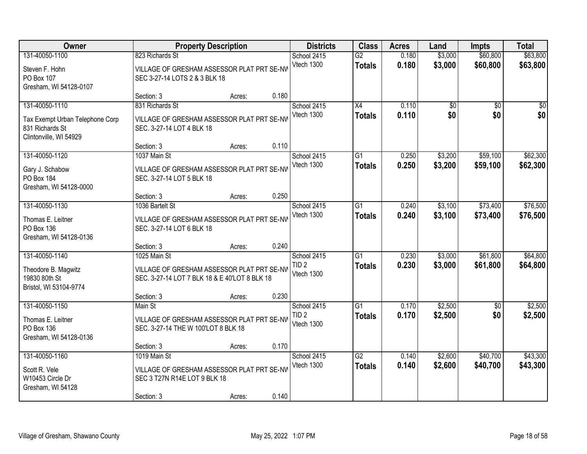| Owner                                                                                          |                                                                                                             | <b>Property Description</b> |       | <b>Districts</b>                              | <b>Class</b>                     | <b>Acres</b>   | Land               | <b>Impts</b>           | <b>Total</b>         |
|------------------------------------------------------------------------------------------------|-------------------------------------------------------------------------------------------------------------|-----------------------------|-------|-----------------------------------------------|----------------------------------|----------------|--------------------|------------------------|----------------------|
| 131-40050-1100<br>Steven F. Hohn<br>PO Box 107<br>Gresham, WI 54128-0107                       | 823 Richards St<br>VILLAGE OF GRESHAM ASSESSOR PLAT PRT SE-NW<br>SEC 3-27-14 LOTS 2 & 3 BLK 18              |                             |       | School 2415<br>Vtech 1300                     | $\overline{G2}$<br><b>Totals</b> | 0.180<br>0.180 | \$3,000<br>\$3,000 | \$60,800<br>\$60,800   | \$63,800<br>\$63,800 |
|                                                                                                | Section: 3                                                                                                  | Acres:                      | 0.180 |                                               |                                  |                |                    |                        |                      |
| 131-40050-1110<br>Tax Exempt Urban Telephone Corp<br>831 Richards St<br>Clintonville, WI 54929 | 831 Richards St<br>VILLAGE OF GRESHAM ASSESSOR PLAT PRT SE-NV<br>SEC. 3-27-14 LOT 4 BLK 18                  |                             |       | School 2415<br>Vtech 1300                     | $\overline{X4}$<br><b>Totals</b> | 0.110<br>0.110 | \$0<br>\$0         | $\overline{50}$<br>\$0 | $\sqrt{50}$<br>\$0   |
|                                                                                                | Section: 3                                                                                                  | Acres:                      | 0.110 |                                               |                                  |                |                    |                        |                      |
| 131-40050-1120<br>Gary J. Schabow<br>PO Box 184<br>Gresham, WI 54128-0000                      | 1037 Main St<br>VILLAGE OF GRESHAM ASSESSOR PLAT PRT SE-NV<br>SEC. 3-27-14 LOT 5 BLK 18                     |                             |       | School 2415<br>Vtech 1300                     | G1<br><b>Totals</b>              | 0.250<br>0.250 | \$3,200<br>\$3,200 | \$59,100<br>\$59,100   | \$62,300<br>\$62,300 |
|                                                                                                | Section: 3                                                                                                  | Acres:                      | 0.250 |                                               |                                  |                |                    |                        |                      |
| 131-40050-1130<br>Thomas E. Leitner<br>PO Box 136<br>Gresham, WI 54128-0136                    | 1036 Bartelt St<br>VILLAGE OF GRESHAM ASSESSOR PLAT PRT SE-NW<br>SEC. 3-27-14 LOT 6 BLK 18                  |                             |       | School 2415<br>Vtech 1300                     | $\overline{G1}$<br><b>Totals</b> | 0.240<br>0.240 | \$3,100<br>\$3,100 | \$73,400<br>\$73,400   | \$76,500<br>\$76,500 |
|                                                                                                | Section: 3                                                                                                  | Acres:                      | 0.240 |                                               |                                  |                |                    |                        |                      |
| 131-40050-1140<br>Theodore B. Magwitz<br>19830 80th St<br>Bristol, WI 53104-9774               | 1025 Main St<br>VILLAGE OF GRESHAM ASSESSOR PLAT PRT SE-NW<br>SEC. 3-27-14 LOT 7 BLK 18 & E 40'LOT 8 BLK 18 |                             |       | School 2415<br>TID <sub>2</sub><br>Vtech 1300 | $\overline{G1}$<br><b>Totals</b> | 0.230<br>0.230 | \$3,000<br>\$3,000 | \$61,800<br>\$61,800   | \$64,800<br>\$64,800 |
|                                                                                                | Section: 3                                                                                                  | Acres:                      | 0.230 |                                               |                                  |                |                    |                        |                      |
| 131-40050-1150<br>Thomas E. Leitner<br>PO Box 136<br>Gresham, WI 54128-0136                    | Main St<br>VILLAGE OF GRESHAM ASSESSOR PLAT PRT SE-NW<br>SEC. 3-27-14 THE W 100'LOT 8 BLK 18                |                             |       | School 2415<br>TID <sub>2</sub><br>Vtech 1300 | $\overline{G1}$<br><b>Totals</b> | 0.170<br>0.170 | \$2,500<br>\$2,500 | \$0<br>\$0             | \$2,500<br>\$2,500   |
|                                                                                                | Section: 3                                                                                                  | Acres:                      | 0.170 |                                               |                                  |                |                    |                        |                      |
| 131-40050-1160<br>Scott R. Vele<br>W10453 Circle Dr<br>Gresham, WI 54128                       | 1019 Main St<br>VILLAGE OF GRESHAM ASSESSOR PLAT PRT SE-NW<br>SEC 3 T27N R14E LOT 9 BLK 18<br>Section: 3    | Acres:                      | 0.140 | School 2415<br>Vtech 1300                     | $\overline{G2}$<br><b>Totals</b> | 0.140<br>0.140 | \$2,600<br>\$2,600 | \$40,700<br>\$40,700   | \$43,300<br>\$43,300 |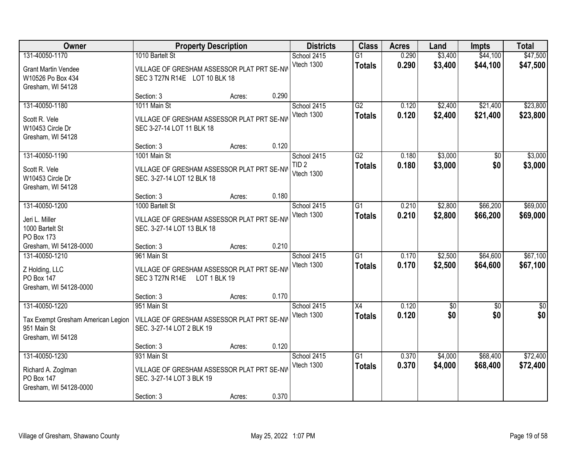| Owner                                                                           | <b>Property Description</b>                                                                  |        |       | <b>Districts</b>               | <b>Class</b>                     | <b>Acres</b>   | Land               | <b>Impts</b>         | <b>Total</b>         |
|---------------------------------------------------------------------------------|----------------------------------------------------------------------------------------------|--------|-------|--------------------------------|----------------------------------|----------------|--------------------|----------------------|----------------------|
| 131-40050-1170                                                                  | 1010 Bartelt St                                                                              |        |       | School 2415                    | $\overline{G1}$                  | 0.290          | \$3,400            | \$44,100             | \$47,500             |
| <b>Grant Martin Vendee</b><br>W10526 Po Box 434<br>Gresham, WI 54128            | VILLAGE OF GRESHAM ASSESSOR PLAT PRT SE-NV<br>SEC 3 T27N R14E LOT 10 BLK 18                  |        |       | Vtech 1300                     | <b>Totals</b>                    | 0.290          | \$3,400            | \$44,100             | \$47,500             |
|                                                                                 | Section: 3                                                                                   | Acres: | 0.290 |                                |                                  |                |                    |                      |                      |
| 131-40050-1180                                                                  | 1011 Main St                                                                                 |        |       | School 2415                    | G2                               | 0.120          | \$2,400            | \$21,400             | \$23,800             |
| Scott R. Vele<br>W10453 Circle Dr<br>Gresham, WI 54128                          | VILLAGE OF GRESHAM ASSESSOR PLAT PRT SE-NV<br>SEC 3-27-14 LOT 11 BLK 18                      |        |       | Vtech 1300                     | <b>Totals</b>                    | 0.120          | \$2,400            | \$21,400             | \$23,800             |
|                                                                                 | Section: 3                                                                                   | Acres: | 0.120 |                                |                                  |                |                    |                      |                      |
| 131-40050-1190                                                                  | 1001 Main St                                                                                 |        |       | School 2415                    | G2                               | 0.180          | \$3,000            | \$0                  | \$3,000              |
| Scott R. Vele<br>W10453 Circle Dr<br>Gresham, WI 54128                          | VILLAGE OF GRESHAM ASSESSOR PLAT PRT SE-NW<br>SEC. 3-27-14 LOT 12 BLK 18                     |        |       | TID <sub>2</sub><br>Vtech 1300 | <b>Totals</b>                    | 0.180          | \$3,000            | \$0                  | \$3,000              |
|                                                                                 | Section: 3                                                                                   | Acres: | 0.180 |                                |                                  |                |                    |                      |                      |
| 131-40050-1200                                                                  | 1000 Bartelt St                                                                              |        |       | School 2415                    | $\overline{G1}$                  | 0.210          | \$2,800            | \$66,200             | \$69,000             |
| Jeri L. Miller<br>1000 Bartelt St<br>PO Box 173                                 | VILLAGE OF GRESHAM ASSESSOR PLAT PRT SE-NW<br>SEC. 3-27-14 LOT 13 BLK 18                     |        |       | Vtech 1300                     | <b>Totals</b>                    | 0.210          | \$2,800            | \$66,200             | \$69,000             |
| Gresham, WI 54128-0000                                                          | Section: 3                                                                                   | Acres: | 0.210 |                                |                                  |                |                    |                      |                      |
| 131-40050-1210<br>Z Holding, LLC<br><b>PO Box 147</b><br>Gresham, WI 54128-0000 | 961 Main St<br>VILLAGE OF GRESHAM ASSESSOR PLAT PRT SE-NV<br>SEC 3 T27N R14E<br>LOT 1 BLK 19 |        |       | School 2415<br>Vtech 1300      | $\overline{G1}$<br><b>Totals</b> | 0.170<br>0.170 | \$2,500<br>\$2,500 | \$64,600<br>\$64,600 | \$67,100<br>\$67,100 |
|                                                                                 | Section: 3                                                                                   | Acres: | 0.170 |                                |                                  |                |                    |                      |                      |
| 131-40050-1220                                                                  | 951 Main St                                                                                  |        |       | School 2415                    | X4                               | 0.120          | \$0                | \$0                  | $\overline{\$0}$     |
| Tax Exempt Gresham American Legion<br>951 Main St<br>Gresham, WI 54128          | VILLAGE OF GRESHAM ASSESSOR PLAT PRT SE-NV<br>SEC. 3-27-14 LOT 2 BLK 19                      |        |       | Vtech 1300                     | <b>Totals</b>                    | 0.120          | \$0                | \$0                  | \$0                  |
|                                                                                 | Section: 3                                                                                   | Acres: | 0.120 |                                |                                  |                |                    |                      |                      |
| 131-40050-1230                                                                  | 931 Main St                                                                                  |        |       | School 2415                    | $\overline{G1}$                  | 0.370          | \$4,000            | \$68,400             | \$72,400             |
| Richard A. Zoglman<br>PO Box 147<br>Gresham, WI 54128-0000                      | VILLAGE OF GRESHAM ASSESSOR PLAT PRT SE-NV<br>SEC. 3-27-14 LOT 3 BLK 19                      |        |       | Vtech 1300                     | <b>Totals</b>                    | 0.370          | \$4,000            | \$68,400             | \$72,400             |
|                                                                                 | Section: 3                                                                                   | Acres: | 0.370 |                                |                                  |                |                    |                      |                      |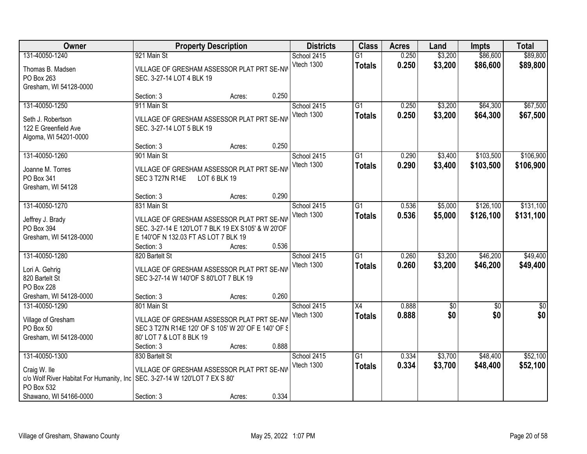| Owner                                                              |                                                                         | <b>Property Description</b> |       | <b>Districts</b>          | <b>Class</b>                     | <b>Acres</b>   | Land               | <b>Impts</b>         | <b>Total</b>         |
|--------------------------------------------------------------------|-------------------------------------------------------------------------|-----------------------------|-------|---------------------------|----------------------------------|----------------|--------------------|----------------------|----------------------|
| 131-40050-1240<br>Thomas B. Madsen                                 | 921 Main St<br>VILLAGE OF GRESHAM ASSESSOR PLAT PRT SE-NW               |                             |       | School 2415<br>Vtech 1300 | $\overline{G1}$<br><b>Totals</b> | 0.250<br>0.250 | \$3,200<br>\$3,200 | \$86,600<br>\$86,600 | \$89,800<br>\$89,800 |
| PO Box 263<br>Gresham, WI 54128-0000                               | SEC. 3-27-14 LOT 4 BLK 19                                               |                             |       |                           |                                  |                |                    |                      |                      |
|                                                                    | Section: 3                                                              | Acres:                      | 0.250 |                           |                                  |                |                    |                      |                      |
| 131-40050-1250                                                     | 911 Main St                                                             |                             |       | School 2415               | $\overline{G1}$                  | 0.250          | \$3,200            | \$64,300             | \$67,500             |
| Seth J. Robertson<br>122 E Greenfield Ave<br>Algoma, WI 54201-0000 | VILLAGE OF GRESHAM ASSESSOR PLAT PRT SE-NV<br>SEC. 3-27-14 LOT 5 BLK 19 |                             |       | Vtech 1300                | <b>Totals</b>                    | 0.250          | \$3,200            | \$64,300             | \$67,500             |
|                                                                    | Section: 3                                                              | Acres:                      | 0.250 |                           |                                  |                |                    |                      |                      |
| 131-40050-1260                                                     | 901 Main St                                                             |                             |       | School 2415               | G1                               | 0.290          | \$3,400            | \$103,500            | \$106,900            |
| Joanne M. Torres<br>PO Box 341                                     | VILLAGE OF GRESHAM ASSESSOR PLAT PRT SE-NW<br>SEC 3 T27N R14E           | LOT 6 BLK 19                |       | Vtech 1300                | <b>Totals</b>                    | 0.290          | \$3,400            | \$103,500            | \$106,900            |
| Gresham, WI 54128                                                  |                                                                         |                             |       |                           |                                  |                |                    |                      |                      |
|                                                                    | Section: 3                                                              | Acres:                      | 0.290 |                           |                                  |                |                    |                      |                      |
| 131-40050-1270                                                     | 831 Main St                                                             |                             |       | School 2415               | G1                               | 0.536          | \$5,000            | \$126,100            | \$131,100            |
| Jeffrey J. Brady                                                   | VILLAGE OF GRESHAM ASSESSOR PLAT PRT SE-NW                              |                             |       | Vtech 1300                | <b>Totals</b>                    | 0.536          | \$5,000            | \$126,100            | \$131,100            |
| PO Box 394                                                         | SEC. 3-27-14 E 120'LOT 7 BLK 19 EX S105' & W 20'OF                      |                             |       |                           |                                  |                |                    |                      |                      |
| Gresham, WI 54128-0000                                             | E 140'OF N 132.03 FT AS LOT 7 BLK 19                                    |                             |       |                           |                                  |                |                    |                      |                      |
|                                                                    | Section: 3                                                              | Acres:                      | 0.536 |                           |                                  |                |                    |                      |                      |
| 131-40050-1280                                                     | 820 Bartelt St                                                          |                             |       | School 2415               | $\overline{G1}$                  | 0.260          | \$3,200            | \$46,200             | \$49,400             |
| Lori A. Gehrig                                                     | VILLAGE OF GRESHAM ASSESSOR PLAT PRT SE-NV                              |                             |       | Vtech 1300                | <b>Totals</b>                    | 0.260          | \$3,200            | \$46,200             | \$49,400             |
| 820 Bartelt St                                                     | SEC 3-27-14 W 140'OF S 80'LOT 7 BLK 19                                  |                             |       |                           |                                  |                |                    |                      |                      |
| PO Box 228                                                         |                                                                         |                             |       |                           |                                  |                |                    |                      |                      |
| Gresham, WI 54128-0000                                             | Section: 3                                                              | Acres:                      | 0.260 |                           |                                  |                |                    |                      |                      |
| 131-40050-1290                                                     | 801 Main St                                                             |                             |       | School 2415               | $\overline{X4}$                  | 0.888          | $\overline{50}$    | \$0                  | $\sqrt{50}$          |
| Village of Gresham                                                 | VILLAGE OF GRESHAM ASSESSOR PLAT PRT SE-NV                              |                             |       | Vtech 1300                | <b>Totals</b>                    | 0.888          | \$0                | \$0                  | \$0                  |
| PO Box 50                                                          | SEC 3 T27N R14E 120' OF S 105' W 20' OF E 140' OF S                     |                             |       |                           |                                  |                |                    |                      |                      |
| Gresham, WI 54128-0000                                             | 80' LOT 7 & LOT 8 BLK 19                                                |                             |       |                           |                                  |                |                    |                      |                      |
|                                                                    | Section: 3                                                              | Acres:                      | 0.888 |                           |                                  |                |                    |                      |                      |
| 131-40050-1300                                                     | 830 Bartelt St                                                          |                             |       | School 2415               | $\overline{G1}$                  | 0.334          | \$3,700            | \$48,400             | \$52,100             |
| Craig W. Ile                                                       | VILLAGE OF GRESHAM ASSESSOR PLAT PRT SE-NW                              |                             |       | Vtech 1300                | <b>Totals</b>                    | 0.334          | \$3,700            | \$48,400             | \$52,100             |
| c/o Wolf River Habitat For Humanity, Inc                           | SEC. 3-27-14 W 120'LOT 7 EX S 80'                                       |                             |       |                           |                                  |                |                    |                      |                      |
| PO Box 532                                                         |                                                                         |                             |       |                           |                                  |                |                    |                      |                      |
| Shawano, WI 54166-0000                                             | Section: 3                                                              | Acres:                      | 0.334 |                           |                                  |                |                    |                      |                      |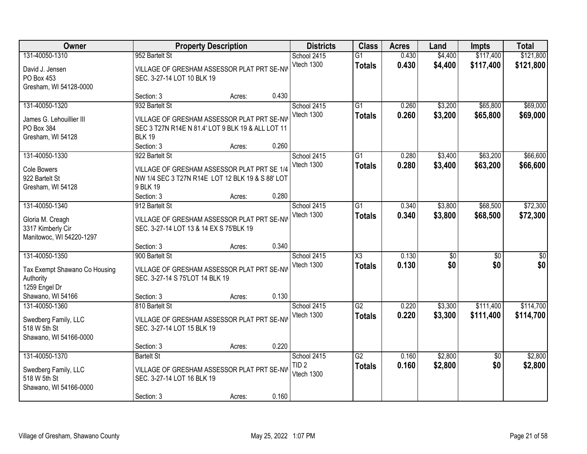| Owner                                 |                                                                                       | <b>Property Description</b> |       | <b>Districts</b> | <b>Class</b>        | <b>Acres</b> | Land            | <b>Impts</b>    | <b>Total</b>     |
|---------------------------------------|---------------------------------------------------------------------------------------|-----------------------------|-------|------------------|---------------------|--------------|-----------------|-----------------|------------------|
| 131-40050-1310                        | 952 Bartelt St                                                                        |                             |       | School 2415      | $\overline{G1}$     | 0.430        | \$4,400         | \$117,400       | \$121,800        |
| David J. Jensen                       | VILLAGE OF GRESHAM ASSESSOR PLAT PRT SE-NV                                            |                             |       | Vtech 1300       | <b>Totals</b>       | 0.430        | \$4,400         | \$117,400       | \$121,800        |
| PO Box 453                            | SEC. 3-27-14 LOT 10 BLK 19                                                            |                             |       |                  |                     |              |                 |                 |                  |
| Gresham, WI 54128-0000                |                                                                                       |                             |       |                  |                     |              |                 |                 |                  |
|                                       | Section: 3                                                                            | Acres:                      | 0.430 |                  |                     |              |                 |                 |                  |
| 131-40050-1320                        | 932 Bartelt St                                                                        |                             |       | School 2415      | $\overline{G1}$     | 0.260        | \$3,200         | \$65,800        | \$69,000         |
| James G. Lehouillier III              | VILLAGE OF GRESHAM ASSESSOR PLAT PRT SE-NV                                            |                             |       | Vtech 1300       | <b>Totals</b>       | 0.260        | \$3,200         | \$65,800        | \$69,000         |
| PO Box 384                            | SEC 3 T27N R14E N 81.4' LOT 9 BLK 19 & ALL LOT 11                                     |                             |       |                  |                     |              |                 |                 |                  |
| Gresham, WI 54128                     | <b>BLK 19</b>                                                                         |                             |       |                  |                     |              |                 |                 |                  |
|                                       | Section: 3                                                                            | Acres:                      | 0.260 |                  |                     |              |                 |                 |                  |
| 131-40050-1330                        | 922 Bartelt St                                                                        |                             |       | School 2415      | G1                  | 0.280        | \$3,400         | \$63,200        | \$66,600         |
| Cole Bowers                           | VILLAGE OF GRESHAM ASSESSOR PLAT PRT SE 1/4                                           |                             |       | Vtech 1300       | <b>Totals</b>       | 0.280        | \$3,400         | \$63,200        | \$66,600         |
| 922 Bartelt St                        | NW 1/4 SEC 3 T27N R14E LOT 12 BLK 19 & S 88' LOT                                      |                             |       |                  |                     |              |                 |                 |                  |
| Gresham, WI 54128                     | 9 BLK 19                                                                              |                             |       |                  |                     |              |                 |                 |                  |
|                                       | Section: 3                                                                            | Acres:                      | 0.280 |                  |                     |              |                 |                 |                  |
| 131-40050-1340                        | 912 Bartelt St                                                                        |                             |       | School 2415      | G1                  | 0.340        | \$3,800         | \$68,500        | \$72,300         |
|                                       |                                                                                       |                             |       | Vtech 1300       | <b>Totals</b>       | 0.340        | \$3,800         | \$68,500        | \$72,300         |
| Gloria M. Creagh<br>3317 Kimberly Cir | VILLAGE OF GRESHAM ASSESSOR PLAT PRT SE-NW<br>SEC. 3-27-14 LOT 13 & 14 EX S 75'BLK 19 |                             |       |                  |                     |              |                 |                 |                  |
| Manitowoc, WI 54220-1297              |                                                                                       |                             |       |                  |                     |              |                 |                 |                  |
|                                       | Section: 3                                                                            | Acres:                      | 0.340 |                  |                     |              |                 |                 |                  |
| 131-40050-1350                        | 900 Bartelt St                                                                        |                             |       | School 2415      | $\overline{\chi_3}$ | 0.130        | $\overline{50}$ | $\overline{30}$ | $\overline{\$0}$ |
|                                       |                                                                                       |                             |       | Vtech 1300       | <b>Totals</b>       | 0.130        | \$0             | \$0             | \$0              |
| Tax Exempt Shawano Co Housing         | VILLAGE OF GRESHAM ASSESSOR PLAT PRT SE-NV                                            |                             |       |                  |                     |              |                 |                 |                  |
| Authority<br>1259 Engel Dr            | SEC. 3-27-14 S 75'LOT 14 BLK 19                                                       |                             |       |                  |                     |              |                 |                 |                  |
| Shawano, WI 54166                     | Section: 3                                                                            | Acres:                      | 0.130 |                  |                     |              |                 |                 |                  |
| 131-40050-1360                        | 810 Bartelt St                                                                        |                             |       | School 2415      | G2                  | 0.220        | \$3,300         | \$111,400       | \$114,700        |
|                                       |                                                                                       |                             |       | Vtech 1300       | <b>Totals</b>       | 0.220        | \$3,300         | \$111,400       | \$114,700        |
| Swedberg Family, LLC                  | VILLAGE OF GRESHAM ASSESSOR PLAT PRT SE-NV                                            |                             |       |                  |                     |              |                 |                 |                  |
| 518 W 5th St                          | SEC. 3-27-14 LOT 15 BLK 19                                                            |                             |       |                  |                     |              |                 |                 |                  |
| Shawano, WI 54166-0000                | Section: 3                                                                            | Acres:                      | 0.220 |                  |                     |              |                 |                 |                  |
| 131-40050-1370                        | <b>Bartelt St</b>                                                                     |                             |       | School 2415      | $\overline{G2}$     | 0.160        | \$2,800         | $\overline{50}$ | \$2,800          |
|                                       |                                                                                       |                             |       | TID <sub>2</sub> | <b>Totals</b>       | 0.160        | \$2,800         | \$0             | \$2,800          |
| Swedberg Family, LLC                  | VILLAGE OF GRESHAM ASSESSOR PLAT PRT SE-NV                                            |                             |       | Vtech 1300       |                     |              |                 |                 |                  |
| 518 W 5th St                          | SEC. 3-27-14 LOT 16 BLK 19                                                            |                             |       |                  |                     |              |                 |                 |                  |
| Shawano, WI 54166-0000                |                                                                                       |                             |       |                  |                     |              |                 |                 |                  |
|                                       | Section: 3                                                                            | Acres:                      | 0.160 |                  |                     |              |                 |                 |                  |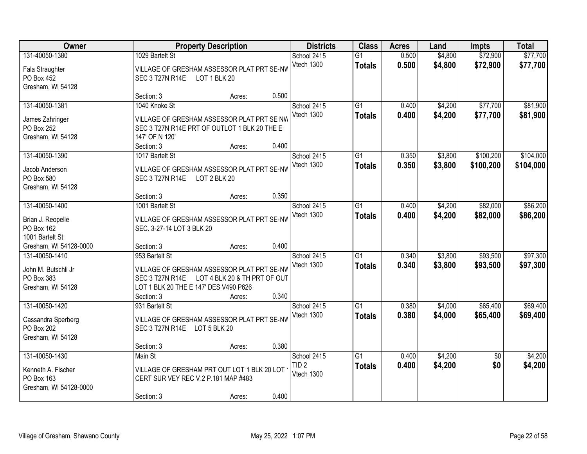| Owner                                                                                              |                                                                                                        | <b>Property Description</b>                                                                          |                | <b>Districts</b>                              | <b>Class</b>                     | <b>Acres</b>   | Land               | <b>Impts</b>           | <b>Total</b>           |
|----------------------------------------------------------------------------------------------------|--------------------------------------------------------------------------------------------------------|------------------------------------------------------------------------------------------------------|----------------|-----------------------------------------------|----------------------------------|----------------|--------------------|------------------------|------------------------|
| 131-40050-1380<br>Fala Straughter<br>PO Box 452<br>Gresham, WI 54128                               | 1029 Bartelt St<br>SEC 3 T27N R14E                                                                     | VILLAGE OF GRESHAM ASSESSOR PLAT PRT SE-NV<br>LOT 1 BLK 20                                           |                | School 2415<br>Vtech 1300                     | $\overline{G1}$<br><b>Totals</b> | 0.500<br>0.500 | \$4,800<br>\$4,800 | \$72,900<br>\$72,900   | \$77,700<br>\$77,700   |
|                                                                                                    | Section: 3                                                                                             | Acres:                                                                                               | 0.500          |                                               |                                  |                |                    |                        |                        |
| 131-40050-1381<br>James Zahringer<br>PO Box 252<br>Gresham, WI 54128                               | 1040 Knoke St<br>147' OF N 120'<br>Section: 3                                                          | VILLAGE OF GRESHAM ASSESSOR PLAT PRT SE NW<br>SEC 3 T27N R14E PRT OF OUTLOT 1 BLK 20 THE E<br>Acres: | 0.400          | School 2415<br>Vtech 1300                     | $\overline{G1}$<br><b>Totals</b> | 0.400<br>0.400 | \$4,200<br>\$4,200 | \$77,700<br>\$77,700   | \$81,900<br>\$81,900   |
| 131-40050-1390<br>Jacob Anderson<br>PO Box 580<br>Gresham, WI 54128                                | 1017 Bartelt St<br>SEC 3 T27N R14E                                                                     | VILLAGE OF GRESHAM ASSESSOR PLAT PRT SE-NV<br>LOT 2 BLK 20                                           | 0.350          | School 2415<br>Vtech 1300                     | G <sub>1</sub><br><b>Totals</b>  | 0.350<br>0.350 | \$3,800<br>\$3,800 | \$100,200<br>\$100,200 | \$104,000<br>\$104,000 |
| 131-40050-1400<br>Brian J. Reopelle<br>PO Box 162<br>1001 Bartelt St                               | Section: 3<br>1001 Bartelt St<br>SEC. 3-27-14 LOT 3 BLK 20                                             | Acres:<br>VILLAGE OF GRESHAM ASSESSOR PLAT PRT SE-NW                                                 |                | School 2415<br>Vtech 1300                     | G1<br><b>Totals</b>              | 0.400<br>0.400 | \$4,200<br>\$4,200 | \$82,000<br>\$82,000   | \$86,200<br>\$86,200   |
| Gresham, WI 54128-0000<br>131-40050-1410<br>John M. Butschli Jr<br>PO Box 383<br>Gresham, WI 54128 | Section: 3<br>953 Bartelt St<br>SEC 3 T27N R14E<br>LOT 1 BLK 20 THE E 147' DES V490 P626<br>Section: 3 | Acres:<br>VILLAGE OF GRESHAM ASSESSOR PLAT PRT SE-NV<br>LOT 4 BLK 20 & TH PRT OF OUT<br>Acres:       | 0.400<br>0.340 | School 2415<br>Vtech 1300                     | $\overline{G1}$<br><b>Totals</b> | 0.340<br>0.340 | \$3,800<br>\$3,800 | \$93,500<br>\$93,500   | \$97,300<br>\$97,300   |
| 131-40050-1420<br>Cassandra Sperberg<br>PO Box 202<br>Gresham, WI 54128                            | 931 Bartelt St<br>SEC 3 T27N R14E LOT 5 BLK 20<br>Section: 3                                           | VILLAGE OF GRESHAM ASSESSOR PLAT PRT SE-NV<br>Acres:                                                 | 0.380          | School 2415<br>Vtech 1300                     | $\overline{G1}$<br><b>Totals</b> | 0.380<br>0.380 | \$4,000<br>\$4,000 | \$65,400<br>\$65,400   | \$69,400<br>\$69,400   |
| 131-40050-1430<br>Kenneth A. Fischer<br>PO Box 163<br>Gresham, WI 54128-0000                       | Main St<br>CERT SUR VEY REC V.2 P.181 MAP #483<br>Section: 3                                           | VILLAGE OF GRESHAM PRT OUT LOT 1 BLK 20 LOT<br>Acres:                                                | 0.400          | School 2415<br>TID <sub>2</sub><br>Vtech 1300 | $\overline{G1}$<br><b>Totals</b> | 0.400<br>0.400 | \$4,200<br>\$4,200 | $\overline{50}$<br>\$0 | \$4,200<br>\$4,200     |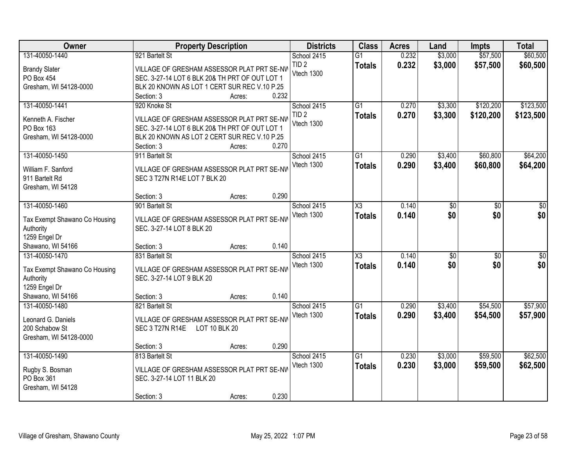| Owner                                |                                                                            | <b>Property Description</b> |       | <b>Districts</b> | <b>Class</b>        | <b>Acres</b> | Land            | <b>Impts</b>    | <b>Total</b>     |
|--------------------------------------|----------------------------------------------------------------------------|-----------------------------|-------|------------------|---------------------|--------------|-----------------|-----------------|------------------|
| 131-40050-1440                       | 921 Bartelt St                                                             |                             |       | School 2415      | $\overline{G1}$     | 0.232        | \$3,000         | \$57,500        | \$60,500         |
| <b>Brandy Slater</b>                 | VILLAGE OF GRESHAM ASSESSOR PLAT PRT SE-NV                                 |                             |       | TID <sub>2</sub> | <b>Totals</b>       | 0.232        | \$3,000         | \$57,500        | \$60,500         |
| PO Box 454                           | SEC. 3-27-14 LOT 6 BLK 20& TH PRT OF OUT LOT 1                             |                             |       | Vtech 1300       |                     |              |                 |                 |                  |
| Gresham, WI 54128-0000               | BLK 20 KNOWN AS LOT 1 CERT SUR REC V.10 P.25                               |                             |       |                  |                     |              |                 |                 |                  |
|                                      | Section: 3                                                                 | Acres:                      | 0.232 |                  |                     |              |                 |                 |                  |
| 131-40050-1441                       | 920 Knoke St                                                               |                             |       | School 2415      | $\overline{G1}$     | 0.270        | \$3,300         | \$120,200       | \$123,500        |
| Kenneth A. Fischer                   | VILLAGE OF GRESHAM ASSESSOR PLAT PRT SE-NV                                 |                             |       | TID <sub>2</sub> | <b>Totals</b>       | 0.270        | \$3,300         | \$120,200       | \$123,500        |
| PO Box 163                           | SEC. 3-27-14 LOT 6 BLK 20& TH PRT OF OUT LOT 1                             |                             |       | Vtech 1300       |                     |              |                 |                 |                  |
| Gresham, WI 54128-0000               | BLK 20 KNOWN AS LOT 2 CERT SUR REC V.10 P.25                               |                             |       |                  |                     |              |                 |                 |                  |
|                                      | Section: 3                                                                 | Acres:                      | 0.270 |                  |                     |              |                 |                 |                  |
| 131-40050-1450                       | 911 Bartelt St                                                             |                             |       | School 2415      | G1                  | 0.290        | \$3,400         | \$60,800        | \$64,200         |
|                                      |                                                                            |                             |       | Vtech 1300       | <b>Totals</b>       | 0.290        | \$3,400         | \$60,800        | \$64,200         |
| William F. Sanford<br>911 Bartelt Rd | VILLAGE OF GRESHAM ASSESSOR PLAT PRT SE-NW<br>SEC 3 T27N R14E LOT 7 BLK 20 |                             |       |                  |                     |              |                 |                 |                  |
| Gresham, WI 54128                    |                                                                            |                             |       |                  |                     |              |                 |                 |                  |
|                                      | Section: 3                                                                 | Acres:                      | 0.290 |                  |                     |              |                 |                 |                  |
| 131-40050-1460                       | 901 Bartelt St                                                             |                             |       | School 2415      | X3                  | 0.140        | \$0             | \$0             | \$0              |
|                                      |                                                                            |                             |       | Vtech 1300       | <b>Totals</b>       | 0.140        | \$0             | \$0             | \$0              |
| Tax Exempt Shawano Co Housing        | VILLAGE OF GRESHAM ASSESSOR PLAT PRT SE-NW                                 |                             |       |                  |                     |              |                 |                 |                  |
| Authority                            | SEC. 3-27-14 LOT 8 BLK 20                                                  |                             |       |                  |                     |              |                 |                 |                  |
| 1259 Engel Dr                        |                                                                            |                             |       |                  |                     |              |                 |                 |                  |
| Shawano, WI 54166<br>131-40050-1470  | Section: 3<br>831 Bartelt St                                               | Acres:                      | 0.140 |                  | $\overline{\chi_3}$ | 0.140        |                 |                 |                  |
|                                      |                                                                            |                             |       | School 2415      |                     |              | $\overline{30}$ | $\overline{30}$ | $\overline{\$0}$ |
| Tax Exempt Shawano Co Housing        | VILLAGE OF GRESHAM ASSESSOR PLAT PRT SE-NV                                 |                             |       | Vtech 1300       | <b>Totals</b>       | 0.140        | \$0             | \$0             | \$0              |
| Authority                            | SEC. 3-27-14 LOT 9 BLK 20                                                  |                             |       |                  |                     |              |                 |                 |                  |
| 1259 Engel Dr                        |                                                                            |                             |       |                  |                     |              |                 |                 |                  |
| Shawano, WI 54166                    | Section: 3                                                                 | Acres:                      | 0.140 |                  |                     |              |                 |                 |                  |
| 131-40050-1480                       | 821 Bartelt St                                                             |                             |       | School 2415      | $\overline{G1}$     | 0.290        | \$3,400         | \$54,500        | \$57,900         |
| Leonard G. Daniels                   | VILLAGE OF GRESHAM ASSESSOR PLAT PRT SE-NW                                 |                             |       | Vtech 1300       | <b>Totals</b>       | 0.290        | \$3,400         | \$54,500        | \$57,900         |
| 200 Schabow St                       | SEC 3 T27N R14E                                                            | LOT 10 BLK 20               |       |                  |                     |              |                 |                 |                  |
| Gresham, WI 54128-0000               |                                                                            |                             |       |                  |                     |              |                 |                 |                  |
|                                      | Section: 3                                                                 | Acres:                      | 0.290 |                  |                     |              |                 |                 |                  |
| 131-40050-1490                       | 813 Bartelt St                                                             |                             |       | School 2415      | $\overline{G1}$     | 0.230        | \$3,000         | \$59,500        | \$62,500         |
| Rugby S. Bosman                      | VILLAGE OF GRESHAM ASSESSOR PLAT PRT SE-NW                                 |                             |       | Vtech 1300       | <b>Totals</b>       | 0.230        | \$3,000         | \$59,500        | \$62,500         |
| PO Box 361                           | SEC. 3-27-14 LOT 11 BLK 20                                                 |                             |       |                  |                     |              |                 |                 |                  |
| Gresham, WI 54128                    |                                                                            |                             |       |                  |                     |              |                 |                 |                  |
|                                      | Section: 3                                                                 | Acres:                      | 0.230 |                  |                     |              |                 |                 |                  |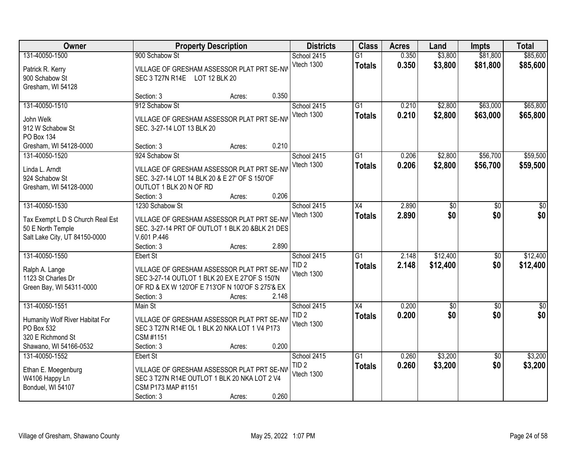| Owner                                         |                                                  | <b>Property Description</b> |       | <b>Districts</b> | <b>Class</b>    | <b>Acres</b> | Land            | <b>Impts</b>    | <b>Total</b> |
|-----------------------------------------------|--------------------------------------------------|-----------------------------|-------|------------------|-----------------|--------------|-----------------|-----------------|--------------|
| 131-40050-1500                                | 900 Schabow St                                   |                             |       | School 2415      | $\overline{G1}$ | 0.350        | \$3,800         | \$81,800        | \$85,600     |
| Patrick R. Kerry                              | VILLAGE OF GRESHAM ASSESSOR PLAT PRT SE-NW       |                             |       | Vtech 1300       | <b>Totals</b>   | 0.350        | \$3,800         | \$81,800        | \$85,600     |
| 900 Schabow St                                | SEC 3 T27N R14E LOT 12 BLK 20                    |                             |       |                  |                 |              |                 |                 |              |
| Gresham, WI 54128                             |                                                  |                             |       |                  |                 |              |                 |                 |              |
|                                               | Section: 3                                       | Acres:                      | 0.350 |                  |                 |              |                 |                 |              |
| 131-40050-1510                                | 912 Schabow St                                   |                             |       | School 2415      | G1              | 0.210        | \$2,800         | \$63,000        | \$65,800     |
| John Welk                                     | VILLAGE OF GRESHAM ASSESSOR PLAT PRT SE-NV       |                             |       | Vtech 1300       | <b>Totals</b>   | 0.210        | \$2,800         | \$63,000        | \$65,800     |
| 912 W Schabow St                              | SEC. 3-27-14 LOT 13 BLK 20                       |                             |       |                  |                 |              |                 |                 |              |
| PO Box 134                                    |                                                  |                             |       |                  |                 |              |                 |                 |              |
| Gresham, WI 54128-0000                        | Section: 3                                       | Acres:                      | 0.210 |                  |                 |              |                 |                 |              |
| 131-40050-1520                                | 924 Schabow St                                   |                             |       | School 2415      | $\overline{G1}$ | 0.206        | \$2,800         | \$56,700        | \$59,500     |
| Linda L. Arndt                                | VILLAGE OF GRESHAM ASSESSOR PLAT PRT SE-NV       |                             |       | Vtech 1300       | <b>Totals</b>   | 0.206        | \$2,800         | \$56,700        | \$59,500     |
| 924 Schabow St                                | SEC. 3-27-14 LOT 14 BLK 20 & E 27' OF S 150'OF   |                             |       |                  |                 |              |                 |                 |              |
| Gresham, WI 54128-0000                        | OUTLOT 1 BLK 20 N OF RD                          |                             |       |                  |                 |              |                 |                 |              |
|                                               | Section: 3                                       | Acres:                      | 0.206 |                  |                 |              |                 |                 |              |
| 131-40050-1530                                | 1230 Schabow St                                  |                             |       | School 2415      | X4              | 2.890        | \$0             | \$0             | \$0          |
| Tax Exempt L D S Church Real Est              | VILLAGE OF GRESHAM ASSESSOR PLAT PRT SE-NW       |                             |       | Vtech 1300       | <b>Totals</b>   | 2.890        | \$0             | \$0             | \$0          |
| 50 E North Temple                             | SEC. 3-27-14 PRT OF OUTLOT 1 BLK 20 &BLK 21 DES  |                             |       |                  |                 |              |                 |                 |              |
| Salt Lake City, UT 84150-0000                 | V.601 P.446                                      |                             |       |                  |                 |              |                 |                 |              |
|                                               | Section: 3                                       | Acres:                      | 2.890 |                  |                 |              |                 |                 |              |
| 131-40050-1550                                | Ebert St                                         |                             |       | School 2415      | $\overline{G1}$ | 2.148        | \$12,400        | $\overline{30}$ | \$12,400     |
| Ralph A. Lange                                | VILLAGE OF GRESHAM ASSESSOR PLAT PRT SE-NW       |                             |       | TID <sub>2</sub> | <b>Totals</b>   | 2.148        | \$12,400        | \$0             | \$12,400     |
| 1123 St Charles Dr                            | SEC 3-27-14 OUTLOT 1 BLK 20 EX E 27'OF S 150'N   |                             |       | Vtech 1300       |                 |              |                 |                 |              |
| Green Bay, WI 54311-0000                      | OF RD & EX W 120'OF E 713'OF N 100'OF S 275'& EX |                             |       |                  |                 |              |                 |                 |              |
|                                               | Section: 3                                       | Acres:                      | 2.148 |                  |                 |              |                 |                 |              |
| 131-40050-1551                                | Main St                                          |                             |       | School 2415      | $\overline{X4}$ | 0.200        | $\overline{60}$ | $\sqrt{6}$      | $\sqrt{50}$  |
|                                               | VILLAGE OF GRESHAM ASSESSOR PLAT PRT SE-NW       |                             |       | TID <sub>2</sub> | <b>Totals</b>   | 0.200        | \$0             | \$0             | \$0          |
| Humanity Wolf River Habitat For<br>PO Box 532 | SEC 3 T27N R14E OL 1 BLK 20 NKA LOT 1 V4 P173    |                             |       | Vtech 1300       |                 |              |                 |                 |              |
| 320 E Richmond St                             | CSM #1151                                        |                             |       |                  |                 |              |                 |                 |              |
| Shawano, WI 54166-0532                        | Section: 3                                       | Acres:                      | 0.200 |                  |                 |              |                 |                 |              |
| 131-40050-1552                                | Ebert St                                         |                             |       | School 2415      | $\overline{G1}$ | 0.260        | \$3,200         | $\overline{50}$ | \$3,200      |
|                                               | VILLAGE OF GRESHAM ASSESSOR PLAT PRT SE-NW       |                             |       | TID <sub>2</sub> | <b>Totals</b>   | 0.260        | \$3,200         | \$0             | \$3,200      |
| Ethan E. Moegenburg<br>W4106 Happy Ln         | SEC 3 T27N R14E OUTLOT 1 BLK 20 NKA LOT 2 V4     |                             |       | Vtech 1300       |                 |              |                 |                 |              |
| Bonduel, WI 54107                             | CSM P173 MAP #1151                               |                             |       |                  |                 |              |                 |                 |              |
|                                               | Section: 3                                       | Acres:                      | 0.260 |                  |                 |              |                 |                 |              |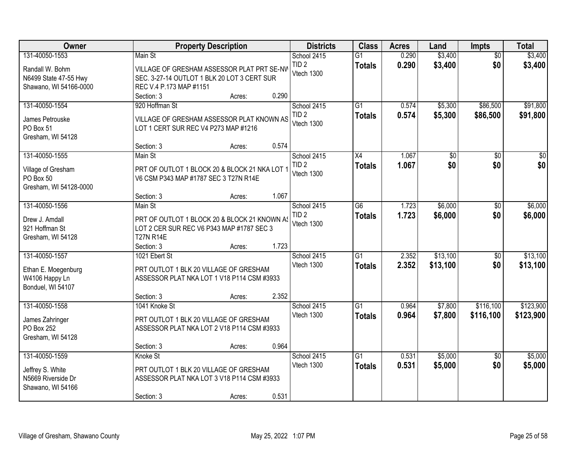| Owner                                                                         | <b>Property Description</b>                                                                                              |        |       | <b>Districts</b>                              | <b>Class</b>                     | <b>Acres</b>   | Land                   | <b>Impts</b>           | <b>Total</b>           |
|-------------------------------------------------------------------------------|--------------------------------------------------------------------------------------------------------------------------|--------|-------|-----------------------------------------------|----------------------------------|----------------|------------------------|------------------------|------------------------|
| 131-40050-1553                                                                | Main St                                                                                                                  |        |       | School 2415                                   | $\overline{G1}$                  | 0.290          | \$3,400                | $\overline{50}$        | \$3,400                |
| Randall W. Bohm<br>N6499 State 47-55 Hwy<br>Shawano, WI 54166-0000            | VILLAGE OF GRESHAM ASSESSOR PLAT PRT SE-NV<br>SEC. 3-27-14 OUTLOT 1 BLK 20 LOT 3 CERT SUR<br>REC V.4 P.173 MAP #1151     |        |       | TID <sub>2</sub><br>Vtech 1300                | <b>Totals</b>                    | 0.290          | \$3,400                | \$0                    | \$3,400                |
|                                                                               | Section: 3                                                                                                               | Acres: | 0.290 |                                               |                                  |                |                        |                        |                        |
| 131-40050-1554<br>James Petrouske<br>PO Box 51<br>Gresham, WI 54128           | 920 Hoffman St<br>VILLAGE OF GRESHAM ASSESSOR PLAT KNOWN AS<br>LOT 1 CERT SUR REC V4 P273 MAP #1216                      |        |       | School 2415<br>TID <sub>2</sub><br>Vtech 1300 | $\overline{G1}$<br><b>Totals</b> | 0.574<br>0.574 | \$5,300<br>\$5,300     | \$86,500<br>\$86,500   | \$91,800<br>\$91,800   |
|                                                                               | Section: 3                                                                                                               | Acres: | 0.574 |                                               |                                  |                |                        |                        |                        |
| 131-40050-1555<br>Village of Gresham<br>PO Box 50<br>Gresham, WI 54128-0000   | Main St<br>PRT OF OUTLOT 1 BLOCK 20 & BLOCK 21 NKA LOT 1<br>V6 CSM P343 MAP #1787 SEC 3 T27N R14E                        |        |       | School 2415<br>TID <sub>2</sub><br>Vtech 1300 | X4<br><b>Totals</b>              | 1.067<br>1.067 | $\overline{50}$<br>\$0 | \$0<br>\$0             | $\overline{50}$<br>\$0 |
|                                                                               | Section: 3                                                                                                               | Acres: | 1.067 |                                               |                                  |                |                        |                        |                        |
| 131-40050-1556<br>Drew J. Amdall<br>921 Hoffman St<br>Gresham, WI 54128       | Main St<br>PRT OF OUTLOT 1 BLOCK 20 & BLOCK 21 KNOWN AS<br>LOT 2 CER SUR REC V6 P343 MAP #1787 SEC 3<br><b>T27N R14E</b> |        |       | School 2415<br>TID <sub>2</sub><br>Vtech 1300 | G6<br><b>Totals</b>              | 1.723<br>1.723 | \$6,000<br>\$6,000     | $\sqrt[6]{}$<br>\$0    | \$6,000<br>\$6,000     |
|                                                                               | Section: 3                                                                                                               | Acres: | 1.723 |                                               |                                  |                |                        |                        |                        |
| 131-40050-1557<br>Ethan E. Moegenburg<br>W4106 Happy Ln<br>Bonduel, WI 54107  | 1021 Ebert St<br>PRT OUTLOT 1 BLK 20 VILLAGE OF GRESHAM<br>ASSESSOR PLAT NKA LOT 1 V18 P114 CSM #3933                    |        |       | School 2415<br>Vtech 1300                     | $\overline{G1}$<br>Totals        | 2.352<br>2.352 | \$13,100<br>\$13,100   | $\overline{50}$<br>\$0 | \$13,100<br>\$13,100   |
|                                                                               | Section: 3                                                                                                               | Acres: | 2.352 |                                               |                                  |                |                        |                        |                        |
| 131-40050-1558<br>James Zahringer<br>PO Box 252<br>Gresham, WI 54128          | 1041 Knoke St<br>PRT OUTLOT 1 BLK 20 VILLAGE OF GRESHAM<br>ASSESSOR PLAT NKA LOT 2 V18 P114 CSM #3933                    |        |       | School 2415<br>Vtech 1300                     | G1<br><b>Totals</b>              | 0.964<br>0.964 | \$7,800<br>\$7,800     | \$116,100<br>\$116,100 | \$123,900<br>\$123,900 |
|                                                                               | Section: 3                                                                                                               | Acres: | 0.964 |                                               |                                  |                |                        |                        |                        |
| 131-40050-1559<br>Jeffrey S. White<br>N5669 Riverside Dr<br>Shawano, WI 54166 | Knoke St<br>PRT OUTLOT 1 BLK 20 VILLAGE OF GRESHAM<br>ASSESSOR PLAT NKA LOT 3 V18 P114 CSM #3933<br>Section: 3           | Acres: | 0.531 | School 2415<br>Vtech 1300                     | $\overline{G1}$<br><b>Totals</b> | 0.531<br>0.531 | \$5,000<br>\$5,000     | $\overline{50}$<br>\$0 | \$5,000<br>\$5,000     |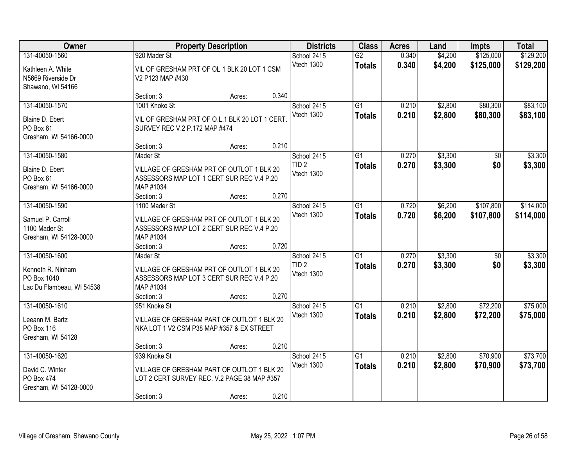| Owner                                                                           |                                                                                                                               | <b>Property Description</b> |       | <b>Districts</b>                              | <b>Class</b>                     | <b>Acres</b>   | Land               | <b>Impts</b>           | <b>Total</b>           |
|---------------------------------------------------------------------------------|-------------------------------------------------------------------------------------------------------------------------------|-----------------------------|-------|-----------------------------------------------|----------------------------------|----------------|--------------------|------------------------|------------------------|
| 131-40050-1560<br>Kathleen A. White<br>N5669 Riverside Dr<br>Shawano, WI 54166  | 920 Mader St<br>VIL OF GRESHAM PRT OF OL 1 BLK 20 LOT 1 CSM<br>V2 P123 MAP #430                                               |                             |       | School 2415<br>Vtech 1300                     | $\overline{G2}$<br><b>Totals</b> | 0.340<br>0.340 | \$4,200<br>\$4,200 | \$125,000<br>\$125,000 | \$129,200<br>\$129,200 |
|                                                                                 | Section: 3                                                                                                                    | Acres:                      | 0.340 |                                               |                                  |                |                    |                        |                        |
| 131-40050-1570<br>Blaine D. Ebert<br>PO Box 61<br>Gresham, WI 54166-0000        | 1001 Knoke St<br>VIL OF GRESHAM PRT OF O.L.1 BLK 20 LOT 1 CERT<br>SURVEY REC V.2 P.172 MAP #474                               |                             |       | School 2415<br>Vtech 1300                     | $\overline{G1}$<br><b>Totals</b> | 0.210<br>0.210 | \$2,800<br>\$2,800 | \$80,300<br>\$80,300   | \$83,100<br>\$83,100   |
|                                                                                 | Section: 3                                                                                                                    | Acres:                      | 0.210 |                                               |                                  |                |                    |                        |                        |
| 131-40050-1580<br>Blaine D. Ebert<br>PO Box 61<br>Gresham, WI 54166-0000        | Mader St<br>VILLAGE OF GRESHAM PRT OF OUTLOT 1 BLK 20<br>ASSESSORS MAP LOT 1 CERT SUR REC V.4 P.20<br>MAP #1034<br>Section: 3 | Acres:                      | 0.270 | School 2415<br>TID <sub>2</sub><br>Vtech 1300 | G1<br><b>Totals</b>              | 0.270<br>0.270 | \$3,300<br>\$3,300 | \$0<br>\$0             | \$3,300<br>\$3,300     |
| 131-40050-1590                                                                  | 1100 Mader St                                                                                                                 |                             |       | School 2415                                   | G1                               | 0.720          | \$6,200            | \$107,800              | \$114,000              |
| Samuel P. Carroll<br>1100 Mader St<br>Gresham, WI 54128-0000                    | VILLAGE OF GRESHAM PRT OF OUTLOT 1 BLK 20<br>ASSESSORS MAP LOT 2 CERT SUR REC V.4 P.20<br>MAP #1034                           |                             |       | Vtech 1300                                    | <b>Totals</b>                    | 0.720          | \$6,200            | \$107,800              | \$114,000              |
|                                                                                 | Section: 3                                                                                                                    | Acres:                      | 0.720 |                                               |                                  |                |                    |                        |                        |
| 131-40050-1600<br>Kenneth R. Ninham<br>PO Box 1040<br>Lac Du Flambeau, WI 54538 | Mader St<br>VILLAGE OF GRESHAM PRT OF OUTLOT 1 BLK 20<br>ASSESSORS MAP LOT 3 CERT SUR REC V.4 P.20<br>MAP #1034               |                             |       | School 2415<br>TID <sub>2</sub><br>Vtech 1300 | $\overline{G1}$<br><b>Totals</b> | 0.270<br>0.270 | \$3,300<br>\$3,300 | \$0<br>\$0             | \$3,300<br>\$3,300     |
| 131-40050-1610                                                                  | Section: 3<br>951 Knoke St                                                                                                    | Acres:                      | 0.270 |                                               | $\overline{G1}$                  | 0.210          | \$2,800            | \$72,200               | \$75,000               |
| Leeann M. Bartz<br>PO Box 116<br>Gresham, WI 54128                              | VILLAGE OF GRESHAM PART OF OUTLOT 1 BLK 20<br>NKA LOT 1 V2 CSM P38 MAP #357 & EX STREET                                       |                             |       | School 2415<br>Vtech 1300                     | <b>Totals</b>                    | 0.210          | \$2,800            | \$72,200               | \$75,000               |
|                                                                                 | Section: 3                                                                                                                    | Acres:                      | 0.210 |                                               |                                  |                |                    |                        |                        |
| 131-40050-1620<br>David C. Winter<br>PO Box 474<br>Gresham, WI 54128-0000       | 939 Knoke St<br>VILLAGE OF GRESHAM PART OF OUTLOT 1 BLK 20<br>LOT 2 CERT SURVEY REC. V.2 PAGE 38 MAP #357<br>Section: 3       | Acres:                      | 0.210 | School 2415<br>Vtech 1300                     | G1<br><b>Totals</b>              | 0.210<br>0.210 | \$2,800<br>\$2,800 | \$70,900<br>\$70,900   | \$73,700<br>\$73,700   |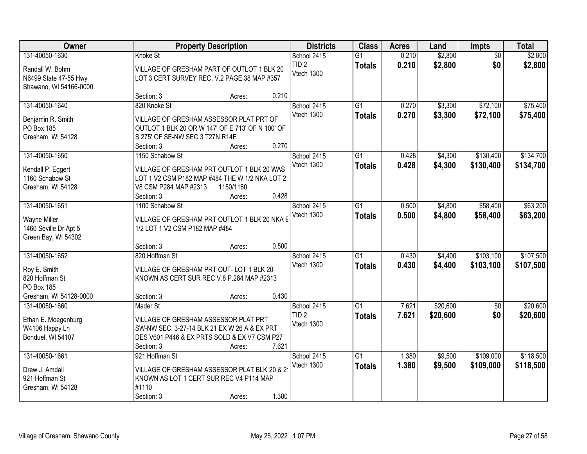| Owner                                                                                    |                                                                                                                                                        | <b>Property Description</b> |       | <b>Districts</b>               | <b>Class</b>                     | <b>Acres</b>   | Land               | <b>Impts</b>           | <b>Total</b>           |
|------------------------------------------------------------------------------------------|--------------------------------------------------------------------------------------------------------------------------------------------------------|-----------------------------|-------|--------------------------------|----------------------------------|----------------|--------------------|------------------------|------------------------|
| 131-40050-1630                                                                           | Knoke St                                                                                                                                               |                             |       | School 2415                    | $\overline{G1}$                  | 0.210          | \$2,800            | $\overline{50}$        | \$2,800                |
| Randall W. Bohm<br>N6499 State 47-55 Hwy<br>Shawano, WI 54166-0000                       | VILLAGE OF GRESHAM PART OF OUTLOT 1 BLK 20<br>LOT 3 CERT SURVEY REC. V.2 PAGE 38 MAP #357                                                              |                             |       | TID <sub>2</sub><br>Vtech 1300 | <b>Totals</b>                    | 0.210          | \$2,800            | \$0                    | \$2,800                |
|                                                                                          | Section: 3                                                                                                                                             | Acres:                      | 0.210 |                                |                                  |                |                    |                        |                        |
| 131-40050-1640                                                                           | 820 Knoke St                                                                                                                                           |                             |       | School 2415<br>Vtech 1300      | G1<br><b>Totals</b>              | 0.270<br>0.270 | \$3,300<br>\$3,300 | \$72,100<br>\$72,100   | \$75,400<br>\$75,400   |
| Benjamin R. Smith<br>PO Box 185<br>Gresham, WI 54128                                     | VILLAGE OF GRESHAM ASSESSOR PLAT PRT OF<br>OUTLOT 1 BLK 20 OR W 147' OF E 713' OF N 100' OF<br>S 275' OF SE-NW SEC 3 T27N R14E                         |                             |       |                                |                                  |                |                    |                        |                        |
|                                                                                          | Section: 3                                                                                                                                             | Acres:                      | 0.270 |                                |                                  |                |                    |                        |                        |
| 131-40050-1650<br>Kendall P. Eggert<br>1160 Schabow St<br>Gresham, WI 54128              | 1150 Schabow St<br>VILLAGE OF GRESHAM PRT OUTLOT 1 BLK 20 WAS<br>LOT 1 V2 CSM P182 MAP #484 THE W 1/2 NKA LOT 2<br>V8 CSM P284 MAP #2313<br>Section: 3 | 1150/1160<br>Acres:         | 0.428 | School 2415<br>Vtech 1300      | $\overline{G1}$<br><b>Totals</b> | 0.428<br>0.428 | \$4,300<br>\$4,300 | \$130,400<br>\$130,400 | \$134,700<br>\$134,700 |
| 131-40050-1651                                                                           | 1100 Schabow St                                                                                                                                        |                             |       | School 2415                    | $\overline{G1}$                  | 0.500          | \$4,800            | \$58,400               | \$63,200               |
| Wayne Miller<br>1460 Seville Dr Apt 5<br>Green Bay, WI 54302                             | VILLAGE OF GRESHAM PRT OUTLOT 1 BLK 20 NKA E<br>1/2 LOT 1 V2 CSM P182 MAP #484                                                                         |                             |       | Vtech 1300                     | <b>Totals</b>                    | 0.500          | \$4,800            | \$58,400               | \$63,200               |
|                                                                                          | Section: 3                                                                                                                                             | Acres:                      | 0.500 |                                |                                  |                |                    |                        |                        |
| 131-40050-1652<br>Roy E. Smith<br>820 Hoffman St<br>PO Box 185<br>Gresham, WI 54128-0000 | 820 Hoffman St<br>VILLAGE OF GRESHAM PRT OUT-LOT 1 BLK 20<br>KNOWN AS CERT SUR REC V.8 P.284 MAP #2313<br>Section: 3                                   | Acres:                      | 0.430 | School 2415<br>Vtech 1300      | $\overline{G1}$<br><b>Totals</b> | 0.430<br>0.430 | \$4,400<br>\$4,400 | \$103,100<br>\$103,100 | \$107,500<br>\$107,500 |
| 131-40050-1660                                                                           | Mader St                                                                                                                                               |                             |       | School 2415                    | $\overline{G1}$                  | 7.621          | \$20,600           | $\overline{50}$        | \$20,600               |
| Ethan E. Moegenburg<br>W4106 Happy Ln<br>Bonduel, WI 54107                               | VILLAGE OF GRESHAM ASSESSOR PLAT PRT<br>SW-NW SEC. 3-27-14 BLK 21 EX W 26 A & EX PRT<br>DES V601 P446 & EX PRTS SOLD & EX V7 CSM P27<br>Section: 3     | Acres:                      | 7.621 | TID <sub>2</sub><br>Vtech 1300 | <b>Totals</b>                    | 7.621          | \$20,600           | \$0                    | \$20,600               |
| 131-40050-1661                                                                           | 921 Hoffman St                                                                                                                                         |                             |       | School 2415                    | $\overline{G1}$                  | 1.380          | \$9,500            | \$109,000              | \$118,500              |
| Drew J. Amdall<br>921 Hoffman St<br>Gresham, WI 54128                                    | VILLAGE OF GRESHAM ASSESSOR PLAT BLK 20 & 2<br>KNOWN AS LOT 1 CERT SUR REC V4 P114 MAP<br>#1110<br>Section: 3                                          | Acres:                      | 1.380 | Vtech 1300                     | <b>Totals</b>                    | 1.380          | \$9,500            | \$109,000              | \$118,500              |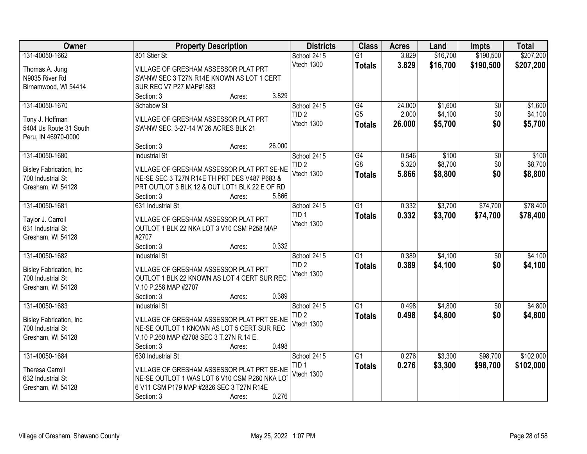| Owner                                         | <b>Property Description</b>                                     | <b>Districts</b> | <b>Class</b>    | <b>Acres</b> | Land     | <b>Impts</b>    | <b>Total</b> |
|-----------------------------------------------|-----------------------------------------------------------------|------------------|-----------------|--------------|----------|-----------------|--------------|
| 131-40050-1662                                | 801 Stier St                                                    | School 2415      | $\overline{G1}$ | 3.829        | \$16,700 | \$190,500       | \$207,200    |
| Thomas A. Jung                                | VILLAGE OF GRESHAM ASSESSOR PLAT PRT                            | Vtech 1300       | <b>Totals</b>   | 3.829        | \$16,700 | \$190,500       | \$207,200    |
| N9035 River Rd                                | SW-NW SEC 3 T27N R14E KNOWN AS LOT 1 CERT                       |                  |                 |              |          |                 |              |
| Birnamwood, WI 54414                          | SUR REC V7 P27 MAP#1883                                         |                  |                 |              |          |                 |              |
|                                               | 3.829<br>Section: 3<br>Acres:                                   |                  |                 |              |          |                 |              |
| 131-40050-1670                                | Schabow St                                                      | School 2415      | G4              | 24.000       | \$1,600  | $\overline{50}$ | \$1,600      |
|                                               |                                                                 | TID <sub>2</sub> | G <sub>5</sub>  | 2.000        | \$4,100  | \$0             | \$4,100      |
| Tony J. Hoffman                               | VILLAGE OF GRESHAM ASSESSOR PLAT PRT                            | Vtech 1300       | <b>Totals</b>   | 26.000       | \$5,700  | \$0             | \$5,700      |
| 5404 Us Route 31 South<br>Peru, IN 46970-0000 | SW-NW SEC. 3-27-14 W 26 ACRES BLK 21                            |                  |                 |              |          |                 |              |
|                                               | 26.000<br>Section: 3<br>Acres:                                  |                  |                 |              |          |                 |              |
| 131-40050-1680                                | <b>Industrial St</b>                                            | School 2415      | G4              | 0.546        | \$100    | \$0             | \$100        |
|                                               |                                                                 | TID <sub>2</sub> | G8              | 5.320        | \$8,700  | \$0             | \$8,700      |
| <b>Bisley Fabrication, Inc.</b>               | VILLAGE OF GRESHAM ASSESSOR PLAT PRT SE-NE                      | Vtech 1300       | <b>Totals</b>   | 5.866        | \$8,800  | \$0             | \$8,800      |
| 700 Industrial St                             | NE-SE SEC 3 T27N R14E TH PRT DES V487 P683 &                    |                  |                 |              |          |                 |              |
| Gresham, WI 54128                             | PRT OUTLOT 3 BLK 12 & OUT LOT1 BLK 22 E OF RD                   |                  |                 |              |          |                 |              |
|                                               | 5.866<br>Section: 3<br>Acres:                                   |                  |                 |              |          |                 |              |
| 131-40050-1681                                | 631 Industrial St                                               | School 2415      | G1              | 0.332        | \$3,700  | \$74,700        | \$78,400     |
| Taylor J. Carroll                             | VILLAGE OF GRESHAM ASSESSOR PLAT PRT                            | TID <sub>1</sub> | <b>Totals</b>   | 0.332        | \$3,700  | \$74,700        | \$78,400     |
| 631 Industrial St                             | OUTLOT 1 BLK 22 NKA LOT 3 V10 CSM P258 MAP                      | Vtech 1300       |                 |              |          |                 |              |
| Gresham, WI 54128                             | #2707                                                           |                  |                 |              |          |                 |              |
|                                               | 0.332<br>Section: 3<br>Acres:                                   |                  |                 |              |          |                 |              |
| 131-40050-1682                                | <b>Industrial St</b>                                            | School 2415      | $\overline{G1}$ | 0.389        | \$4,100  | $\overline{50}$ | \$4,100      |
| Bisley Fabrication, Inc                       | VILLAGE OF GRESHAM ASSESSOR PLAT PRT                            | TID <sub>2</sub> | <b>Totals</b>   | 0.389        | \$4,100  | \$0             | \$4,100      |
| 700 Industrial St                             | OUTLOT 1 BLK 22 KNOWN AS LOT 4 CERT SUR REC                     | Vtech 1300       |                 |              |          |                 |              |
| Gresham, WI 54128                             | V.10 P.258 MAP #2707                                            |                  |                 |              |          |                 |              |
|                                               | Section: 3<br>0.389<br>Acres:                                   |                  |                 |              |          |                 |              |
| 131-40050-1683                                | <b>Industrial St</b>                                            | School 2415      | $\overline{G1}$ | 0.498        | \$4,800  | $\sqrt{6}$      | \$4,800      |
|                                               |                                                                 | TID <sub>2</sub> | <b>Totals</b>   | 0.498        | \$4,800  | \$0             | \$4,800      |
| Bisley Fabrication, Inc                       | VILLAGE OF GRESHAM ASSESSOR PLAT PRT SE-NE                      | Vtech 1300       |                 |              |          |                 |              |
| 700 Industrial St                             | NE-SE OUTLOT 1 KNOWN AS LOT 5 CERT SUR REC                      |                  |                 |              |          |                 |              |
| Gresham, WI 54128                             | V.10 P.260 MAP #2708 SEC 3 T.27N R.14 E.<br>0.498<br>Section: 3 |                  |                 |              |          |                 |              |
| 131-40050-1684                                | Acres:<br>630 Industrial St                                     | School 2415      | G1              | 0.276        | \$3,300  | \$98,700        | \$102,000    |
|                                               |                                                                 | TID <sub>1</sub> |                 | 0.276        | \$3,300  | \$98,700        | \$102,000    |
| <b>Theresa Carroll</b>                        | VILLAGE OF GRESHAM ASSESSOR PLAT PRT SE-NE                      | Vtech 1300       | <b>Totals</b>   |              |          |                 |              |
| 632 Industrial St                             | NE-SE OUTLOT 1 WAS LOT 6 V10 CSM P260 NKA LO                    |                  |                 |              |          |                 |              |
| Gresham, WI 54128                             | 6 V11 CSM P179 MAP #2826 SEC 3 T27N R14E                        |                  |                 |              |          |                 |              |
|                                               | 0.276<br>Section: 3<br>Acres:                                   |                  |                 |              |          |                 |              |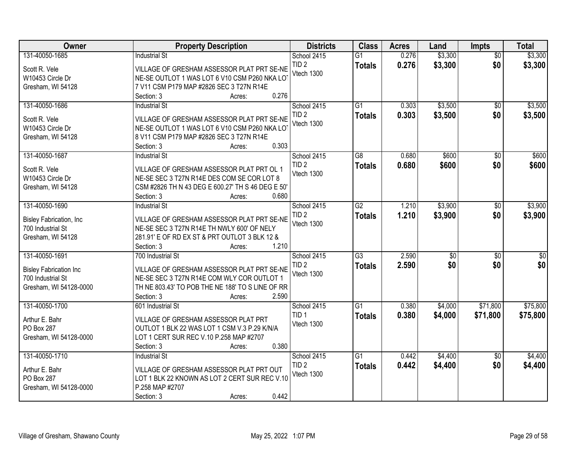| Owner                                | <b>Property Description</b>                                      | <b>Districts</b> | <b>Class</b>    | <b>Acres</b> | Land            | <b>Impts</b>    | <b>Total</b>    |
|--------------------------------------|------------------------------------------------------------------|------------------|-----------------|--------------|-----------------|-----------------|-----------------|
| 131-40050-1685                       | <b>Industrial St</b>                                             | School 2415      | $\overline{G1}$ | 0.276        | \$3,300         | $\overline{50}$ | \$3,300         |
| Scott R. Vele                        | VILLAGE OF GRESHAM ASSESSOR PLAT PRT SE-NE                       | TID <sub>2</sub> | <b>Totals</b>   | 0.276        | \$3,300         | \$0             | \$3,300         |
| W10453 Circle Dr                     | NE-SE OUTLOT 1 WAS LOT 6 V10 CSM P260 NKA LOT                    | Vtech 1300       |                 |              |                 |                 |                 |
| Gresham, WI 54128                    | 7 V11 CSM P179 MAP #2826 SEC 3 T27N R14E                         |                  |                 |              |                 |                 |                 |
|                                      | 0.276<br>Section: 3<br>Acres:                                    |                  |                 |              |                 |                 |                 |
| 131-40050-1686                       | <b>Industrial St</b>                                             | School 2415      | $\overline{G1}$ | 0.303        | \$3,500         | \$0             | \$3,500         |
| Scott R. Vele                        | VILLAGE OF GRESHAM ASSESSOR PLAT PRT SE-NE                       | TID <sub>2</sub> | <b>Totals</b>   | 0.303        | \$3,500         | \$0             | \$3,500         |
| W10453 Circle Dr                     | NE-SE OUTLOT 1 WAS LOT 6 V10 CSM P260 NKA LOT                    | Vtech 1300       |                 |              |                 |                 |                 |
| Gresham, WI 54128                    | 8 V11 CSM P179 MAP #2826 SEC 3 T27N R14E                         |                  |                 |              |                 |                 |                 |
|                                      | 0.303<br>Section: 3<br>Acres:                                    |                  |                 |              |                 |                 |                 |
| 131-40050-1687                       | <b>Industrial St</b>                                             | School 2415      | $\overline{G8}$ | 0.680        | \$600           | \$0             | \$600           |
|                                      |                                                                  | TID <sub>2</sub> | <b>Totals</b>   | 0.680        | \$600           | \$0             | \$600           |
| Scott R. Vele                        | VILLAGE OF GRESHAM ASSESSOR PLAT PRT OL 1                        | Vtech 1300       |                 |              |                 |                 |                 |
| W10453 Circle Dr                     | NE-SE SEC 3 T27N R14E DES COM SE COR LOT 8                       |                  |                 |              |                 |                 |                 |
| Gresham, WI 54128                    | CSM #2826 TH N 43 DEG E 600.27' TH S 46 DEG E 50'<br>0.680       |                  |                 |              |                 |                 |                 |
| 131-40050-1690                       | Section: 3<br>Acres:<br><b>Industrial St</b>                     | School 2415      | $\overline{G2}$ | 1.210        | \$3,900         |                 | \$3,900         |
|                                      |                                                                  | TID <sub>2</sub> |                 | 1.210        |                 | \$0<br>\$0      |                 |
| Bisley Fabrication, Inc.             | VILLAGE OF GRESHAM ASSESSOR PLAT PRT SE-NE                       | Vtech 1300       | <b>Totals</b>   |              | \$3,900         |                 | \$3,900         |
| 700 Industrial St                    | NE-SE SEC 3 T27N R14E TH NWLY 600' OF NELY                       |                  |                 |              |                 |                 |                 |
| Gresham, WI 54128                    | 281.91' E OF RD EX ST & PRT OUTLOT 3 BLK 12 &                    |                  |                 |              |                 |                 |                 |
|                                      | 1.210<br>Section: 3<br>Acres:                                    |                  |                 |              |                 |                 |                 |
| 131-40050-1691                       | 700 Industrial St                                                | School 2415      | $\overline{G3}$ | 2.590        | $\overline{50}$ | $\overline{50}$ | $\overline{50}$ |
| <b>Bisley Fabrication Inc</b>        | VILLAGE OF GRESHAM ASSESSOR PLAT PRT SE-NE                       | TID <sub>2</sub> | <b>Totals</b>   | 2.590        | \$0             | \$0             | \$0             |
| 700 Industrial St                    | NE-SE SEC 3 T27N R14E COM WLY COR OUTLOT 1                       | Vtech 1300       |                 |              |                 |                 |                 |
| Gresham, WI 54128-0000               | TH NE 803.43' TO POB THE NE 188' TO S LINE OF RR                 |                  |                 |              |                 |                 |                 |
|                                      | 2.590<br>Section: 3<br>Acres:                                    |                  |                 |              |                 |                 |                 |
| 131-40050-1700                       | 601 Industrial St                                                | School 2415      | $\overline{G1}$ | 0.380        | \$4,000         | \$71,800        | \$75,800        |
| Arthur E. Bahr                       | VILLAGE OF GRESHAM ASSESSOR PLAT PRT                             | TID <sub>1</sub> | <b>Totals</b>   | 0.380        | \$4,000         | \$71,800        | \$75,800        |
| PO Box 287                           | OUTLOT 1 BLK 22 WAS LOT 1 CSM V.3 P.29 K/N/A                     | Vtech 1300       |                 |              |                 |                 |                 |
| Gresham, WI 54128-0000               | LOT 1 CERT SUR REC V.10 P.258 MAP #2707                          |                  |                 |              |                 |                 |                 |
|                                      | 0.380<br>Section: 3<br>Acres:                                    |                  |                 |              |                 |                 |                 |
| 131-40050-1710                       | <b>Industrial St</b>                                             | School 2415      | G1              | 0.442        | \$4,400         | $\overline{30}$ | \$4,400         |
|                                      |                                                                  | TID <sub>2</sub> | <b>Totals</b>   | 0.442        | \$4,400         | \$0             | \$4,400         |
| Arthur E. Bahr                       | VILLAGE OF GRESHAM ASSESSOR PLAT PRT OUT                         | Vtech 1300       |                 |              |                 |                 |                 |
| PO Box 287<br>Gresham, WI 54128-0000 | LOT 1 BLK 22 KNOWN AS LOT 2 CERT SUR REC V.10<br>P.258 MAP #2707 |                  |                 |              |                 |                 |                 |
|                                      | 0.442<br>Section: 3<br>Acres:                                    |                  |                 |              |                 |                 |                 |
|                                      |                                                                  |                  |                 |              |                 |                 |                 |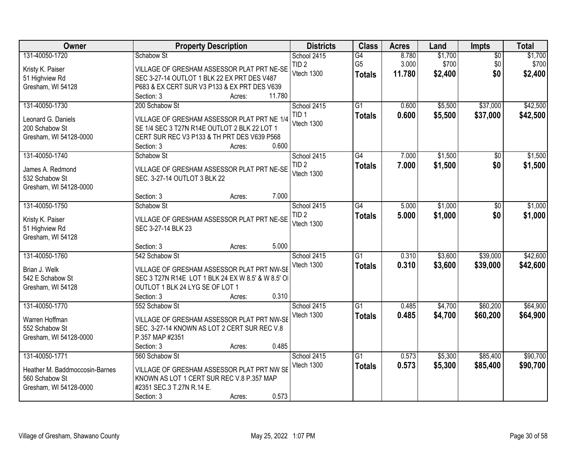| Owner                              |                                                                            | <b>Property Description</b> | <b>Districts</b> | <b>Class</b>    | <b>Acres</b> | Land    | <b>Impts</b>    | <b>Total</b> |
|------------------------------------|----------------------------------------------------------------------------|-----------------------------|------------------|-----------------|--------------|---------|-----------------|--------------|
| 131-40050-1720                     | Schabow St                                                                 |                             | School 2415      | G4              | 8.780        | \$1,700 | $\overline{50}$ | \$1,700      |
| Kristy K. Paiser                   | VILLAGE OF GRESHAM ASSESSOR PLAT PRT NE-SE                                 |                             | TID <sub>2</sub> | G <sub>5</sub>  | 3.000        | \$700   | \$0             | \$700        |
| 51 Highview Rd                     | SEC 3-27-14 OUTLOT 1 BLK 22 EX PRT DES V487                                |                             | Vtech 1300       | <b>Totals</b>   | 11.780       | \$2,400 | \$0             | \$2,400      |
| Gresham, WI 54128                  | P683 & EX CERT SUR V3 P133 & EX PRT DES V639                               |                             |                  |                 |              |         |                 |              |
|                                    | Section: 3                                                                 | 11.780<br>Acres:            |                  |                 |              |         |                 |              |
| 131-40050-1730                     | 200 Schabow St                                                             |                             | School 2415      | $\overline{G1}$ | 0.600        | \$5,500 | \$37,000        | \$42,500     |
| Leonard G. Daniels                 | VILLAGE OF GRESHAM ASSESSOR PLAT PRT NE 1/4                                |                             | TID <sub>1</sub> | <b>Totals</b>   | 0.600        | \$5,500 | \$37,000        | \$42,500     |
| 200 Schabow St                     | SE 1/4 SEC 3 T27N R14E OUTLOT 2 BLK 22 LOT 1                               |                             | Vtech 1300       |                 |              |         |                 |              |
| Gresham, WI 54128-0000             | CERT SUR REC V3 P133 & TH PRT DES V639 P568                                |                             |                  |                 |              |         |                 |              |
|                                    | Section: 3                                                                 | Acres:                      | 0.600            |                 |              |         |                 |              |
| 131-40050-1740                     | Schabow St                                                                 |                             | School 2415      | G4              | 7.000        | \$1,500 | \$0             | \$1,500      |
|                                    |                                                                            |                             | TID <sub>2</sub> | <b>Totals</b>   | 7.000        | \$1,500 | \$0             | \$1,500      |
| James A. Redmond<br>532 Schabow St | VILLAGE OF GRESHAM ASSESSOR PLAT PRT NE-SE<br>SEC. 3-27-14 OUTLOT 3 BLK 22 |                             | Vtech 1300       |                 |              |         |                 |              |
| Gresham, WI 54128-0000             |                                                                            |                             |                  |                 |              |         |                 |              |
|                                    | Section: 3                                                                 | Acres:                      | 7.000            |                 |              |         |                 |              |
| 131-40050-1750                     | Schabow St                                                                 |                             | School 2415      | $\overline{G4}$ | 5.000        | \$1,000 | $\sqrt[6]{3}$   | \$1,000      |
|                                    |                                                                            |                             | TID <sub>2</sub> | <b>Totals</b>   | 5.000        | \$1,000 | \$0             | \$1,000      |
| Kristy K. Paiser                   | VILLAGE OF GRESHAM ASSESSOR PLAT PRT NE-SE                                 |                             | Vtech 1300       |                 |              |         |                 |              |
| 51 Highview Rd                     | SEC 3-27-14 BLK 23                                                         |                             |                  |                 |              |         |                 |              |
| Gresham, WI 54128                  |                                                                            |                             | 5.000            |                 |              |         |                 |              |
| 131-40050-1760                     | Section: 3<br>542 Schabow St                                               | Acres:                      | School 2415      | $\overline{G1}$ | 0.310        | \$3,600 | \$39,000        | \$42,600     |
|                                    |                                                                            |                             | Vtech 1300       |                 | 0.310        |         |                 |              |
| Brian J. Welk                      | VILLAGE OF GRESHAM ASSESSOR PLAT PRT NW-SE                                 |                             |                  | <b>Totals</b>   |              | \$3,600 | \$39,000        | \$42,600     |
| 542 E Schabow St                   | SEC 3 T27N R14E LOT 1 BLK 24 EX W 8.5' & W 8.5' OI                         |                             |                  |                 |              |         |                 |              |
| Gresham, WI 54128                  | OUTLOT 1 BLK 24 LYG SE OF LOT 1                                            |                             |                  |                 |              |         |                 |              |
|                                    | Section: 3                                                                 | Acres:                      | 0.310            |                 |              |         |                 |              |
| 131-40050-1770                     | 552 Schabow St                                                             |                             | School 2415      | $\overline{G1}$ | 0.485        | \$4,700 | \$60,200        | \$64,900     |
| Warren Hoffman                     | VILLAGE OF GRESHAM ASSESSOR PLAT PRT NW-SE                                 |                             | Vtech 1300       | <b>Totals</b>   | 0.485        | \$4,700 | \$60,200        | \$64,900     |
| 552 Schabow St                     | SEC. 3-27-14 KNOWN AS LOT 2 CERT SUR REC V.8                               |                             |                  |                 |              |         |                 |              |
| Gresham, WI 54128-0000             | P.357 MAP #2351                                                            |                             |                  |                 |              |         |                 |              |
|                                    | Section: 3                                                                 | Acres:                      | 0.485            |                 |              |         |                 |              |
| 131-40050-1771                     | 560 Schabow St                                                             |                             | School 2415      | $\overline{G1}$ | 0.573        | \$5,300 | \$85,400        | \$90,700     |
| Heather M. Baddmoccosin-Barnes     | VILLAGE OF GRESHAM ASSESSOR PLAT PRT NW SE                                 |                             | Vtech 1300       | <b>Totals</b>   | 0.573        | \$5,300 | \$85,400        | \$90,700     |
| 560 Schabow St                     | KNOWN AS LOT 1 CERT SUR REC V.8 P.357 MAP                                  |                             |                  |                 |              |         |                 |              |
| Gresham, WI 54128-0000             | #2351 SEC.3 T.27N R.14 E.                                                  |                             |                  |                 |              |         |                 |              |
|                                    | Section: 3                                                                 | Acres:                      | 0.573            |                 |              |         |                 |              |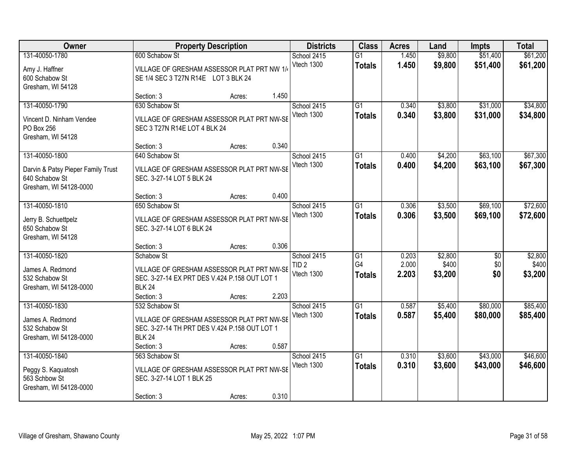| <b>Owner</b>                                                                                     |                                                                                                                                | <b>Property Description</b> |       | <b>Districts</b>               | <b>Class</b>                     | <b>Acres</b>   | Land               | <b>Impts</b>         | <b>Total</b>         |
|--------------------------------------------------------------------------------------------------|--------------------------------------------------------------------------------------------------------------------------------|-----------------------------|-------|--------------------------------|----------------------------------|----------------|--------------------|----------------------|----------------------|
| 131-40050-1780<br>Amy J. Haffner<br>600 Schabow St<br>Gresham, WI 54128                          | 600 Schabow St<br>VILLAGE OF GRESHAM ASSESSOR PLAT PRT NW 1/4<br>SE 1/4 SEC 3 T27N R14E LOT 3 BLK 24                           |                             |       | School 2415<br>Vtech 1300      | $\overline{G1}$<br><b>Totals</b> | 1.450<br>1.450 | \$9,800<br>\$9,800 | \$51,400<br>\$51,400 | \$61,200<br>\$61,200 |
|                                                                                                  | Section: 3                                                                                                                     | Acres:                      | 1.450 |                                |                                  |                |                    |                      |                      |
| 131-40050-1790<br>Vincent D. Ninham Vendee<br>PO Box 256<br>Gresham, WI 54128                    | 630 Schabow St<br>VILLAGE OF GRESHAM ASSESSOR PLAT PRT NW-SE<br>SEC 3 T27N R14E LOT 4 BLK 24                                   |                             |       | School 2415<br>Vtech 1300      | $\overline{G1}$<br><b>Totals</b> | 0.340<br>0.340 | \$3,800<br>\$3,800 | \$31,000<br>\$31,000 | \$34,800<br>\$34,800 |
|                                                                                                  | Section: 3                                                                                                                     | Acres:                      | 0.340 |                                |                                  |                |                    |                      |                      |
| 131-40050-1800<br>Darvin & Patsy Pieper Family Trust<br>640 Schabow St<br>Gresham, WI 54128-0000 | 640 Schabow St<br>VILLAGE OF GRESHAM ASSESSOR PLAT PRT NW-SE<br>SEC. 3-27-14 LOT 5 BLK 24                                      |                             |       | School 2415<br>Vtech 1300      | G1<br><b>Totals</b>              | 0.400<br>0.400 | \$4,200<br>\$4,200 | \$63,100<br>\$63,100 | \$67,300<br>\$67,300 |
|                                                                                                  | Section: 3                                                                                                                     | Acres:                      | 0.400 |                                |                                  |                |                    |                      |                      |
| 131-40050-1810<br>Jerry B. Schuettpelz                                                           | 650 Schabow St<br>VILLAGE OF GRESHAM ASSESSOR PLAT PRT NW-SE                                                                   |                             |       | School 2415<br>Vtech 1300      | G1<br><b>Totals</b>              | 0.306<br>0.306 | \$3,500<br>\$3,500 | \$69,100<br>\$69,100 | \$72,600<br>\$72,600 |
| 650 Schabow St<br>Gresham, WI 54128                                                              | SEC. 3-27-14 LOT 6 BLK 24                                                                                                      |                             | 0.306 |                                |                                  |                |                    |                      |                      |
| 131-40050-1820                                                                                   | Section: 3<br>Schabow St                                                                                                       | Acres:                      |       | School 2415                    | $\overline{G1}$                  | 0.203          | \$2,800            | $\overline{50}$      | \$2,800              |
| James A. Redmond<br>532 Schabow St<br>Gresham, WI 54128-0000                                     | VILLAGE OF GRESHAM ASSESSOR PLAT PRT NW-SE<br>SEC. 3-27-14 EX PRT DES V.424 P.158 OUT LOT 1<br><b>BLK 24</b>                   |                             |       | TID <sub>2</sub><br>Vtech 1300 | G4<br><b>Totals</b>              | 2.000<br>2.203 | \$400<br>\$3,200   | \$0<br>\$0           | \$400<br>\$3,200     |
|                                                                                                  | Section: 3                                                                                                                     | Acres:                      | 2.203 |                                |                                  |                |                    |                      |                      |
| 131-40050-1830<br>James A. Redmond<br>532 Schabow St<br>Gresham, WI 54128-0000                   | 532 Schabow St<br>VILLAGE OF GRESHAM ASSESSOR PLAT PRT NW-SE<br>SEC. 3-27-14 TH PRT DES V.424 P.158 OUT LOT 1<br><b>BLK 24</b> |                             |       | School 2415<br>Vtech 1300      | $\overline{G1}$<br><b>Totals</b> | 0.587<br>0.587 | \$5,400<br>\$5,400 | \$80,000<br>\$80,000 | \$85,400<br>\$85,400 |
|                                                                                                  | Section: 3                                                                                                                     | Acres:                      | 0.587 |                                |                                  |                |                    |                      |                      |
| 131-40050-1840<br>Peggy S. Kaquatosh<br>563 Schbow St<br>Gresham, WI 54128-0000                  | 563 Schabow St<br>VILLAGE OF GRESHAM ASSESSOR PLAT PRT NW-SE<br>SEC. 3-27-14 LOT 1 BLK 25<br>Section: 3                        | Acres:                      | 0.310 | School 2415<br>Vtech 1300      | $\overline{G1}$<br><b>Totals</b> | 0.310<br>0.310 | \$3,600<br>\$3,600 | \$43,000<br>\$43,000 | \$46,600<br>\$46,600 |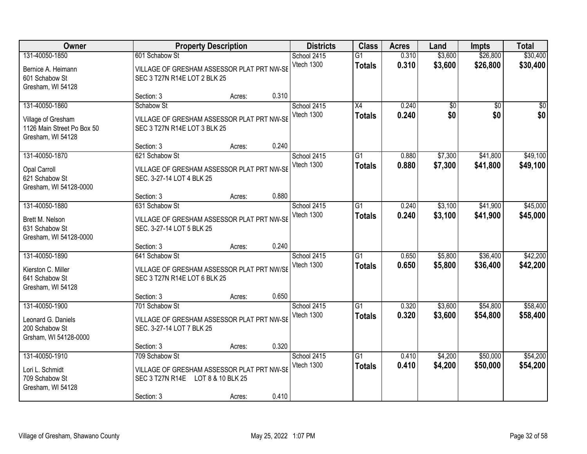| Owner                                                                                   |                                                                                               | <b>Property Description</b> |       |                           | <b>Class</b>                     | <b>Acres</b>   | Land                   | <b>Impts</b>           | <b>Total</b>         |
|-----------------------------------------------------------------------------------------|-----------------------------------------------------------------------------------------------|-----------------------------|-------|---------------------------|----------------------------------|----------------|------------------------|------------------------|----------------------|
| 131-40050-1850<br>Bernice A. Heimann<br>601 Schabow St                                  | 601 Schabow St<br>VILLAGE OF GRESHAM ASSESSOR PLAT PRT NW-SE<br>SEC 3 T27N R14E LOT 2 BLK 25  |                             |       | School 2415<br>Vtech 1300 | $\overline{G1}$<br><b>Totals</b> | 0.310<br>0.310 | \$3,600<br>\$3,600     | \$26,800<br>\$26,800   | \$30,400<br>\$30,400 |
| Gresham, WI 54128                                                                       | Section: 3                                                                                    | Acres:                      | 0.310 |                           |                                  |                |                        |                        |                      |
| 131-40050-1860<br>Village of Gresham<br>1126 Main Street Po Box 50<br>Gresham, WI 54128 | Schabow St<br>VILLAGE OF GRESHAM ASSESSOR PLAT PRT NW-SE<br>SEC 3 T27N R14E LOT 3 BLK 25      |                             |       | School 2415<br>Vtech 1300 | $\overline{X4}$<br><b>Totals</b> | 0.240<br>0.240 | $\overline{50}$<br>\$0 | $\overline{50}$<br>\$0 | $\sqrt{50}$<br>\$0   |
| 131-40050-1870                                                                          | Section: 3<br>621 Schabow St                                                                  | Acres:                      | 0.240 | School 2415               | G1                               | 0.880          | \$7,300                | \$41,800               | \$49,100             |
| <b>Opal Carroll</b><br>621 Schabow St<br>Gresham, WI 54128-0000                         | VILLAGE OF GRESHAM ASSESSOR PLAT PRT NW-SE<br>SEC. 3-27-14 LOT 4 BLK 25                       |                             |       | Vtech 1300                | <b>Totals</b>                    | 0.880          | \$7,300                | \$41,800               | \$49,100             |
|                                                                                         | Section: 3                                                                                    | Acres:                      | 0.880 |                           |                                  |                |                        |                        |                      |
| 131-40050-1880<br>Brett M. Nelson<br>631 Schabow St<br>Gresham, WI 54128-0000           | 631 Schabow St<br>VILLAGE OF GRESHAM ASSESSOR PLAT PRT NW-SE<br>SEC. 3-27-14 LOT 5 BLK 25     |                             |       | School 2415<br>Vtech 1300 | G1<br><b>Totals</b>              | 0.240<br>0.240 | \$3,100<br>\$3,100     | \$41,900<br>\$41,900   | \$45,000<br>\$45,000 |
|                                                                                         | Section: 3                                                                                    | Acres:                      | 0.240 |                           |                                  |                |                        |                        |                      |
| 131-40050-1890<br>Kierston C. Miller<br>641 Schabow St<br>Gresham, WI 54128             | 641 Schabow St<br>VILLAGE OF GRESHAM ASSESSOR PLAT PRT NW/SE<br>SEC 3 T27N R14E LOT 6 BLK 25  |                             |       | School 2415<br>Vtech 1300 | $\overline{G1}$<br><b>Totals</b> | 0.650<br>0.650 | \$5,800<br>\$5,800     | \$36,400<br>\$36,400   | \$42,200<br>\$42,200 |
|                                                                                         | Section: 3                                                                                    | Acres:                      | 0.650 |                           |                                  |                |                        |                        |                      |
| 131-40050-1900<br>Leonard G. Daniels<br>200 Schabow St<br>Grsham, WI 54128-0000         | 701 Schabow St<br>VILLAGE OF GRESHAM ASSESSOR PLAT PRT NW-SE<br>SEC. 3-27-14 LOT 7 BLK 25     |                             |       | School 2415<br>Vtech 1300 | $\overline{G1}$<br><b>Totals</b> | 0.320<br>0.320 | \$3,600<br>\$3,600     | \$54,800<br>\$54,800   | \$58,400<br>\$58,400 |
|                                                                                         | Section: 3                                                                                    | Acres:                      | 0.320 |                           |                                  |                |                        |                        |                      |
| 131-40050-1910<br>Lori L. Schmidt<br>709 Schabow St<br>Gresham, WI 54128                | 709 Schabow St<br>VILLAGE OF GRESHAM ASSESSOR PLAT PRT NW-SE<br>SEC 3 T27N R14E<br>Section: 3 | LOT 8 & 10 BLK 25<br>Acres: | 0.410 | School 2415<br>Vtech 1300 | G1<br><b>Totals</b>              | 0.410<br>0.410 | \$4,200<br>\$4,200     | \$50,000<br>\$50,000   | \$54,200<br>\$54,200 |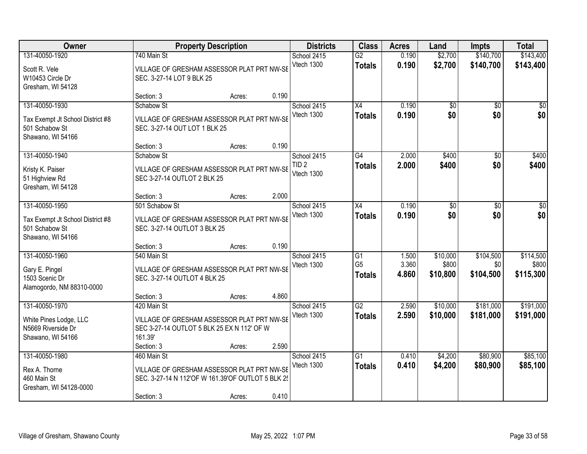| Owner                                                                                     |                                                | <b>Property Description</b>                                                                               |       | <b>Districts</b>                              | <b>Class</b>                                       | <b>Acres</b>            | Land                          | <b>Impts</b>                  | <b>Total</b>                    |
|-------------------------------------------------------------------------------------------|------------------------------------------------|-----------------------------------------------------------------------------------------------------------|-------|-----------------------------------------------|----------------------------------------------------|-------------------------|-------------------------------|-------------------------------|---------------------------------|
| 131-40050-1920<br>Scott R. Vele<br>W10453 Circle Dr<br>Gresham, WI 54128                  | 740 Main St<br>SEC. 3-27-14 LOT 9 BLK 25       | VILLAGE OF GRESHAM ASSESSOR PLAT PRT NW-SE                                                                |       | School 2415<br>Vtech 1300                     | $\overline{G2}$<br><b>Totals</b>                   | 0.190<br>0.190          | \$2,700<br>\$2,700            | \$140,700<br>\$140,700        | \$143,400<br>\$143,400          |
|                                                                                           | Section: 3                                     | Acres:                                                                                                    | 0.190 |                                               |                                                    |                         |                               |                               |                                 |
| 131-40050-1930<br>Tax Exempt Jt School District #8<br>501 Schabow St<br>Shawano, WI 54166 | Schabow St<br>SEC. 3-27-14 OUT LOT 1 BLK 25    | VILLAGE OF GRESHAM ASSESSOR PLAT PRT NW-SE                                                                |       | School 2415<br>Vtech 1300                     | $\overline{X4}$<br><b>Totals</b>                   | 0.190<br>0.190          | $\overline{50}$<br>\$0        | $\overline{50}$<br>\$0        | $\sqrt{50}$<br>\$0              |
|                                                                                           | Section: 3                                     | Acres:                                                                                                    | 0.190 |                                               |                                                    |                         |                               |                               |                                 |
| 131-40050-1940<br>Kristy K. Paiser<br>51 Highview Rd<br>Gresham, WI 54128                 | Schabow St<br>SEC 3-27-14 OUTLOT 2 BLK 25      | VILLAGE OF GRESHAM ASSESSOR PLAT PRT NW-SE                                                                |       | School 2415<br>TID <sub>2</sub><br>Vtech 1300 | G4<br><b>Totals</b>                                | 2.000<br>2.000          | \$400<br>\$400                | \$0<br>\$0                    | \$400<br>\$400                  |
|                                                                                           | Section: 3                                     | Acres:                                                                                                    | 2.000 |                                               |                                                    |                         |                               |                               |                                 |
| 131-40050-1950<br>Tax Exempt Jt School District #8<br>501 Schabow St<br>Shawano, WI 54166 | 501 Schabow St<br>SEC. 3-27-14 OUTLOT 3 BLK 25 | VILLAGE OF GRESHAM ASSESSOR PLAT PRT NW-SE                                                                |       | School 2415<br>Vtech 1300                     | X4<br><b>Totals</b>                                | 0.190<br>0.190          | \$0<br>\$0                    | \$0<br>\$0                    | \$0<br>\$0                      |
|                                                                                           | Section: 3                                     | Acres:                                                                                                    | 0.190 |                                               |                                                    |                         |                               |                               |                                 |
| 131-40050-1960<br>Gary E. Pingel<br>1503 Scenic Dr<br>Alamogordo, NM 88310-0000           | 540 Main St<br>SEC. 3-27-14 OUTLOT 4 BLK 25    | VILLAGE OF GRESHAM ASSESSOR PLAT PRT NW-SE                                                                |       | School 2415<br>Vtech 1300                     | $\overline{G1}$<br>G <sub>5</sub><br><b>Totals</b> | 1.500<br>3.360<br>4.860 | \$10,000<br>\$800<br>\$10,800 | \$104,500<br>\$0<br>\$104,500 | \$114,500<br>\$800<br>\$115,300 |
|                                                                                           | Section: 3                                     | Acres:                                                                                                    | 4.860 |                                               |                                                    |                         |                               |                               |                                 |
| 131-40050-1970<br>White Pines Lodge, LLC<br>N5669 Riverside Dr<br>Shawano, WI 54166       | 420 Main St<br>161.39'<br>Section: 3           | VILLAGE OF GRESHAM ASSESSOR PLAT PRT NW-SE<br>SEC 3-27-14 OUTLOT 5 BLK 25 EX N 112' OF W<br>Acres:        | 2.590 | School 2415<br>Vtech 1300                     | G2<br><b>Totals</b>                                | 2.590<br>2.590          | \$10,000<br>\$10,000          | \$181,000<br>\$181,000        | \$191,000<br>\$191,000          |
| 131-40050-1980                                                                            | 460 Main St                                    |                                                                                                           |       | School 2415                                   | G1                                                 | 0.410                   | \$4,200                       | \$80,900                      | \$85,100                        |
| Rex A. Thorne<br>460 Main St<br>Gresham, WI 54128-0000                                    | Section: 3                                     | VILLAGE OF GRESHAM ASSESSOR PLAT PRT NW-SE<br>SEC. 3-27-14 N 112'OF W 161.39'OF OUTLOT 5 BLK 25<br>Acres: | 0.410 | Vtech 1300                                    | <b>Totals</b>                                      | 0.410                   | \$4,200                       | \$80,900                      | \$85,100                        |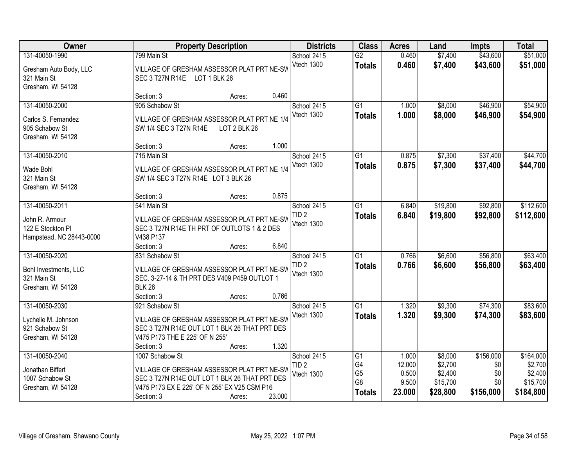| Owner                                                                             | <b>Property Description</b>                                                                                                                                                            |        | <b>Districts</b>                              | <b>Class</b>                                      | <b>Acres</b>                                | Land                                                  | <b>Impts</b>                                | <b>Total</b>                                             |
|-----------------------------------------------------------------------------------|----------------------------------------------------------------------------------------------------------------------------------------------------------------------------------------|--------|-----------------------------------------------|---------------------------------------------------|---------------------------------------------|-------------------------------------------------------|---------------------------------------------|----------------------------------------------------------|
| 131-40050-1990<br>Gresham Auto Body, LLC<br>321 Main St<br>Gresham, WI 54128      | 799 Main St<br>VILLAGE OF GRESHAM ASSESSOR PLAT PRT NE-SW<br>SEC 3 T27N R14E LOT 1 BLK 26                                                                                              |        | School 2415<br>Vtech 1300                     | $\overline{G2}$<br><b>Totals</b>                  | 0.460<br>0.460                              | \$7,400<br>\$7,400                                    | \$43,600<br>\$43,600                        | \$51,000<br>\$51,000                                     |
|                                                                                   | Section: 3<br>Acres:                                                                                                                                                                   | 0.460  |                                               |                                                   |                                             |                                                       |                                             |                                                          |
| 131-40050-2000<br>Carlos S. Fernandez<br>905 Schabow St<br>Gresham, WI 54128      | 905 Schabow St<br>VILLAGE OF GRESHAM ASSESSOR PLAT PRT NE 1/4<br>SW 1/4 SEC 3 T27N R14E<br>LOT 2 BLK 26                                                                                |        | School 2415<br>Vtech 1300                     | $\overline{G1}$<br><b>Totals</b>                  | 1.000<br>1.000                              | \$8,000<br>\$8,000                                    | \$46,900<br>\$46,900                        | \$54,900<br>\$54,900                                     |
|                                                                                   | Section: 3<br>Acres:                                                                                                                                                                   | 1.000  |                                               |                                                   |                                             |                                                       |                                             |                                                          |
| 131-40050-2010<br>Wade Bohl<br>321 Main St<br>Gresham, WI 54128                   | 715 Main St<br>VILLAGE OF GRESHAM ASSESSOR PLAT PRT NE 1/4<br>SW 1/4 SEC 3 T27N R14E LOT 3 BLK 26                                                                                      |        | School 2415<br>Vtech 1300                     | $\overline{G1}$<br><b>Totals</b>                  | 0.875<br>0.875                              | \$7,300<br>\$7,300                                    | \$37,400<br>\$37,400                        | \$44,700<br>\$44,700                                     |
|                                                                                   | Section: 3<br>Acres:                                                                                                                                                                   | 0.875  |                                               |                                                   |                                             |                                                       |                                             |                                                          |
| 131-40050-2011<br>John R. Armour<br>122 E Stockton PI<br>Hampstead, NC 28443-0000 | 541 Main St<br>VILLAGE OF GRESHAM ASSESSOR PLAT PRT NE-SW<br>SEC 3 T27N R14E TH PRT OF OUTLOTS 1 & 2 DES<br>V438 P137                                                                  |        | School 2415<br>TID <sub>2</sub><br>Vtech 1300 | G1<br><b>Totals</b>                               | 6.840<br>6.840                              | \$19,800<br>\$19,800                                  | \$92,800<br>\$92,800                        | \$112,600<br>\$112,600                                   |
|                                                                                   | Section: 3<br>Acres:                                                                                                                                                                   | 6.840  |                                               |                                                   |                                             |                                                       |                                             |                                                          |
| 131-40050-2020<br>Bohl Investments, LLC<br>321 Main St<br>Gresham, WI 54128       | 831 Schabow St<br>VILLAGE OF GRESHAM ASSESSOR PLAT PRT NE-SW<br>SEC. 3-27-14 & TH PRT DES V409 P459 OUTLOT 1<br><b>BLK 26</b><br>Section: 3<br>Acres:                                  | 0.766  | School 2415<br>TID <sub>2</sub><br>Vtech 1300 | $\overline{G1}$<br><b>Totals</b>                  | 0.766<br>0.766                              | \$6,600<br>\$6,600                                    | \$56,800<br>\$56,800                        | \$63,400<br>\$63,400                                     |
| 131-40050-2030<br>Lychelle M. Johnson<br>921 Schabow St<br>Gresham, WI 54128      | 921 Schabow St<br>VILLAGE OF GRESHAM ASSESSOR PLAT PRT NE-SW<br>SEC 3 T27N R14E OUT LOT 1 BLK 26 THAT PRT DES<br>V475 P173 THE E 225' OF N 255'<br>Section: 3<br>Acres:                | 1.320  | School 2415<br>Vtech 1300                     | $\overline{G1}$<br><b>Totals</b>                  | 1.320<br>1.320                              | \$9,300<br>\$9,300                                    | \$74,300<br>\$74,300                        | \$83,600<br>\$83,600                                     |
| 131-40050-2040<br>Jonathan Biffert<br>1007 Schabow St<br>Gresham, WI 54128        | 1007 Schabow St<br>VILLAGE OF GRESHAM ASSESSOR PLAT PRT NE-SW<br>SEC 3 T27N R14E OUT LOT 1 BLK 26 THAT PRT DES<br>V475 P173 EX E 225' OF N 255' EX V25 CSM P16<br>Section: 3<br>Acres: | 23.000 | School 2415<br>TID <sub>2</sub><br>Vtech 1300 | G1<br>G4<br>G <sub>5</sub><br>G8<br><b>Totals</b> | 1.000<br>12.000<br>0.500<br>9.500<br>23.000 | \$8,000<br>\$2,700<br>\$2,400<br>\$15,700<br>\$28,800 | \$156,000<br>\$0<br>\$0<br>\$0<br>\$156,000 | \$164,000<br>\$2,700<br>\$2,400<br>\$15,700<br>\$184,800 |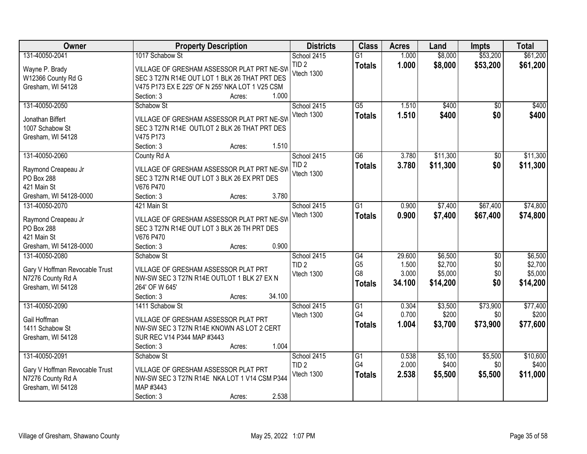| Owner                             | <b>Property Description</b>                     | <b>Districts</b>                | <b>Class</b>                     | <b>Acres</b>   | Land               | <b>Impts</b>         | <b>Total</b>         |
|-----------------------------------|-------------------------------------------------|---------------------------------|----------------------------------|----------------|--------------------|----------------------|----------------------|
| 131-40050-2041                    | 1017 Schabow St                                 | School 2415<br>TID <sub>2</sub> | $\overline{G1}$<br><b>Totals</b> | 1.000<br>1.000 | \$8,000<br>\$8,000 | \$53,200<br>\$53,200 | \$61,200<br>\$61,200 |
| Wayne P. Brady                    | VILLAGE OF GRESHAM ASSESSOR PLAT PRT NE-SW      | Vtech 1300                      |                                  |                |                    |                      |                      |
| W12366 County Rd G                | SEC 3 T27N R14E OUT LOT 1 BLK 26 THAT PRT DES   |                                 |                                  |                |                    |                      |                      |
| Gresham, WI 54128                 | V475 P173 EX E 225' OF N 255' NKA LOT 1 V25 CSM |                                 |                                  |                |                    |                      |                      |
|                                   | 1.000<br>Section: 3<br>Acres:                   |                                 |                                  |                |                    |                      |                      |
| 131-40050-2050                    | Schabow St                                      | School 2415                     | $\overline{G5}$                  | 1.510          | \$400              | $\overline{50}$      | \$400                |
| Jonathan Biffert                  | VILLAGE OF GRESHAM ASSESSOR PLAT PRT NE-SW      | Vtech 1300                      | <b>Totals</b>                    | 1.510          | \$400              | \$0                  | \$400                |
| 1007 Schabow St                   | SEC 3 T27N R14E OUTLOT 2 BLK 26 THAT PRT DES    |                                 |                                  |                |                    |                      |                      |
| Gresham, WI 54128                 | V475 P173                                       |                                 |                                  |                |                    |                      |                      |
|                                   | 1.510<br>Section: 3<br>Acres:                   |                                 |                                  |                |                    |                      |                      |
| 131-40050-2060                    | County Rd A                                     | School 2415                     | $\overline{G6}$                  | 3.780          | \$11,300           | \$0                  | \$11,300             |
|                                   | VILLAGE OF GRESHAM ASSESSOR PLAT PRT NE-SW      | TID <sub>2</sub>                | <b>Totals</b>                    | 3.780          | \$11,300           | \$0                  | \$11,300             |
| Raymond Creapeau Jr<br>PO Box 288 | SEC 3 T27N R14E OUT LOT 3 BLK 26 EX PRT DES     | Vtech 1300                      |                                  |                |                    |                      |                      |
| 421 Main St                       | V676 P470                                       |                                 |                                  |                |                    |                      |                      |
| Gresham, WI 54128-0000            | 3.780<br>Section: 3<br>Acres:                   |                                 |                                  |                |                    |                      |                      |
| 131-40050-2070                    | 421 Main St                                     | School 2415                     | $\overline{G1}$                  | 0.900          | \$7,400            | \$67,400             | \$74,800             |
|                                   |                                                 | Vtech 1300                      |                                  | 0.900          |                    |                      |                      |
| Raymond Creapeau Jr               | VILLAGE OF GRESHAM ASSESSOR PLAT PRT NE-SW      |                                 | <b>Totals</b>                    |                | \$7,400            | \$67,400             | \$74,800             |
| PO Box 288                        | SEC 3 T27N R14E OUT LOT 3 BLK 26 TH PRT DES     |                                 |                                  |                |                    |                      |                      |
| 421 Main St                       | V676 P470                                       |                                 |                                  |                |                    |                      |                      |
| Gresham, WI 54128-0000            | 0.900<br>Section: 3<br>Acres:                   |                                 |                                  |                |                    |                      |                      |
| 131-40050-2080                    | Schabow St                                      | School 2415                     | G4                               | 29.600         | \$6,500            | $\overline{50}$      | \$6,500              |
| Gary V Hoffman Revocable Trust    | VILLAGE OF GRESHAM ASSESSOR PLAT PRT            | TID <sub>2</sub>                | G <sub>5</sub>                   | 1.500          | \$2,700            | \$0                  | \$2,700              |
| N7276 County Rd A                 | NW-SW SEC 3 T27N R14E OUTLOT 1 BLK 27 EX N      | Vtech 1300                      | G <sub>8</sub>                   | 3.000          | \$5,000            | \$0                  | \$5,000              |
| Gresham, WI 54128                 | 264' OF W 645'                                  |                                 | <b>Totals</b>                    | 34.100         | \$14,200           | \$0                  | \$14,200             |
|                                   | 34.100<br>Section: 3<br>Acres:                  |                                 |                                  |                |                    |                      |                      |
| 131-40050-2090                    | 1411 Schabow St                                 | School 2415                     | $\overline{G1}$                  | 0.304          | \$3,500            | \$73,900             | \$77,400             |
|                                   |                                                 | Vtech 1300                      | G4                               | 0.700          | \$200              | \$0                  | \$200                |
| Gail Hoffman                      | VILLAGE OF GRESHAM ASSESSOR PLAT PRT            |                                 | <b>Totals</b>                    | 1.004          | \$3,700            | \$73,900             | \$77,600             |
| 1411 Schabow St                   | NW-SW SEC 3 T27N R14E KNOWN AS LOT 2 CERT       |                                 |                                  |                |                    |                      |                      |
| Gresham, WI 54128                 | SUR REC V14 P344 MAP #3443                      |                                 |                                  |                |                    |                      |                      |
|                                   | 1.004<br>Section: 3<br>Acres:                   |                                 |                                  |                |                    |                      |                      |
| 131-40050-2091                    | Schabow St                                      | School 2415                     | G1                               | 0.538          | \$5,100            | \$5,500              | \$10,600             |
| Gary V Hoffman Revocable Trust    | VILLAGE OF GRESHAM ASSESSOR PLAT PRT            | TID <sub>2</sub>                | G4                               | 2.000          | \$400              | \$0                  | \$400                |
| N7276 County Rd A                 | NW-SW SEC 3 T27N R14E NKA LOT 1 V14 CSM P344    | Vtech 1300                      | <b>Totals</b>                    | 2.538          | \$5,500            | \$5,500              | \$11,000             |
| Gresham, WI 54128                 | MAP #3443                                       |                                 |                                  |                |                    |                      |                      |
|                                   | 2.538<br>Section: 3<br>Acres:                   |                                 |                                  |                |                    |                      |                      |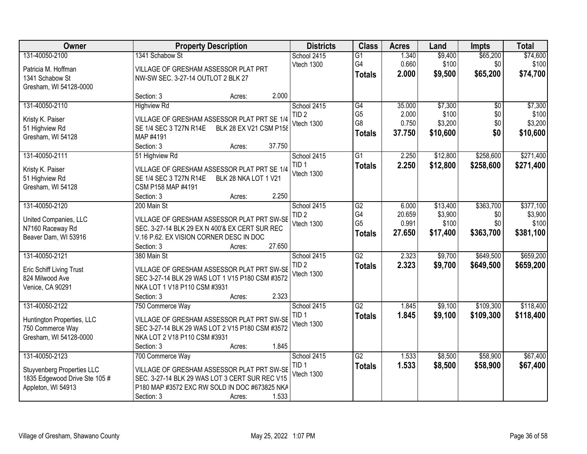| Owner                                          | <b>Property Description</b>                                                                     | <b>Districts</b> | <b>Class</b>    | <b>Acres</b> | Land     | <b>Impts</b>    | <b>Total</b> |
|------------------------------------------------|-------------------------------------------------------------------------------------------------|------------------|-----------------|--------------|----------|-----------------|--------------|
| 131-40050-2100                                 | 1341 Schabow St                                                                                 | School 2415      | $\overline{G1}$ | 1.340        | \$9,400  | \$65,200        | \$74,600     |
| Patricia M. Hoffman                            | VILLAGE OF GRESHAM ASSESSOR PLAT PRT                                                            | Vtech 1300       | G4              | 0.660        | \$100    | \$0             | \$100        |
| 1341 Schabow St                                | NW-SW SEC. 3-27-14 OUTLOT 2 BLK 27                                                              |                  | <b>Totals</b>   | 2.000        | \$9,500  | \$65,200        | \$74,700     |
| Gresham, WI 54128-0000                         |                                                                                                 |                  |                 |              |          |                 |              |
|                                                | 2.000<br>Section: 3<br>Acres:                                                                   |                  |                 |              |          |                 |              |
| 131-40050-2110                                 | <b>Highview Rd</b>                                                                              | School 2415      | G4              | 35.000       | \$7,300  | $\overline{50}$ | \$7,300      |
| Kristy K. Paiser                               | VILLAGE OF GRESHAM ASSESSOR PLAT PRT SE 1/4                                                     | TID <sub>2</sub> | G <sub>5</sub>  | 2.000        | \$100    | \$0             | \$100        |
| 51 Highview Rd                                 | BLK 28 EX V21 CSM P158<br>SE 1/4 SEC 3 T27N R14E                                                | Vtech 1300       | G8              | 0.750        | \$3,200  | \$0             | \$3,200      |
| Gresham, WI 54128                              | MAP #4191                                                                                       |                  | <b>Totals</b>   | 37.750       | \$10,600 | \$0             | \$10,600     |
|                                                | 37.750<br>Section: 3<br>Acres:                                                                  |                  |                 |              |          |                 |              |
| 131-40050-2111                                 | 51 Highview Rd                                                                                  | School 2415      | $\overline{G1}$ | 2.250        | \$12,800 | \$258,600       | \$271,400    |
| Kristy K. Paiser                               | VILLAGE OF GRESHAM ASSESSOR PLAT PRT SE 1/4                                                     | TID <sub>1</sub> | <b>Totals</b>   | 2.250        | \$12,800 | \$258,600       | \$271,400    |
| 51 Highview Rd                                 | SE 1/4 SEC 3 T27N R14E<br>BLK 28 NKA LOT 1 V21                                                  | Vtech 1300       |                 |              |          |                 |              |
| Gresham, WI 54128                              | CSM P158 MAP #4191                                                                              |                  |                 |              |          |                 |              |
|                                                | 2.250<br>Section: 3<br>Acres:                                                                   |                  |                 |              |          |                 |              |
| 131-40050-2120                                 | 200 Main St                                                                                     | School 2415      | G2              | 6.000        | \$13,400 | \$363,700       | \$377,100    |
| United Companies, LLC                          | VILLAGE OF GRESHAM ASSESSOR PLAT PRT SW-SE                                                      | TID <sub>2</sub> | G4              | 20.659       | \$3,900  | \$0             | \$3,900      |
| N7160 Raceway Rd                               | SEC. 3-27-14 BLK 29 EX N 400'& EX CERT SUR REC                                                  | Vtech 1300       | G <sub>5</sub>  | 0.991        | \$100    | \$0             | \$100        |
| Beaver Dam, WI 53916                           | V.16 P.62. EX VISION CORNER DESC IN DOC                                                         |                  | <b>Totals</b>   | 27.650       | \$17,400 | \$363,700       | \$381,100    |
|                                                | 27.650<br>Section: 3<br>Acres:                                                                  |                  |                 |              |          |                 |              |
| 131-40050-2121                                 | 380 Main St                                                                                     | School 2415      | $\overline{G2}$ | 2.323        | \$9,700  | \$649,500       | \$659,200    |
|                                                |                                                                                                 | TID <sub>2</sub> | <b>Totals</b>   | 2.323        | \$9,700  | \$649,500       | \$659,200    |
| Eric Schiff Living Trust<br>824 Milwood Ave    | VILLAGE OF GRESHAM ASSESSOR PLAT PRT SW-SE<br>SEC 3-27-14 BLK 29 WAS LOT 1 V15 P180 CSM #3572   | Vtech 1300       |                 |              |          |                 |              |
| Venice, CA 90291                               | NKA LOT 1 V18 P110 CSM #3931                                                                    |                  |                 |              |          |                 |              |
|                                                | 2.323<br>Section: 3<br>Acres:                                                                   |                  |                 |              |          |                 |              |
| 131-40050-2122                                 | 750 Commerce Way                                                                                | School 2415      | G2              | 1.845        | \$9,100  | \$109,300       | \$118,400    |
|                                                |                                                                                                 | TID <sub>1</sub> | <b>Totals</b>   | 1.845        | \$9,100  | \$109,300       | \$118,400    |
| Huntington Properties, LLC<br>750 Commerce Way | VILLAGE OF GRESHAM ASSESSOR PLAT PRT SW-SE<br>SEC 3-27-14 BLK 29 WAS LOT 2 V15 P180 CSM #3572   | Vtech 1300       |                 |              |          |                 |              |
| Gresham, WI 54128-0000                         | NKA LOT 2 V18 P110 CSM #3931                                                                    |                  |                 |              |          |                 |              |
|                                                | 1.845<br>Section: 3<br>Acres:                                                                   |                  |                 |              |          |                 |              |
| 131-40050-2123                                 | 700 Commerce Way                                                                                | School 2415      | G2              | 1.533        | \$8,500  | \$58,900        | \$67,400     |
|                                                |                                                                                                 | TID <sub>1</sub> | <b>Totals</b>   | 1.533        | \$8,500  | \$58,900        | \$67,400     |
| <b>Stuyvenberg Properties LLC</b>              | VILLAGE OF GRESHAM ASSESSOR PLAT PRT SW-SE                                                      | Vtech 1300       |                 |              |          |                 |              |
| 1835 Edgewood Drive Ste 105 #                  | SEC. 3-27-14 BLK 29 WAS LOT 3 CERT SUR REC V15<br>P180 MAP #3572 EXC RW SOLD IN DOC #673825 NKA |                  |                 |              |          |                 |              |
| Appleton, WI 54913                             | 1.533<br>Section: 3<br>Acres:                                                                   |                  |                 |              |          |                 |              |
|                                                |                                                                                                 |                  |                 |              |          |                 |              |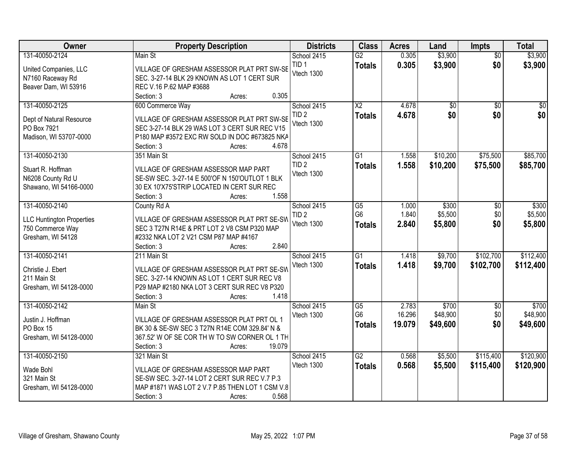| Owner                            | <b>Property Description</b>                     | <b>Districts</b> | <b>Class</b>           | <b>Acres</b> | Land            | <b>Impts</b>    | <b>Total</b>    |
|----------------------------------|-------------------------------------------------|------------------|------------------------|--------------|-----------------|-----------------|-----------------|
| 131-40050-2124                   | Main St                                         | School 2415      | $\overline{G2}$        | 0.305        | \$3,900         | $\overline{50}$ | \$3,900         |
| United Companies, LLC            | VILLAGE OF GRESHAM ASSESSOR PLAT PRT SW-SE      | TID <sub>1</sub> | <b>Totals</b>          | 0.305        | \$3,900         | \$0             | \$3,900         |
| N7160 Raceway Rd                 | SEC. 3-27-14 BLK 29 KNOWN AS LOT 1 CERT SUR     | Vtech 1300       |                        |              |                 |                 |                 |
| Beaver Dam, WI 53916             | REC V.16 P.62 MAP #3688                         |                  |                        |              |                 |                 |                 |
|                                  | 0.305<br>Section: 3<br>Acres:                   |                  |                        |              |                 |                 |                 |
| 131-40050-2125                   | 600 Commerce Way                                | School 2415      | $\overline{\text{X2}}$ | 4.678        | $\overline{50}$ | $\overline{50}$ | $\overline{50}$ |
| Dept of Natural Resource         | VILLAGE OF GRESHAM ASSESSOR PLAT PRT SW-SE      | TID <sub>2</sub> | <b>Totals</b>          | 4.678        | \$0             | \$0             | \$0             |
| PO Box 7921                      | SEC 3-27-14 BLK 29 WAS LOT 3 CERT SUR REC V15   | Vtech 1300       |                        |              |                 |                 |                 |
| Madison, WI 53707-0000           | P180 MAP #3572 EXC RW SOLD IN DOC #673825 NKA   |                  |                        |              |                 |                 |                 |
|                                  | 4.678<br>Section: 3<br>Acres:                   |                  |                        |              |                 |                 |                 |
| 131-40050-2130                   | 351 Main St                                     | School 2415      | $\overline{G1}$        | 1.558        | \$10,200        | \$75,500        | \$85,700        |
| Stuart R. Hoffman                | VILLAGE OF GRESHAM ASSESSOR MAP PART            | TID <sub>2</sub> | <b>Totals</b>          | 1.558        | \$10,200        | \$75,500        | \$85,700        |
| N6208 County Rd U                | SE-SW SEC. 3-27-14 E 500'OF N 150'OUTLOT 1 BLK  | Vtech 1300       |                        |              |                 |                 |                 |
| Shawano, WI 54166-0000           | 30 EX 10'X75'STRIP LOCATED IN CERT SUR REC      |                  |                        |              |                 |                 |                 |
|                                  | 1.558<br>Section: 3<br>Acres:                   |                  |                        |              |                 |                 |                 |
| 131-40050-2140                   | County Rd A                                     | School 2415      | $\overline{G5}$        | 1.000        | \$300           | \$0             | \$300           |
|                                  |                                                 | TID <sub>2</sub> | G <sub>6</sub>         | 1.840        | \$5,500         | \$0             | \$5,500         |
| <b>LLC Huntington Properties</b> | VILLAGE OF GRESHAM ASSESSOR PLAT PRT SE-SW      | Vtech 1300       | <b>Totals</b>          | 2.840        | \$5,800         | \$0             | \$5,800         |
| 750 Commerce Way                 | SEC 3 T27N R14E & PRT LOT 2 V8 CSM P320 MAP     |                  |                        |              |                 |                 |                 |
| Gresham, WI 54128                | #2332 NKA LOT 2 V21 CSM P87 MAP #4167           |                  |                        |              |                 |                 |                 |
|                                  | 2.840<br>Section: 3<br>Acres:                   |                  | $\overline{G1}$        |              |                 |                 |                 |
| 131-40050-2141                   | 211 Main St                                     | School 2415      |                        | 1.418        | \$9,700         | \$102,700       | \$112,400       |
| Christie J. Ebert                | VILLAGE OF GRESHAM ASSESSOR PLAT PRT SE-SW      | Vtech 1300       | <b>Totals</b>          | 1.418        | \$9,700         | \$102,700       | \$112,400       |
| 211 Main St                      | SEC. 3-27-14 KNOWN AS LOT 1 CERT SUR REC V8     |                  |                        |              |                 |                 |                 |
| Gresham, WI 54128-0000           | P29 MAP #2180 NKA LOT 3 CERT SUR REC V8 P320    |                  |                        |              |                 |                 |                 |
|                                  | 1.418<br>Section: 3<br>Acres:                   |                  |                        |              |                 |                 |                 |
| 131-40050-2142                   | Main St                                         | School 2415      | G5                     | 2.783        | \$700           | $\sqrt{6}$      | \$700           |
| Justin J. Hoffman                | VILLAGE OF GRESHAM ASSESSOR PLAT PRT OL 1       | Vtech 1300       | G <sub>6</sub>         | 16.296       | \$48,900        | \$0             | \$48,900        |
| PO Box 15                        | BK 30 & SE-SW SEC 3 T27N R14E COM 329.84' N &   |                  | <b>Totals</b>          | 19.079       | \$49,600        | \$0             | \$49,600        |
| Gresham, WI 54128-0000           | 367.52' W OF SE COR TH W TO SW CORNER OL 1 TH   |                  |                        |              |                 |                 |                 |
|                                  | 19.079<br>Section: 3<br>Acres:                  |                  |                        |              |                 |                 |                 |
| 131-40050-2150                   | 321 Main St                                     | School 2415      | $\overline{G2}$        | 0.568        | \$5,500         | \$115,400       | \$120,900       |
| Wade Bohl                        | VILLAGE OF GRESHAM ASSESSOR MAP PART            | Vtech 1300       | <b>Totals</b>          | 0.568        | \$5,500         | \$115,400       | \$120,900       |
| 321 Main St                      | SE-SW SEC. 3-27-14 LOT 2 CERT SUR REC V.7 P.3   |                  |                        |              |                 |                 |                 |
| Gresham, WI 54128-0000           | MAP #1871 WAS LOT 2 V.7 P.85 THEN LOT 1 CSM V.8 |                  |                        |              |                 |                 |                 |
|                                  | 0.568<br>Section: 3<br>Acres:                   |                  |                        |              |                 |                 |                 |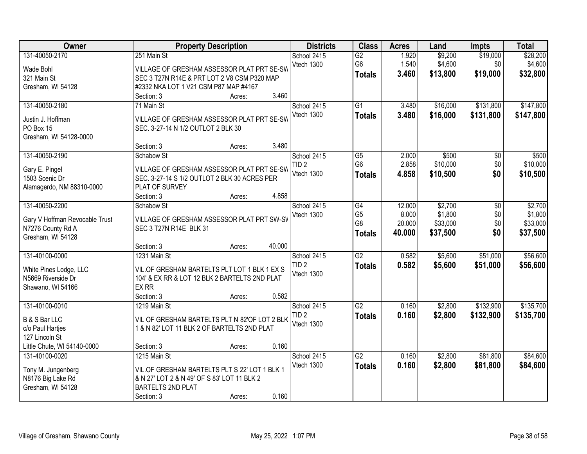| Owner<br><b>Districts</b><br><b>Class</b><br><b>Property Description</b><br><b>Acres</b><br>Land<br><b>Impts</b>                                | <b>Total</b>                    |
|-------------------------------------------------------------------------------------------------------------------------------------------------|---------------------------------|
| \$9,200<br>131-40050-2170<br>251 Main St<br>School 2415<br>1.920<br>$\overline{G2}$                                                             | \$19,000<br>\$28,200            |
| G <sub>6</sub><br>1.540<br>\$4,600<br>Vtech 1300<br>Wade Bohl<br>VILLAGE OF GRESHAM ASSESSOR PLAT PRT SE-SW                                     | \$4,600<br>\$0                  |
| 3.460<br>\$13,800<br>\$19,000<br><b>Totals</b><br>SEC 3 T27N R14E & PRT LOT 2 V8 CSM P320 MAP<br>321 Main St                                    | \$32,800                        |
| Gresham, WI 54128<br>#2332 NKA LOT 1 V21 CSM P87 MAP #4167                                                                                      |                                 |
| 3.460<br>Section: 3<br>Acres:                                                                                                                   |                                 |
| 131-40050-2180<br>$\overline{G1}$<br>\$16,000<br>71 Main St<br>School 2415<br>3.480                                                             | \$131,800<br>\$147,800          |
| Vtech 1300<br>3.480<br>\$16,000<br>\$131,800<br><b>Totals</b>                                                                                   | \$147,800                       |
| VILLAGE OF GRESHAM ASSESSOR PLAT PRT SE-SW<br>Justin J. Hoffman                                                                                 |                                 |
| SEC. 3-27-14 N 1/2 OUTLOT 2 BLK 30<br>PO Box 15                                                                                                 |                                 |
| Gresham, WI 54128-0000<br>3.480<br>Section: 3                                                                                                   |                                 |
| Acres:<br>131-40050-2190<br>\$500<br>Schabow St<br>G5<br>2.000                                                                                  | \$500                           |
| School 2415<br>G <sub>6</sub><br>2.858<br>\$10,000<br>TID <sub>2</sub>                                                                          | $\sqrt[6]{}$<br>\$0<br>\$10,000 |
| VILLAGE OF GRESHAM ASSESSOR PLAT PRT SE-SW<br>Gary E. Pingel<br>Vtech 1300                                                                      |                                 |
| \$10,500<br>4.858<br><b>Totals</b><br>SEC. 3-27-14 S 1/2 OUTLOT 2 BLK 30 ACRES PER<br>1503 Scenic Dr                                            | \$0<br>\$10,500                 |
| PLAT OF SURVEY<br>Alamagerdo, NM 88310-0000                                                                                                     |                                 |
| 4.858<br>Section: 3<br>Acres:                                                                                                                   |                                 |
| 131-40050-2200<br>\$2,700<br>Schabow St<br>School 2415<br>G4<br>12.000                                                                          | \$2,700<br>\$0                  |
| \$1,800<br>G <sub>5</sub><br>8.000<br>Vtech 1300<br>VILLAGE OF GRESHAM ASSESSOR PLAT PRT SW-SV<br>Gary V Hoffman Revocable Trust                | \$1,800<br>\$0                  |
| G8<br>\$33,000<br>20.000<br>N7276 County Rd A<br>SEC 3 T27N R14E BLK 31                                                                         | \$33,000<br>\$0                 |
| 40.000<br>\$37,500<br><b>Totals</b><br>Gresham, WI 54128                                                                                        | \$0<br>\$37,500                 |
| 40.000<br>Section: 3<br>Acres:                                                                                                                  |                                 |
| $\overline{G2}$<br>\$5,600<br>131-40100-0000<br>1231 Main St<br>0.582<br>School 2415                                                            | \$51,000<br>\$56,600            |
| TID <sub>2</sub><br>0.582<br>\$5,600<br>\$51,000<br><b>Totals</b>                                                                               | \$56,600                        |
| VIL.OF GRESHAM BARTELTS PLT LOT 1 BLK 1 EX S<br>White Pines Lodge, LLC<br>Vtech 1300                                                            |                                 |
| N5669 Riverside Dr<br>104' & EX RR & LOT 12 BLK 2 BARTELTS 2ND PLAT                                                                             |                                 |
| EX RR<br>Shawano, WI 54166                                                                                                                      |                                 |
| Section: 3<br>0.582<br>Acres:                                                                                                                   |                                 |
| $\overline{G2}$<br>131-40100-0010<br>School 2415<br>0.160<br>\$2,800<br>1219 Main St                                                            | \$132,900<br>\$135,700          |
| TID <sub>2</sub><br>0.160<br>\$2,800<br>\$132,900<br><b>Totals</b><br><b>B &amp; S Bar LLC</b><br>VIL OF GRESHAM BARTELTS PLT N 82'OF LOT 2 BLK | \$135,700                       |
| Vtech 1300<br>1 & N 82' LOT 11 BLK 2 OF BARTELTS 2ND PLAT<br>c/o Paul Hartjes                                                                   |                                 |
| 127 Lincoln St                                                                                                                                  |                                 |
| 0.160<br>Little Chute, WI 54140-0000<br>Section: 3<br>Acres:                                                                                    |                                 |
| $\overline{G2}$<br>\$2,800<br>131-40100-0020<br>1215 Main St<br>School 2415<br>0.160                                                            | \$81,800<br>\$84,600            |
| Vtech 1300<br>0.160<br>\$81,800<br>\$2,800<br><b>Totals</b><br>VIL.OF GRESHAM BARTELTS PLT S 22' LOT 1 BLK 1                                    | \$84,600                        |
| Tony M. Jungenberg<br>N8176 Big Lake Rd<br>& N 27' LOT 2 & N 49' OF S 83' LOT 11 BLK 2                                                          |                                 |
| Gresham, WI 54128<br><b>BARTELTS 2ND PLAT</b>                                                                                                   |                                 |
| 0.160<br>Section: 3<br>Acres:                                                                                                                   |                                 |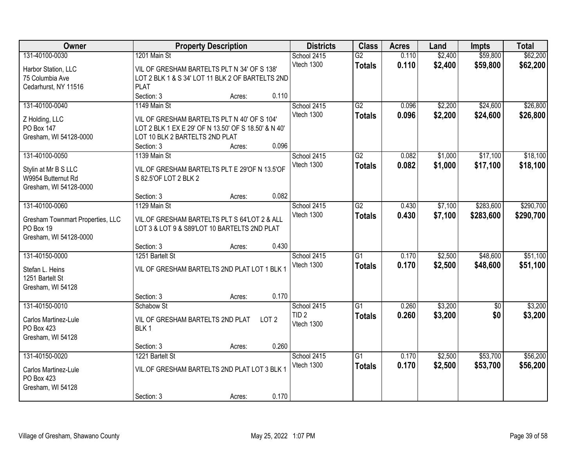| Owner                                                                                     | <b>Property Description</b>                                                                                                                                         |                  | <b>Districts</b>          | <b>Class</b>                                  | <b>Acres</b>                     | Land           | <b>Impts</b>       | <b>Total</b>           |                        |
|-------------------------------------------------------------------------------------------|---------------------------------------------------------------------------------------------------------------------------------------------------------------------|------------------|---------------------------|-----------------------------------------------|----------------------------------|----------------|--------------------|------------------------|------------------------|
| 131-40100-0030<br>Harbor Station, LLC<br>75 Columbia Ave                                  | 1201 Main St<br>VIL OF GRESHAM BARTELTS PLT N 34' OF S 138'<br>LOT 2 BLK 1 & S 34' LOT 11 BLK 2 OF BARTELTS 2ND                                                     |                  |                           | School 2415<br>Vtech 1300                     | $\overline{G2}$<br><b>Totals</b> | 0.110<br>0.110 | \$2,400<br>\$2,400 | \$59,800<br>\$59,800   | \$62,200<br>\$62,200   |
| Cedarhurst, NY 11516                                                                      | <b>PLAT</b><br>Section: 3                                                                                                                                           | Acres:           | 0.110                     |                                               |                                  |                |                    |                        |                        |
| 131-40100-0040<br>Z Holding, LLC<br><b>PO Box 147</b><br>Gresham, WI 54128-0000           | 1149 Main St<br>VIL OF GRESHAM BARTELTS PLT N 40' OF S 104'<br>LOT 2 BLK 1 EX E 29' OF N 13.50' OF S 18.50' & N 40'<br>LOT 10 BLK 2 BARTELTS 2ND PLAT<br>Section: 3 | Acres:           | 0.096                     | School 2415<br>Vtech 1300                     | G2<br><b>Totals</b>              | 0.096<br>0.096 | \$2,200<br>\$2,200 | \$24,600<br>\$24,600   | \$26,800<br>\$26,800   |
| 131-40100-0050<br>Stylin at Mr B S LLC<br>W9954 Butternut Rd<br>Gresham, WI 54128-0000    | 1139 Main St<br>VIL.OF GRESHAM BARTELTS PLT E 29'OF N 13.5'OF<br>S 82.5'OF LOT 2 BLK 2                                                                              |                  |                           | School 2415<br>Vtech 1300                     | G2<br><b>Totals</b>              | 0.082<br>0.082 | \$1,000<br>\$1,000 | \$17,100<br>\$17,100   | \$18,100<br>\$18,100   |
| 131-40100-0060<br>Gresham Townmart Properties, LLC<br>PO Box 19<br>Gresham, WI 54128-0000 | Section: 3<br>1129 Main St<br>VIL.OF GRESHAM BARTELTS PLT S 64'LOT 2 & ALL<br>LOT 3 & LOT 9 & S89'LOT 10 BARTELTS 2ND PLAT                                          | Acres:           | 0.082                     | School 2415<br>Vtech 1300                     | $\overline{G2}$<br><b>Totals</b> | 0.430<br>0.430 | \$7,100<br>\$7,100 | \$283,600<br>\$283,600 | \$290,700<br>\$290,700 |
| 131-40150-0000<br>Stefan L. Heins<br>1251 Bartelt St<br>Gresham, WI 54128                 | Section: 3<br>1251 Bartelt St<br>VIL OF GRESHAM BARTELTS 2ND PLAT LOT 1 BLK 1<br>Section: 3                                                                         | Acres:<br>Acres: | 0.430<br>0.170            | School 2415<br>Vtech 1300                     | $\overline{G1}$<br><b>Totals</b> | 0.170<br>0.170 | \$2,500<br>\$2,500 | \$48,600<br>\$48,600   | \$51,100<br>\$51,100   |
| 131-40150-0010<br>Carlos Martinez-Lule<br>PO Box 423<br>Gresham, WI 54128                 | Schabow St<br>VIL OF GRESHAM BARTELTS 2ND PLAT<br>BLK <sub>1</sub><br>Section: 3                                                                                    | Acres:           | LOT <sub>2</sub><br>0.260 | School 2415<br>TID <sub>2</sub><br>Vtech 1300 | $\overline{G1}$<br><b>Totals</b> | 0.260<br>0.260 | \$3,200<br>\$3,200 | $\sqrt{6}$<br>\$0      | \$3,200<br>\$3,200     |
| 131-40150-0020<br>Carlos Martinez-Lule<br>PO Box 423<br>Gresham, WI 54128                 | 1221 Bartelt St<br>VIL.OF GRESHAM BARTELTS 2ND PLAT LOT 3 BLK 1<br>Section: 3                                                                                       | Acres:           | 0.170                     | School 2415<br>Vtech 1300                     | $\overline{G1}$<br><b>Totals</b> | 0.170<br>0.170 | \$2,500<br>\$2,500 | \$53,700<br>\$53,700   | \$56,200<br>\$56,200   |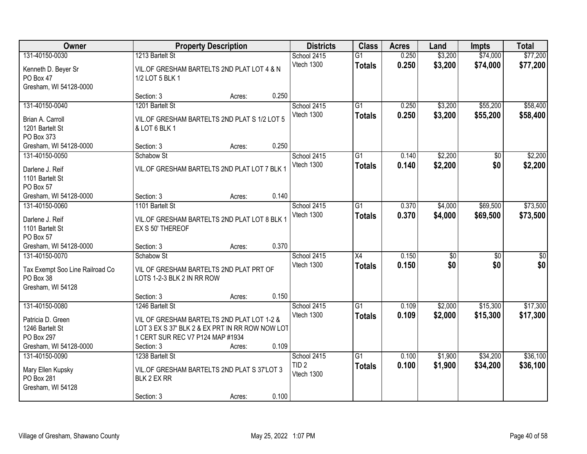| Owner                                                                               | <b>Property Description</b>                                                                                                                     |        |       | <b>Districts</b>               | <b>Class</b>                     | <b>Acres</b>   | Land       | <b>Impts</b> | <b>Total</b>       |
|-------------------------------------------------------------------------------------|-------------------------------------------------------------------------------------------------------------------------------------------------|--------|-------|--------------------------------|----------------------------------|----------------|------------|--------------|--------------------|
| 131-40150-0030                                                                      | 1213 Bartelt St                                                                                                                                 |        |       | School 2415                    | $\overline{G1}$                  | 0.250          | \$3,200    | \$74,000     | \$77,200           |
| Kenneth D. Beyer Sr<br>PO Box 47<br>Gresham, WI 54128-0000                          | VIL.OF GRESHAM BARTELTS 2ND PLAT LOT 4 & N<br>1/2 LOT 5 BLK 1                                                                                   |        |       | Vtech 1300                     | <b>Totals</b>                    | 0.250          | \$3,200    | \$74,000     | \$77,200           |
|                                                                                     | Section: 3                                                                                                                                      | Acres: | 0.250 |                                |                                  |                |            |              |                    |
| 131-40150-0040                                                                      | 1201 Bartelt St                                                                                                                                 |        |       | School 2415                    | $\overline{G1}$                  | 0.250          | \$3,200    | \$55,200     | \$58,400           |
| Brian A. Carroll<br>1201 Bartelt St<br>PO Box 373                                   | VIL.OF GRESHAM BARTELTS 2ND PLAT S 1/2 LOT 5<br>& LOT 6 BLK 1                                                                                   |        |       | Vtech 1300                     | Totals                           | 0.250          | \$3,200    | \$55,200     | \$58,400           |
| Gresham, WI 54128-0000                                                              | Section: 3                                                                                                                                      | Acres: | 0.250 |                                |                                  |                |            |              |                    |
| 131-40150-0050                                                                      | Schabow St                                                                                                                                      |        |       | School 2415                    | $\overline{G1}$                  | 0.140          | \$2,200    | \$0          | \$2,200            |
| Darlene J. Reif<br>1101 Bartelt St<br>PO Box 57                                     | VIL.OF GRESHAM BARTELTS 2ND PLAT LOT 7 BLK 1                                                                                                    |        |       | Vtech 1300                     | <b>Totals</b>                    | 0.140          | \$2,200    | \$0          | \$2,200            |
| Gresham, WI 54128-0000                                                              | Section: 3                                                                                                                                      | Acres: | 0.140 |                                |                                  |                |            |              |                    |
| 131-40150-0060                                                                      | 1101 Bartelt St                                                                                                                                 |        |       | School 2415                    | $\overline{G1}$                  | 0.370          | \$4,000    | \$69,500     | \$73,500           |
| Darlene J. Reif<br>1101 Bartelt St<br>PO Box 57                                     | VIL.OF GRESHAM BARTELTS 2ND PLAT LOT 8 BLK 1<br>EX S 50' THEREOF                                                                                |        |       | Vtech 1300                     | <b>Totals</b>                    | 0.370          | \$4,000    | \$69,500     | \$73,500           |
| Gresham, WI 54128-0000                                                              | Section: 3                                                                                                                                      | Acres: | 0.370 |                                |                                  |                |            |              |                    |
| 131-40150-0070<br>Tax Exempt Soo Line Railroad Co<br>PO Box 38<br>Gresham, WI 54128 | Schabow St<br>VIL OF GRESHAM BARTELTS 2ND PLAT PRT OF<br>LOTS 1-2-3 BLK 2 IN RR ROW                                                             |        |       | School 2415<br>Vtech 1300      | $\overline{X4}$<br><b>Totals</b> | 0.150<br>0.150 | \$0<br>\$0 | \$0<br>\$0   | $\sqrt{50}$<br>\$0 |
|                                                                                     | Section: 3                                                                                                                                      | Acres: | 0.150 |                                |                                  |                |            |              |                    |
| 131-40150-0080                                                                      | 1246 Bartelt St                                                                                                                                 |        |       | School 2415                    | G1                               | 0.109          | \$2,000    | \$15,300     | \$17,300           |
| Patricia D. Green<br>1246 Bartelt St<br>PO Box 297<br>Gresham, WI 54128-0000        | VIL OF GRESHAM BARTELTS 2ND PLAT LOT 1-2 &<br>LOT 3 EX S 37' BLK 2 & EX PRT IN RR ROW NOW LOT<br>1 CERT SUR REC V7 P124 MAP #1934<br>Section: 3 | Acres: | 0.109 | Vtech 1300                     | <b>Totals</b>                    | 0.109          | \$2,000    | \$15,300     | \$17,300           |
| 131-40150-0090                                                                      | 1238 Bartelt St                                                                                                                                 |        |       | School 2415                    | $\overline{G1}$                  | 0.100          | \$1,900    | \$34,200     | \$36,100           |
| Mary Ellen Kupsky<br>PO Box 281<br>Gresham, WI 54128                                | VIL.OF GRESHAM BARTELTS 2ND PLAT S 37'LOT 3<br>BLK 2 EX RR<br>Section: 3                                                                        | Acres: | 0.100 | TID <sub>2</sub><br>Vtech 1300 | <b>Totals</b>                    | 0.100          | \$1,900    | \$34,200     | \$36,100           |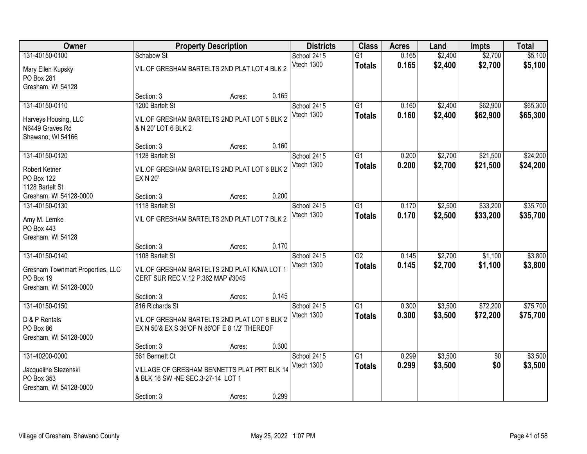| Owner                                                        |                                                                                               | <b>Property Description</b> |       | <b>Districts</b>          | <b>Class</b>                     | <b>Acres</b>   | Land               | <b>Impts</b>         | <b>Total</b>         |
|--------------------------------------------------------------|-----------------------------------------------------------------------------------------------|-----------------------------|-------|---------------------------|----------------------------------|----------------|--------------------|----------------------|----------------------|
| 131-40150-0100                                               | Schabow St                                                                                    |                             |       | School 2415               | $\overline{G1}$                  | 0.165          | \$2,400            | \$2,700              | \$5,100              |
| Mary Ellen Kupsky<br>PO Box 281                              | VIL.OF GRESHAM BARTELTS 2ND PLAT LOT 4 BLK 2                                                  |                             |       | Vtech 1300                | <b>Totals</b>                    | 0.165          | \$2,400            | \$2,700              | \$5,100              |
| Gresham, WI 54128                                            | Section: 3                                                                                    | Acres:                      | 0.165 |                           |                                  |                |                    |                      |                      |
| 131-40150-0110                                               | 1200 Bartelt St                                                                               |                             |       | School 2415<br>Vtech 1300 | $\overline{G1}$<br><b>Totals</b> | 0.160<br>0.160 | \$2,400<br>\$2,400 | \$62,900<br>\$62,900 | \$65,300<br>\$65,300 |
| Harveys Housing, LLC<br>N6449 Graves Rd<br>Shawano, WI 54166 | VIL.OF GRESHAM BARTELTS 2ND PLAT LOT 5 BLK 2<br>& N 20' LOT 6 BLK 2                           |                             |       |                           |                                  |                |                    |                      |                      |
|                                                              | Section: 3                                                                                    | Acres:                      | 0.160 |                           |                                  |                |                    |                      |                      |
| 131-40150-0120                                               | 1128 Bartelt St                                                                               |                             |       | School 2415               | G1                               | 0.200          | \$2,700            | \$21,500             | \$24,200             |
| <b>Robert Ketner</b><br>PO Box 122<br>1128 Bartelt St        | VIL.OF GRESHAM BARTELTS 2ND PLAT LOT 6 BLK 2<br><b>EX N 20'</b>                               |                             |       | Vtech 1300                | <b>Totals</b>                    | 0.200          | \$2,700            | \$21,500             | \$24,200             |
| Gresham, WI 54128-0000                                       | Section: 3                                                                                    | Acres:                      | 0.200 |                           |                                  |                |                    |                      |                      |
| 131-40150-0130                                               | 1118 Bartelt St                                                                               |                             |       | School 2415               | G1                               | 0.170          | \$2,500            | \$33,200             | \$35,700             |
| Amy M. Lemke<br>PO Box 443<br>Gresham, WI 54128              | VIL OF GRESHAM BARTELTS 2ND PLAT LOT 7 BLK 2                                                  |                             |       | <b>Vtech 1300</b>         | <b>Totals</b>                    | 0.170          | \$2,500            | \$33,200             | \$35,700             |
|                                                              | Section: 3                                                                                    | Acres:                      | 0.170 |                           |                                  |                |                    |                      |                      |
| 131-40150-0140<br>Gresham Townmart Properties, LLC           | 1108 Bartelt St<br>VIL.OF GRESHAM BARTELTS 2ND PLAT K/N/A LOT 1                               |                             |       | School 2415<br>Vtech 1300 | $\overline{G2}$<br><b>Totals</b> | 0.145<br>0.145 | \$2,700<br>\$2,700 | \$1,100<br>\$1,100   | \$3,800<br>\$3,800   |
| PO Box 19<br>Gresham, WI 54128-0000                          | CERT SUR REC V.12 P.362 MAP #3045                                                             |                             |       |                           |                                  |                |                    |                      |                      |
|                                                              | Section: 3                                                                                    | Acres:                      | 0.145 |                           |                                  |                |                    |                      |                      |
| 131-40150-0150                                               | 816 Richards St                                                                               |                             |       | School 2415               | $\overline{G1}$                  | 0.300          | \$3,500            | \$72,200             | \$75,700             |
| D & P Rentals<br>PO Box 86<br>Gresham, WI 54128-0000         | VIL.OF GRESHAM BARTELTS 2ND PLAT LOT 8 BLK 2<br>EX N 50'& EX S 36'OF N 86'OF E 8 1/2' THEREOF |                             |       | Vtech 1300                | <b>Totals</b>                    | 0.300          | \$3,500            | \$72,200             | \$75,700             |
|                                                              | Section: 3                                                                                    | Acres:                      | 0.300 |                           |                                  |                |                    |                      |                      |
| 131-40200-0000                                               | 561 Bennett Ct                                                                                |                             |       | School 2415               | $\overline{G1}$                  | 0.299          | \$3,500            | $\overline{50}$      | \$3,500              |
| Jacqueline Stezenski<br>PO Box 353<br>Gresham, WI 54128-0000 | VILLAGE OF GRESHAM BENNETTS PLAT PRT BLK 14<br>& BLK 16 SW -NE SEC.3-27-14 LOT 1              |                             |       | Vtech 1300                | <b>Totals</b>                    | 0.299          | \$3,500            | \$0                  | \$3,500              |
|                                                              | Section: 3                                                                                    | Acres:                      | 0.299 |                           |                                  |                |                    |                      |                      |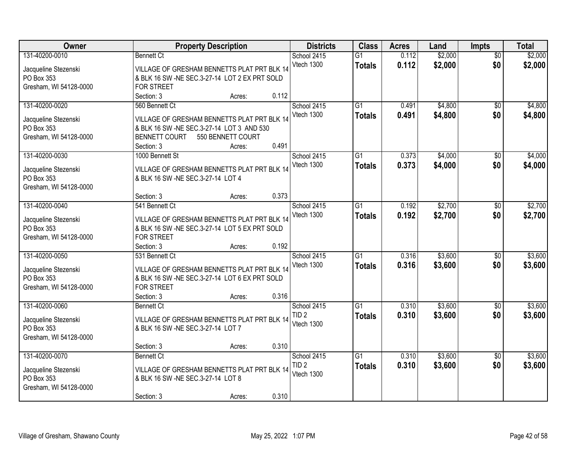| Owner                  | <b>Property Description</b>                   |       |                  |                 | <b>Acres</b> | Land    | <b>Impts</b>    | <b>Total</b> |
|------------------------|-----------------------------------------------|-------|------------------|-----------------|--------------|---------|-----------------|--------------|
| 131-40200-0010         | <b>Bennett Ct</b>                             |       | School 2415      | $\overline{G1}$ | 0.112        | \$2,000 | $\overline{50}$ | \$2,000      |
| Jacqueline Stezenski   | VILLAGE OF GRESHAM BENNETTS PLAT PRT BLK 14   |       | Vtech 1300       | <b>Totals</b>   | 0.112        | \$2,000 | \$0             | \$2,000      |
| PO Box 353             | & BLK 16 SW -NE SEC.3-27-14 LOT 2 EX PRT SOLD |       |                  |                 |              |         |                 |              |
| Gresham, WI 54128-0000 | <b>FOR STREET</b>                             |       |                  |                 |              |         |                 |              |
|                        | Section: 3<br>Acres:                          | 0.112 |                  |                 |              |         |                 |              |
| 131-40200-0020         | 560 Bennett Ct                                |       | School 2415      | $\overline{G1}$ | 0.491        | \$4,800 | \$0             | \$4,800      |
|                        |                                               |       | Vtech 1300       | <b>Totals</b>   | 0.491        | \$4,800 | \$0             | \$4,800      |
| Jacqueline Stezenski   | VILLAGE OF GRESHAM BENNETTS PLAT PRT BLK 14   |       |                  |                 |              |         |                 |              |
| PO Box 353             | & BLK 16 SW -NE SEC.3-27-14 LOT 3 AND 530     |       |                  |                 |              |         |                 |              |
| Gresham, WI 54128-0000 | <b>BENNETT COURT</b><br>550 BENNETT COURT     |       |                  |                 |              |         |                 |              |
|                        | Section: 3<br>Acres:                          | 0.491 |                  |                 |              |         |                 |              |
| 131-40200-0030         | 1000 Bennett St                               |       | School 2415      | G1              | 0.373        | \$4,000 | \$0             | \$4,000      |
| Jacqueline Stezenski   | VILLAGE OF GRESHAM BENNETTS PLAT PRT BLK 14   |       | Vtech 1300       | <b>Totals</b>   | 0.373        | \$4,000 | \$0             | \$4,000      |
| PO Box 353             | & BLK 16 SW -NE SEC.3-27-14 LOT 4             |       |                  |                 |              |         |                 |              |
| Gresham, WI 54128-0000 |                                               |       |                  |                 |              |         |                 |              |
|                        | Section: 3<br>Acres:                          | 0.373 |                  |                 |              |         |                 |              |
| 131-40200-0040         | 541 Bennett Ct                                |       | School 2415      | G1              | 0.192        | \$2,700 | $\sqrt[6]{3}$   | \$2,700      |
|                        |                                               |       | Vtech 1300       | <b>Totals</b>   | 0.192        | \$2,700 | \$0             | \$2,700      |
| Jacqueline Stezenski   | VILLAGE OF GRESHAM BENNETTS PLAT PRT BLK 14   |       |                  |                 |              |         |                 |              |
| PO Box 353             | & BLK 16 SW -NE SEC.3-27-14 LOT 5 EX PRT SOLD |       |                  |                 |              |         |                 |              |
| Gresham, WI 54128-0000 | <b>FOR STREET</b>                             |       |                  |                 |              |         |                 |              |
|                        | Section: 3<br>Acres:                          | 0.192 |                  |                 |              |         |                 |              |
| 131-40200-0050         | 531 Bennett Ct                                |       | School 2415      | $\overline{G1}$ | 0.316        | \$3,600 | \$0             | \$3,600      |
| Jacqueline Stezenski   | VILLAGE OF GRESHAM BENNETTS PLAT PRT BLK 14   |       | Vtech 1300       | <b>Totals</b>   | 0.316        | \$3,600 | \$0             | \$3,600      |
| PO Box 353             | & BLK 16 SW -NE SEC.3-27-14 LOT 6 EX PRT SOLD |       |                  |                 |              |         |                 |              |
| Gresham, WI 54128-0000 | <b>FOR STREET</b>                             |       |                  |                 |              |         |                 |              |
|                        | Section: 3<br>Acres:                          | 0.316 |                  |                 |              |         |                 |              |
| 131-40200-0060         | <b>Bennett Ct</b>                             |       | School 2415      | $\overline{G1}$ | 0.310        | \$3,600 | \$0             | \$3,600      |
|                        |                                               |       | TID <sub>2</sub> | <b>Totals</b>   | 0.310        | \$3,600 | \$0             | \$3,600      |
| Jacqueline Stezenski   | VILLAGE OF GRESHAM BENNETTS PLAT PRT BLK 14   |       | Vtech 1300       |                 |              |         |                 |              |
| PO Box 353             | & BLK 16 SW -NE SEC.3-27-14 LOT 7             |       |                  |                 |              |         |                 |              |
| Gresham, WI 54128-0000 |                                               |       |                  |                 |              |         |                 |              |
|                        | Section: 3<br>Acres:                          | 0.310 |                  |                 |              |         |                 |              |
| 131-40200-0070         | <b>Bennett Ct</b>                             |       | School 2415      | $\overline{G1}$ | 0.310        | \$3,600 | $\overline{60}$ | \$3,600      |
| Jacqueline Stezenski   | VILLAGE OF GRESHAM BENNETTS PLAT PRT BLK 14   |       | TID <sub>2</sub> | <b>Totals</b>   | 0.310        | \$3,600 | \$0             | \$3,600      |
| PO Box 353             | & BLK 16 SW -NE SEC.3-27-14 LOT 8             |       | Vtech 1300       |                 |              |         |                 |              |
| Gresham, WI 54128-0000 |                                               |       |                  |                 |              |         |                 |              |
|                        | Section: 3<br>Acres:                          | 0.310 |                  |                 |              |         |                 |              |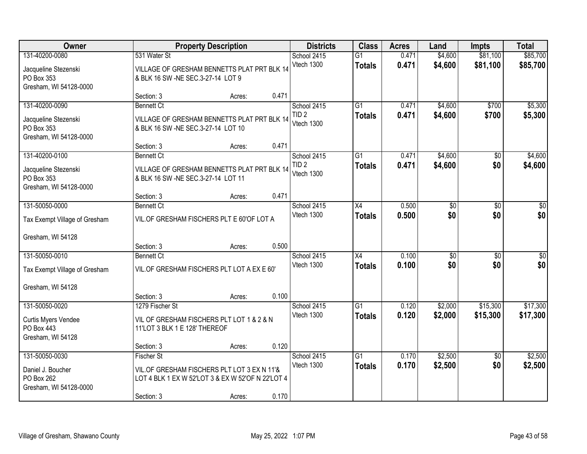| <b>Owner</b>                         |                                                                            | <b>Property Description</b> |       | <b>Districts</b>          | <b>Class</b>    | <b>Acres</b> | Land                   | <b>Impts</b>    | <b>Total</b> |
|--------------------------------------|----------------------------------------------------------------------------|-----------------------------|-------|---------------------------|-----------------|--------------|------------------------|-----------------|--------------|
| 131-40200-0080                       | 531 Water St                                                               |                             |       | School 2415               | $\overline{G1}$ | 0.471        | \$4,600                | \$81,100        | \$85,700     |
| Jacqueline Stezenski                 | VILLAGE OF GRESHAM BENNETTS PLAT PRT BLK 14                                |                             |       | Vtech 1300                | <b>Totals</b>   | 0.471        | \$4,600                | \$81,100        | \$85,700     |
| PO Box 353                           | & BLK 16 SW -NE SEC.3-27-14 LOT 9                                          |                             |       |                           |                 |              |                        |                 |              |
| Gresham, WI 54128-0000               |                                                                            |                             | 0.471 |                           |                 |              |                        |                 |              |
| 131-40200-0090                       | Section: 3<br><b>Bennett Ct</b>                                            | Acres:                      |       | School 2415               | $\overline{G1}$ | 0.471        | \$4,600                | \$700           | \$5,300      |
|                                      |                                                                            |                             |       | TID <sub>2</sub>          | <b>Totals</b>   | 0.471        | \$4,600                | \$700           | \$5,300      |
| Jacqueline Stezenski                 | VILLAGE OF GRESHAM BENNETTS PLAT PRT BLK 14                                |                             |       | Vtech 1300                |                 |              |                        |                 |              |
| PO Box 353<br>Gresham, WI 54128-0000 | & BLK 16 SW -NE SEC.3-27-14 LOT 10                                         |                             |       |                           |                 |              |                        |                 |              |
|                                      | Section: 3                                                                 | Acres:                      | 0.471 |                           |                 |              |                        |                 |              |
| 131-40200-0100                       | <b>Bennett Ct</b>                                                          |                             |       | School 2415               | G1              | 0.471        | \$4,600                | \$0             | \$4,600      |
| Jacqueline Stezenski                 | VILLAGE OF GRESHAM BENNETTS PLAT PRT BLK 14                                |                             |       | TID <sub>2</sub>          | <b>Totals</b>   | 0.471        | \$4,600                | \$0             | \$4,600      |
| PO Box 353                           | & BLK 16 SW -NE SEC.3-27-14 LOT 11                                         |                             |       | Vtech 1300                |                 |              |                        |                 |              |
| Gresham, WI 54128-0000               |                                                                            |                             |       |                           |                 |              |                        |                 |              |
|                                      | Section: 3                                                                 | Acres:                      | 0.471 |                           |                 |              |                        |                 |              |
| 131-50050-0000                       | <b>Bennett Ct</b>                                                          |                             |       | School 2415               | X4              | 0.500        | \$0                    | \$0             | \$0          |
| Tax Exempt Village of Gresham        | VIL.OF GRESHAM FISCHERS PLT E 60'OF LOT A                                  |                             |       | Vtech 1300                | <b>Totals</b>   | 0.500        | \$0                    | \$0             | \$0          |
|                                      |                                                                            |                             |       |                           |                 |              |                        |                 |              |
| Gresham, WI 54128                    |                                                                            |                             |       |                           |                 |              |                        |                 |              |
|                                      | Section: 3                                                                 | Acres:                      | 0.500 |                           |                 |              |                        |                 |              |
| 131-50050-0010                       | <b>Bennett Ct</b>                                                          |                             |       | School 2415<br>Vtech 1300 | $\overline{X4}$ | 0.100        | $\overline{50}$<br>\$0 | \$0             | $\sqrt{50}$  |
| Tax Exempt Village of Gresham        | VIL.OF GRESHAM FISCHERS PLT LOT A EX E 60'                                 |                             |       |                           | <b>Totals</b>   | 0.100        |                        | \$0             | \$0          |
|                                      |                                                                            |                             |       |                           |                 |              |                        |                 |              |
| Gresham, WI 54128                    | Section: 3                                                                 | Acres:                      | 0.100 |                           |                 |              |                        |                 |              |
| 131-50050-0020                       | 1279 Fischer St                                                            |                             |       | School 2415               | $\overline{G1}$ | 0.120        | \$2,000                | \$15,300        | \$17,300     |
|                                      |                                                                            |                             |       | Vtech 1300                | <b>Totals</b>   | 0.120        | \$2,000                | \$15,300        | \$17,300     |
| Curtis Myers Vendee<br>PO Box 443    | VIL OF GRESHAM FISCHERS PLT LOT 1 & 2 & N<br>11'LOT 3 BLK 1 E 128' THEREOF |                             |       |                           |                 |              |                        |                 |              |
| Gresham, WI 54128                    |                                                                            |                             |       |                           |                 |              |                        |                 |              |
|                                      | Section: 3                                                                 | Acres:                      | 0.120 |                           |                 |              |                        |                 |              |
| 131-50050-0030                       | <b>Fischer St</b>                                                          |                             |       | School 2415               | $\overline{G1}$ | 0.170        | \$2,500                | $\overline{60}$ | \$2,500      |
| Daniel J. Boucher                    | VIL.OF GRESHAM FISCHERS PLT LOT 3 EX N 11'&                                |                             |       | Vtech 1300                | <b>Totals</b>   | 0.170        | \$2,500                | \$0             | \$2,500      |
| PO Box 262                           | LOT 4 BLK 1 EX W 52'LOT 3 & EX W 52'OF N 22'LOT 4                          |                             |       |                           |                 |              |                        |                 |              |
| Gresham, WI 54128-0000               |                                                                            |                             |       |                           |                 |              |                        |                 |              |
|                                      | Section: 3                                                                 | Acres:                      | 0.170 |                           |                 |              |                        |                 |              |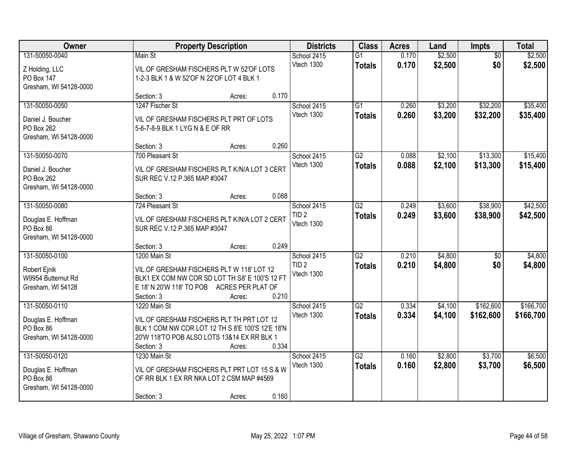| Owner                                                                       |                                                                                                                                                            | <b>Property Description</b> |       | <b>Districts</b>                              | <b>Class</b>                     | <b>Acres</b>   | Land               | <b>Impts</b>           | <b>Total</b>         |
|-----------------------------------------------------------------------------|------------------------------------------------------------------------------------------------------------------------------------------------------------|-----------------------------|-------|-----------------------------------------------|----------------------------------|----------------|--------------------|------------------------|----------------------|
| 131-50050-0040<br>Z Holding, LLC<br>PO Box 147<br>Gresham, WI 54128-0000    | Main St<br>VIL.OF GRESHAM FISCHERS PLT W 52'OF LOTS<br>1-2-3 BLK 1 & W 52'OF N 22'OF LOT 4 BLK 1                                                           |                             |       | School 2415<br>Vtech 1300                     | $\overline{G1}$<br><b>Totals</b> | 0.170<br>0.170 | \$2,500<br>\$2,500 | $\overline{50}$<br>\$0 | \$2,500<br>\$2,500   |
|                                                                             | Section: 3                                                                                                                                                 | Acres:                      | 0.170 |                                               |                                  |                |                    |                        |                      |
| 131-50050-0050<br>Daniel J. Boucher<br>PO Box 262<br>Gresham, WI 54128-0000 | 1247 Fischer St<br>VIL OF GRESHAM FISCHERS PLT PRT OF LOTS<br>5-6-7-8-9 BLK 1 LYG N & E OF RR                                                              |                             |       | School 2415<br>Vtech 1300                     | G1<br><b>Totals</b>              | 0.260<br>0.260 | \$3,200<br>\$3,200 | \$32,200<br>\$32,200   | \$35,400<br>\$35,400 |
|                                                                             | Section: 3                                                                                                                                                 | Acres:                      | 0.260 |                                               |                                  |                |                    |                        |                      |
| 131-50050-0070<br>Daniel J. Boucher<br>PO Box 262<br>Gresham, WI 54128-0000 | 700 Pleasant St<br>VIL.OF GRESHAM FISCHERS PLT K/N/A LOT 3 CERT<br>SUR REC V.12 P.365 MAP #3047                                                            |                             |       | School 2415<br>Vtech 1300                     | G2<br><b>Totals</b>              | 0.088<br>0.088 | \$2,100<br>\$2,100 | \$13,300<br>\$13,300   | \$15,400<br>\$15,400 |
|                                                                             | Section: 3                                                                                                                                                 | Acres:                      | 0.088 |                                               |                                  |                |                    |                        |                      |
| 131-50050-0080<br>Douglas E. Hoffman<br>PO Box 86<br>Gresham, WI 54128-0000 | 724 Pleasant St<br>VIL.OF GRESHAM FISCHERS PLT K/N/A LOT 2 CERT<br>SUR REC V.12 P.365 MAP #3047                                                            |                             |       | School 2415<br>TID <sub>2</sub><br>Vtech 1300 | $\overline{G2}$<br><b>Totals</b> | 0.249<br>0.249 | \$3,600<br>\$3,600 | \$38,900<br>\$38,900   | \$42,500<br>\$42,500 |
|                                                                             | Section: 3                                                                                                                                                 | Acres:                      | 0.249 |                                               |                                  |                |                    |                        |                      |
| 131-50050-0100<br>Robert Ejnik<br>W9954 Butternut Rd<br>Gresham, WI 54128   | 1200 Main St<br>VIL.OF GRESHAM FISCHERS PLT W 118' LOT 12<br>BLK1 EX COM NW COR SD LOT TH S8' E 100'S 12 FT<br>E 18' N 20'W 118' TO POB<br>Section: 3      | ACRES PER PLAT OF<br>Acres: | 0.210 | School 2415<br>TID <sub>2</sub><br>Vtech 1300 | $\overline{G2}$<br><b>Totals</b> | 0.210<br>0.210 | \$4,800<br>\$4,800 | \$0<br>\$0             | \$4,800<br>\$4,800   |
| 131-50050-0110                                                              | 1220 Main St                                                                                                                                               |                             |       | School 2415                                   | G2                               | 0.334          | \$4,100            | \$162,600              | \$166,700            |
| Douglas E. Hoffman<br>PO Box 86<br>Gresham, WI 54128-0000                   | VIL.OF GRESHAM FISCHERS PLT TH PRT LOT 12<br>BLK 1 COM NW COR LOT 12 TH S 8'E 100'S 12'E 18'N<br>20'W 118'TO POB ALSO LOTS 13&14 EX RR BLK 1<br>Section: 3 | Acres:                      | 0.334 | Vtech 1300                                    | <b>Totals</b>                    | 0.334          | \$4,100            | \$162,600              | \$166,700            |
| 131-50050-0120<br>Douglas E. Hoffman<br>PO Box 86<br>Gresham, WI 54128-0000 | 1230 Main St<br>VIL OF GRESHAM FISCHERS PLT PRT LOT 15 S & W<br>OF RR BLK 1 EX RR NKA LOT 2 CSM MAP #4569<br>Section: 3                                    | Acres:                      | 0.160 | School 2415<br>Vtech 1300                     | $\overline{G2}$<br><b>Totals</b> | 0.160<br>0.160 | \$2,800<br>\$2,800 | \$3,700<br>\$3,700     | \$6,500<br>\$6,500   |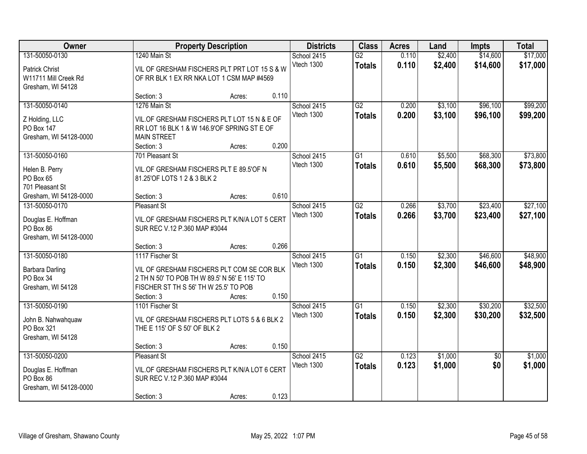| Owner                                                                                |                                                                                                                                                                      | <b>Property Description</b> |       |                           | <b>Class</b>                     | <b>Acres</b>   | Land               | <b>Impts</b>         | <b>Total</b>         |
|--------------------------------------------------------------------------------------|----------------------------------------------------------------------------------------------------------------------------------------------------------------------|-----------------------------|-------|---------------------------|----------------------------------|----------------|--------------------|----------------------|----------------------|
| 131-50050-0130<br><b>Patrick Christ</b><br>W11711 Mill Creek Rd<br>Gresham, WI 54128 | 1240 Main St<br>VIL OF GRESHAM FISCHERS PLT PRT LOT 15 S & W<br>OF RR BLK 1 EX RR NKA LOT 1 CSM MAP #4569                                                            |                             |       | School 2415<br>Vtech 1300 | $\overline{G2}$<br><b>Totals</b> | 0.110<br>0.110 | \$2,400<br>\$2,400 | \$14,600<br>\$14,600 | \$17,000<br>\$17,000 |
|                                                                                      | Section: 3                                                                                                                                                           | Acres:                      | 0.110 |                           |                                  |                |                    |                      |                      |
| 131-50050-0140<br>Z Holding, LLC<br>PO Box 147<br>Gresham, WI 54128-0000             | 1276 Main St<br>VIL.OF GRESHAM FISCHERS PLT LOT 15 N & E OF<br>RR LOT 16 BLK 1 & W 146.9'OF SPRING ST E OF<br><b>MAIN STREET</b><br>Section: 3                       | Acres:                      | 0.200 | School 2415<br>Vtech 1300 | G2<br><b>Totals</b>              | 0.200<br>0.200 | \$3,100<br>\$3,100 | \$96,100<br>\$96,100 | \$99,200<br>\$99,200 |
| 131-50050-0160<br>Helen B. Perry<br>PO Box 65<br>701 Pleasant St                     | 701 Pleasant St<br>VIL.OF GRESHAM FISCHERS PLT E 89.5'OF N<br>81.25'OF LOTS 1 2 & 3 BLK 2                                                                            |                             |       | School 2415<br>Vtech 1300 | G1<br><b>Totals</b>              | 0.610<br>0.610 | \$5,500<br>\$5,500 | \$68,300<br>\$68,300 | \$73,800<br>\$73,800 |
| Gresham, WI 54128-0000                                                               | Section: 3                                                                                                                                                           | Acres:                      | 0.610 |                           |                                  |                |                    |                      |                      |
| 131-50050-0170<br>Douglas E. Hoffman<br>PO Box 86<br>Gresham, WI 54128-0000          | <b>Pleasant St</b><br>VIL.OF GRESHAM FISCHERS PLT K/N/A LOT 5 CERT<br>SUR REC V.12 P.360 MAP #3044                                                                   |                             |       | School 2415<br>Vtech 1300 | $\overline{G2}$<br><b>Totals</b> | 0.266<br>0.266 | \$3,700<br>\$3,700 | \$23,400<br>\$23,400 | \$27,100<br>\$27,100 |
|                                                                                      | Section: 3                                                                                                                                                           | Acres:                      | 0.266 |                           |                                  |                |                    |                      |                      |
| 131-50050-0180<br>Barbara Darling<br>PO Box 34<br>Gresham, WI 54128                  | 1117 Fischer St<br>VIL OF GRESHAM FISCHERS PLT COM SE COR BLK<br>2 TH N 50' TO POB TH W 89.5' N 56' E 115' TO<br>FISCHER ST TH S 56' TH W 25.5' TO POB<br>Section: 3 | Acres:                      | 0.150 | School 2415<br>Vtech 1300 | $\overline{G1}$<br><b>Totals</b> | 0.150<br>0.150 | \$2,300<br>\$2,300 | \$46,600<br>\$46,600 | \$48,900<br>\$48,900 |
| 131-50050-0190<br>John B. Nahwahquaw<br>PO Box 321<br>Gresham, WI 54128              | 1101 Fischer St<br>VIL OF GRESHAM FISCHERS PLT LOTS 5 & 6 BLK 2<br>THE E 115' OF S 50' OF BLK 2<br>Section: 3                                                        | Acres:                      | 0.150 | School 2415<br>Vtech 1300 | $\overline{G1}$<br><b>Totals</b> | 0.150<br>0.150 | \$2,300<br>\$2,300 | \$30,200<br>\$30,200 | \$32,500<br>\$32,500 |
| 131-50050-0200                                                                       | <b>Pleasant St</b>                                                                                                                                                   |                             |       | School 2415               | $\overline{G2}$                  | 0.123          | \$1,000            | $\overline{50}$      | \$1,000              |
| Douglas E. Hoffman<br>PO Box 86<br>Gresham, WI 54128-0000                            | VIL.OF GRESHAM FISCHERS PLT K/N/A LOT 6 CERT<br>SUR REC V.12 P.360 MAP #3044                                                                                         |                             |       | Vtech 1300                | <b>Totals</b>                    | 0.123          | \$1,000            | \$0                  | \$1,000              |
|                                                                                      | Section: 3                                                                                                                                                           | Acres:                      | 0.123 |                           |                                  |                |                    |                      |                      |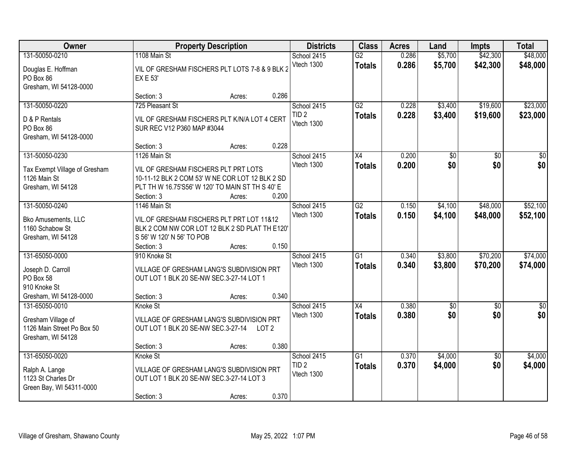| Owner                                                                    |                                                                                                                                                           | <b>Property Description</b> |                | <b>Districts</b>               | <b>Class</b>    | <b>Acres</b> | Land            | <b>Impts</b>    | <b>Total</b>    |
|--------------------------------------------------------------------------|-----------------------------------------------------------------------------------------------------------------------------------------------------------|-----------------------------|----------------|--------------------------------|-----------------|--------------|-----------------|-----------------|-----------------|
| 131-50050-0210                                                           | 1108 Main St                                                                                                                                              |                             |                | School 2415                    | $\overline{G2}$ | 0.286        | \$5,700         | \$42,300        | \$48,000        |
| Douglas E. Hoffman<br>PO Box 86<br>Gresham, WI 54128-0000                | VIL OF GRESHAM FISCHERS PLT LOTS 7-8 & 9 BLK 2<br><b>EX E 53'</b>                                                                                         |                             |                | Vtech 1300                     | <b>Totals</b>   | 0.286        | \$5,700         | \$42,300        | \$48,000        |
|                                                                          | Section: 3                                                                                                                                                | Acres:                      | 0.286          |                                |                 |              |                 |                 |                 |
| 131-50050-0220                                                           | 725 Pleasant St                                                                                                                                           |                             |                | School 2415                    | $\overline{G2}$ | 0.228        | \$3,400         | \$19,600        | \$23,000        |
| D & P Rentals<br>PO Box 86<br>Gresham, WI 54128-0000                     | VIL OF GRESHAM FISCHERS PLT K/N/A LOT 4 CERT<br>SUR REC V12 P360 MAP #3044                                                                                |                             |                | TID <sub>2</sub><br>Vtech 1300 | <b>Totals</b>   | 0.228        | \$3,400         | \$19,600        | \$23,000        |
|                                                                          | Section: 3                                                                                                                                                | Acres:                      | 0.228          |                                |                 |              |                 |                 |                 |
| 131-50050-0230                                                           | 1126 Main St                                                                                                                                              |                             |                | School 2415                    | X4              | 0.200        | $\overline{50}$ | \$0             | $\overline{30}$ |
| Tax Exempt Village of Gresham<br>1126 Main St<br>Gresham, WI 54128       | VIL OF GRESHAM FISCHERS PLT PRT LOTS<br>10-11-12 BLK 2 COM 53' W NE COR LOT 12 BLK 2 SD<br>PLT TH W 16.75'S56' W 120' TO MAIN ST TH S 40' E<br>Section: 3 | Acres:                      | 0.200          | Vtech 1300                     | <b>Totals</b>   | 0.200        | \$0             | \$0             | \$0             |
| 131-50050-0240                                                           | 1146 Main St                                                                                                                                              |                             |                | School 2415                    | $\overline{G2}$ | 0.150        | \$4,100         | \$48,000        | \$52,100        |
| <b>Bko Amusements, LLC</b><br>1160 Schabow St<br>Gresham, WI 54128       | VIL.OF GRESHAM FISCHERS PLT PRT LOT 11&12<br>BLK 2 COM NW COR LOT 12 BLK 2 SD PLAT TH E120'<br>S 56' W 120' N 56' TO POB<br>Section: 3                    | Acres:                      | 0.150          | Vtech 1300                     | <b>Totals</b>   | 0.150        | \$4,100         | \$48,000        | \$52,100        |
| 131-65050-0000                                                           | 910 Knoke St                                                                                                                                              |                             |                | School 2415                    | $\overline{G1}$ | 0.340        | \$3,800         | \$70,200        | \$74,000        |
| Joseph D. Carroll<br>PO Box 58<br>910 Knoke St<br>Gresham, WI 54128-0000 | VILLAGE OF GRESHAM LANG'S SUBDIVISION PRT<br>OUT LOT 1 BLK 20 SE-NW SEC.3-27-14 LOT 1<br>Section: 3                                                       | Acres:                      | 0.340          | Vtech 1300                     | <b>Totals</b>   | 0.340        | \$3,800         | \$70,200        | \$74,000        |
| 131-65050-0010                                                           | Knoke St                                                                                                                                                  |                             |                | School 2415                    | $\overline{X4}$ | 0.380        | $\overline{50}$ | \$0             | $\frac{1}{6}$   |
| Gresham Village of<br>1126 Main Street Po Box 50<br>Gresham, WI 54128    | VILLAGE OF GRESHAM LANG'S SUBDIVISION PRT<br>OUT LOT 1 BLK 20 SE-NW SEC.3-27-14<br>Section: 3                                                             | Acres:                      | LOT 2<br>0.380 | Vtech 1300                     | <b>Totals</b>   | 0.380        | \$0             | \$0             | \$0             |
| 131-65050-0020                                                           | Knoke St                                                                                                                                                  |                             |                | School 2415                    | $\overline{G1}$ | 0.370        | \$4,000         | $\overline{50}$ | \$4,000         |
| Ralph A. Lange<br>1123 St Charles Dr<br>Green Bay, WI 54311-0000         | VILLAGE OF GRESHAM LANG'S SUBDIVISION PRT<br>OUT LOT 1 BLK 20 SE-NW SEC.3-27-14 LOT 3<br>Section: 3                                                       | Acres:                      | 0.370          | TID <sub>2</sub><br>Vtech 1300 | <b>Totals</b>   | 0.370        | \$4,000         | \$0             | \$4,000         |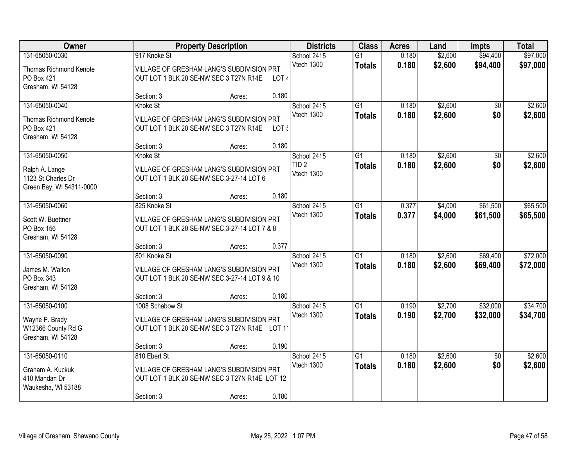| Owner                                          |                 | <b>Property Description</b>                                                                |                  |                                 | <b>Class</b>        | <b>Acres</b>   | Land               | <b>Impts</b>    | <b>Total</b>       |
|------------------------------------------------|-----------------|--------------------------------------------------------------------------------------------|------------------|---------------------------------|---------------------|----------------|--------------------|-----------------|--------------------|
| 131-65050-0030                                 | 917 Knoke St    |                                                                                            |                  | School 2415                     | $\overline{G1}$     | 0.180          | \$2,600            | \$94,400        | \$97,000           |
| Thomas Richmond Kenote                         |                 | VILLAGE OF GRESHAM LANG'S SUBDIVISION PRT                                                  |                  | Vtech 1300                      | <b>Totals</b>       | 0.180          | \$2,600            | \$94,400        | \$97,000           |
| PO Box 421                                     |                 | OUT LOT 1 BLK 20 SE-NW SEC 3 T27N R14E                                                     | LOT <sub>4</sub> |                                 |                     |                |                    |                 |                    |
| Gresham, WI 54128                              | Section: 3      | Acres:                                                                                     | 0.180            |                                 |                     |                |                    |                 |                    |
| 131-65050-0040                                 | Knoke St        |                                                                                            |                  | School 2415                     | $\overline{G1}$     | 0.180          | \$2,600            | $\overline{50}$ | \$2,600            |
| <b>Thomas Richmond Kenote</b>                  |                 | VILLAGE OF GRESHAM LANG'S SUBDIVISION PRT                                                  |                  | Vtech 1300                      | <b>Totals</b>       | 0.180          | \$2,600            | \$0             | \$2,600            |
| PO Box 421                                     |                 | OUT LOT 1 BLK 20 SE-NW SEC 3 T27N R14E                                                     | LOT!             |                                 |                     |                |                    |                 |                    |
| Gresham, WI 54128                              |                 |                                                                                            |                  |                                 |                     |                |                    |                 |                    |
|                                                | Section: 3      | Acres:                                                                                     | 0.180            |                                 |                     |                |                    |                 |                    |
| 131-65050-0050                                 | Knoke St        |                                                                                            |                  | School 2415<br>TID <sub>2</sub> | G1<br><b>Totals</b> | 0.180<br>0.180 | \$2,600<br>\$2,600 | \$0<br>\$0      | \$2,600<br>\$2,600 |
| Ralph A. Lange                                 |                 | VILLAGE OF GRESHAM LANG'S SUBDIVISION PRT                                                  |                  | Vtech 1300                      |                     |                |                    |                 |                    |
| 1123 St Charles Dr<br>Green Bay, WI 54311-0000 |                 | OUT LOT 1 BLK 20 SE-NW SEC.3-27-14 LOT 6                                                   |                  |                                 |                     |                |                    |                 |                    |
|                                                | Section: 3      | Acres:                                                                                     | 0.180            |                                 |                     |                |                    |                 |                    |
| 131-65050-0060                                 | 825 Knoke St    |                                                                                            |                  | School 2415                     | G1                  | 0.377          | \$4,000            | \$61,500        | \$65,500           |
| Scott W. Buettner                              |                 | VILLAGE OF GRESHAM LANG'S SUBDIVISION PRT                                                  |                  | Vtech 1300                      | <b>Totals</b>       | 0.377          | \$4,000            | \$61,500        | \$65,500           |
| PO Box 156                                     |                 | OUT LOT 1 BLK 20 SE-NW SEC.3-27-14 LOT 7 & 8                                               |                  |                                 |                     |                |                    |                 |                    |
| Gresham, WI 54128                              | Section: 3      |                                                                                            | 0.377            |                                 |                     |                |                    |                 |                    |
| 131-65050-0090                                 | 801 Knoke St    | Acres:                                                                                     |                  | School 2415                     | $\overline{G1}$     | 0.180          | \$2,600            | \$69,400        | \$72,000           |
|                                                |                 |                                                                                            |                  | Vtech 1300                      | <b>Totals</b>       | 0.180          | \$2,600            | \$69,400        | \$72,000           |
| James M. Walton<br>PO Box 343                  |                 | VILLAGE OF GRESHAM LANG'S SUBDIVISION PRT<br>OUT LOT 1 BLK 20 SE-NW SEC.3-27-14 LOT 9 & 10 |                  |                                 |                     |                |                    |                 |                    |
| Gresham, WI 54128                              |                 |                                                                                            |                  |                                 |                     |                |                    |                 |                    |
|                                                | Section: 3      | Acres:                                                                                     | 0.180            |                                 |                     |                |                    |                 |                    |
| 131-65050-0100                                 | 1008 Schabow St |                                                                                            |                  | School 2415                     | $\overline{G1}$     | 0.190          | \$2,700            | \$32,000        | \$34,700           |
| Wayne P. Brady                                 |                 | VILLAGE OF GRESHAM LANG'S SUBDIVISION PRT                                                  |                  | Vtech 1300                      | <b>Totals</b>       | 0.190          | \$2,700            | \$32,000        | \$34,700           |
| W12366 County Rd G                             |                 | OUT LOT 1 BLK 20 SE-NW SEC 3 T27N R14E LOT 11                                              |                  |                                 |                     |                |                    |                 |                    |
| Gresham, WI 54128                              | Section: 3      | Acres:                                                                                     | 0.190            |                                 |                     |                |                    |                 |                    |
| 131-65050-0110                                 | 810 Ebert St    |                                                                                            |                  | School 2415                     | G1                  | 0.180          | \$2,600            | $\overline{50}$ | \$2,600            |
| Graham A. Kuckuk                               |                 | VILLAGE OF GRESHAM LANG'S SUBDIVISION PRT                                                  |                  | Vtech 1300                      | <b>Totals</b>       | 0.180          | \$2,600            | \$0             | \$2,600            |
| 410 Mandan Dr                                  |                 | OUT LOT 1 BLK 20 SE-NW SEC 3 T27N R14E LOT 12                                              |                  |                                 |                     |                |                    |                 |                    |
| Waukesha, WI 53188                             |                 |                                                                                            |                  |                                 |                     |                |                    |                 |                    |
|                                                | Section: 3      | Acres:                                                                                     | 0.180            |                                 |                     |                |                    |                 |                    |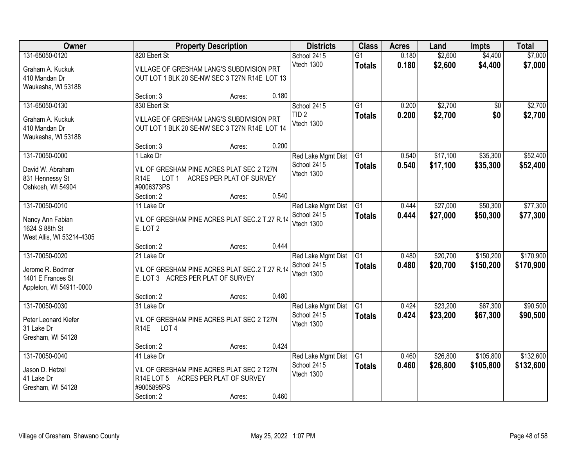| Owner                     |                                                | <b>Property Description</b> |       | <b>Districts</b>   | <b>Class</b>    | <b>Acres</b> | Land     | <b>Impts</b>    | <b>Total</b> |
|---------------------------|------------------------------------------------|-----------------------------|-------|--------------------|-----------------|--------------|----------|-----------------|--------------|
| 131-65050-0120            | 820 Ebert St                                   |                             |       | School 2415        | $\overline{G1}$ | 0.180        | \$2,600  | \$4,400         | \$7,000      |
| Graham A. Kuckuk          | VILLAGE OF GRESHAM LANG'S SUBDIVISION PRT      |                             |       | Vtech 1300         | <b>Totals</b>   | 0.180        | \$2,600  | \$4,400         | \$7,000      |
| 410 Mandan Dr             | OUT LOT 1 BLK 20 SE-NW SEC 3 T27N R14E LOT 13  |                             |       |                    |                 |              |          |                 |              |
| Waukesha, WI 53188        |                                                |                             |       |                    |                 |              |          |                 |              |
|                           | Section: 3                                     | Acres:                      | 0.180 |                    |                 |              |          |                 |              |
| 131-65050-0130            | 830 Ebert St                                   |                             |       | School 2415        | $\overline{G1}$ | 0.200        | \$2,700  | $\overline{50}$ | \$2,700      |
| Graham A. Kuckuk          | VILLAGE OF GRESHAM LANG'S SUBDIVISION PRT      |                             |       | TID <sub>2</sub>   | <b>Totals</b>   | 0.200        | \$2,700  | \$0             | \$2,700      |
| 410 Mandan Dr             | OUT LOT 1 BLK 20 SE-NW SEC 3 T27N R14E LOT 14  |                             |       | Vtech 1300         |                 |              |          |                 |              |
| Waukesha, WI 53188        |                                                |                             |       |                    |                 |              |          |                 |              |
|                           | Section: 3                                     | Acres:                      | 0.200 |                    |                 |              |          |                 |              |
| 131-70050-0000            | 1 Lake Dr                                      |                             |       | Red Lake Mgmt Dist | G <sub>1</sub>  | 0.540        | \$17,100 | \$35,300        | \$52,400     |
| David W. Abraham          | VIL OF GRESHAM PINE ACRES PLAT SEC 2 T27N      |                             |       | School 2415        | <b>Totals</b>   | 0.540        | \$17,100 | \$35,300        | \$52,400     |
| 831 Hennessy St           | R <sub>14E</sub><br>LOT <sub>1</sub>           | ACRES PER PLAT OF SURVEY    |       | Vtech 1300         |                 |              |          |                 |              |
| Oshkosh, WI 54904         | #9006373PS                                     |                             |       |                    |                 |              |          |                 |              |
|                           | Section: 2                                     | Acres:                      | 0.540 |                    |                 |              |          |                 |              |
| 131-70050-0010            | 11 Lake Dr                                     |                             |       | Red Lake Mgmt Dist | $\overline{G1}$ | 0.444        | \$27,000 | \$50,300        | \$77,300     |
| Nancy Ann Fabian          | VIL OF GRESHAM PINE ACRES PLAT SEC.2 T.27 R.14 |                             |       | School 2415        | <b>Totals</b>   | 0.444        | \$27,000 | \$50,300        | \$77,300     |
| 1624 S 88th St            | E. LOT 2                                       |                             |       | Vtech 1300         |                 |              |          |                 |              |
| West Allis, WI 53214-4305 |                                                |                             |       |                    |                 |              |          |                 |              |
|                           | Section: 2                                     | Acres:                      | 0.444 |                    |                 |              |          |                 |              |
| 131-70050-0020            | 21 Lake Dr                                     |                             |       | Red Lake Mgmt Dist | $\overline{G1}$ | 0.480        | \$20,700 | \$150,200       | \$170,900    |
| Jerome R. Bodmer          | VIL OF GRESHAM PINE ACRES PLAT SEC.2 T.27 R.14 |                             |       | School 2415        | <b>Totals</b>   | 0.480        | \$20,700 | \$150,200       | \$170,900    |
| 1401 E Frances St         | E. LOT 3 ACRES PER PLAT OF SURVEY              |                             |       | Vtech 1300         |                 |              |          |                 |              |
| Appleton, WI 54911-0000   |                                                |                             |       |                    |                 |              |          |                 |              |
|                           | Section: 2                                     | Acres:                      | 0.480 |                    |                 |              |          |                 |              |
| 131-70050-0030            | 31 Lake Dr                                     |                             |       | Red Lake Mgmt Dist | $\overline{G1}$ | 0.424        | \$23,200 | \$67,300        | \$90,500     |
| Peter Leonard Kiefer      | VIL OF GRESHAM PINE ACRES PLAT SEC 2 T27N      |                             |       | School 2415        | <b>Totals</b>   | 0.424        | \$23,200 | \$67,300        | \$90,500     |
| 31 Lake Dr                | R <sub>14</sub> E<br>LOT <sub>4</sub>          |                             |       | Vtech 1300         |                 |              |          |                 |              |
| Gresham, WI 54128         |                                                |                             |       |                    |                 |              |          |                 |              |
|                           | Section: 2                                     | Acres:                      | 0.424 |                    |                 |              |          |                 |              |
| 131-70050-0040            | 41 Lake Dr                                     |                             |       | Red Lake Mgmt Dist | G1              | 0.460        | \$26,800 | \$105,800       | \$132,600    |
| Jason D. Hetzel           | VIL OF GRESHAM PINE ACRES PLAT SEC 2 T27N      |                             |       | School 2415        | <b>Totals</b>   | 0.460        | \$26,800 | \$105,800       | \$132,600    |
| 41 Lake Dr                | R <sub>14</sub> E LOT 5                        | ACRES PER PLAT OF SURVEY    |       | Vtech 1300         |                 |              |          |                 |              |
| Gresham, WI 54128         | #9005895PS                                     |                             |       |                    |                 |              |          |                 |              |
|                           | Section: 2                                     | Acres:                      | 0.460 |                    |                 |              |          |                 |              |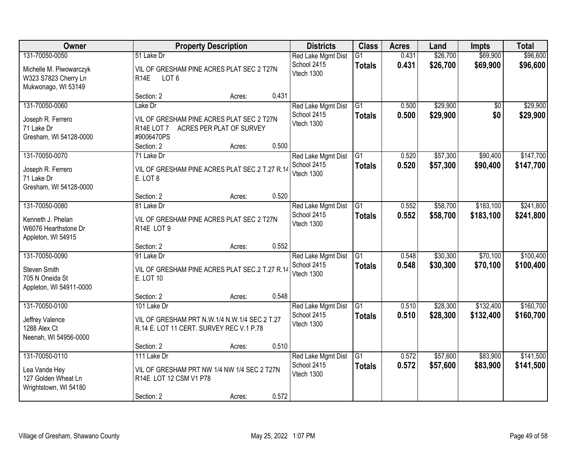| <b>Owner</b>                                                                                                                                                                           |                                                                                                             | <b>Property Description</b><br><b>Districts</b> |                                                 |                                                 | <b>Class</b>                     | <b>Acres</b>         | Land                   | <b>Impts</b>           | <b>Total</b>           |
|----------------------------------------------------------------------------------------------------------------------------------------------------------------------------------------|-------------------------------------------------------------------------------------------------------------|-------------------------------------------------|-------------------------------------------------|-------------------------------------------------|----------------------------------|----------------------|------------------------|------------------------|------------------------|
| 131-70050-0050<br>51 Lake Dr<br>Michelle M. Piwowarczyk<br>VIL OF GRESHAM PINE ACRES PLAT SEC 2 T27N<br>W323 S7823 Cherry Ln<br>LOT <sub>6</sub><br><b>R14E</b><br>Mukwonago, WI 53149 |                                                                                                             | Red Lake Mgmt Dist<br>School 2415<br>Vtech 1300 | $\overline{G1}$<br><b>Totals</b>                | 0.431<br>0.431                                  | \$26,700<br>\$26,700             | \$69,900<br>\$69,900 | \$96,600<br>\$96,600   |                        |                        |
|                                                                                                                                                                                        | Section: 2                                                                                                  | Acres:                                          | 0.431                                           |                                                 |                                  |                      |                        |                        |                        |
| 131-70050-0060<br>Joseph R. Ferrero<br>71 Lake Dr<br>Gresham, WI 54128-0000                                                                                                            | Lake Dr<br>VIL OF GRESHAM PINE ACRES PLAT SEC 2 T27N<br>R <sub>14</sub> E LOT 7<br>#9006470PS<br>Section: 2 | ACRES PER PLAT OF SURVEY<br>Acres:              | 0.500                                           | Red Lake Mgmt Dist<br>School 2415<br>Vtech 1300 | $\overline{G1}$<br><b>Totals</b> | 0.500<br>0.500       | \$29,900<br>\$29,900   | \$0<br>\$0             | \$29,900<br>\$29,900   |
| 131-70050-0070                                                                                                                                                                         | 71 Lake Dr                                                                                                  |                                                 |                                                 | Red Lake Mgmt Dist                              | G <sub>1</sub>                   | 0.520                | \$57,300               | \$90,400               | \$147,700              |
| Joseph R. Ferrero<br>71 Lake Dr<br>Gresham, WI 54128-0000                                                                                                                              | VIL OF GRESHAM PINE ACRES PLAT SEC.2 T.27 R.14<br>E. LOT 8                                                  |                                                 |                                                 | School 2415<br>Vtech 1300                       | <b>Totals</b>                    | 0.520                | \$57,300               | \$90,400               | \$147,700              |
|                                                                                                                                                                                        | Section: 2                                                                                                  | Acres:                                          | 0.520                                           |                                                 |                                  |                      |                        |                        |                        |
| 131-70050-0080<br>Kenneth J. Phelan<br>W6076 Hearthstone Dr<br>Appleton, WI 54915                                                                                                      | 81 Lake Dr<br>VIL OF GRESHAM PINE ACRES PLAT SEC 2 T27N<br>R14E LOT 9                                       |                                                 |                                                 | Red Lake Mgmt Dist<br>School 2415<br>Vtech 1300 | $\overline{G1}$<br><b>Totals</b> | 0.552<br>0.552       | \$58,700<br>\$58,700   | \$183,100<br>\$183,100 | \$241,800<br>\$241,800 |
|                                                                                                                                                                                        | Section: 2                                                                                                  | Acres:                                          | 0.552                                           |                                                 |                                  |                      |                        |                        |                        |
| 131-70050-0090<br>Steven Smith<br>705 N Oneida St<br>Appleton, WI 54911-0000                                                                                                           | 91 Lake Dr<br>VIL OF GRESHAM PINE ACRES PLAT SEC.2 T.27 R.14<br>E. LOT 10                                   |                                                 |                                                 | Red Lake Mgmt Dist<br>School 2415<br>Vtech 1300 | $\overline{G1}$<br><b>Totals</b> | 0.548<br>0.548       | \$30,300<br>\$30,300   | \$70,100<br>\$70,100   | \$100,400<br>\$100,400 |
|                                                                                                                                                                                        | Section: 2                                                                                                  | Acres:                                          | 0.548                                           |                                                 |                                  |                      |                        |                        |                        |
| 131-70050-0100<br>Jeffrey Valence<br>1288 Alex Ct<br>Neenah, WI 54956-0000                                                                                                             | 101 Lake Dr<br>VIL OF GRESHAM PRT N.W.1/4 N.W.1/4 SEC.2 T.27<br>R.14 E. LOT 11 CERT. SURVEY REC V.1 P.78    |                                                 | Red Lake Mgmt Dist<br>School 2415<br>Vtech 1300 | $\overline{G1}$<br><b>Totals</b>                | 0.510<br>0.510                   | \$28,300<br>\$28,300 | \$132,400<br>\$132,400 | \$160,700<br>\$160,700 |                        |
|                                                                                                                                                                                        | Section: 2                                                                                                  | Acres:                                          | 0.510                                           |                                                 |                                  |                      |                        |                        |                        |
| 131-70050-0110<br>Lea Vande Hey<br>127 Golden Wheat Ln<br>Wrightstown, WI 54180                                                                                                        | 111 Lake Dr<br>VIL OF GRESHAM PRT NW 1/4 NW 1/4 SEC 2 T27N<br>R14E LOT 12 CSM V1 P78<br>Section: 2          | Acres:                                          | 0.572                                           | Red Lake Mgmt Dist<br>School 2415<br>Vtech 1300 | $\overline{G1}$<br><b>Totals</b> | 0.572<br>0.572       | \$57,600<br>\$57,600   | \$83,900<br>\$83,900   | \$141,500<br>\$141,500 |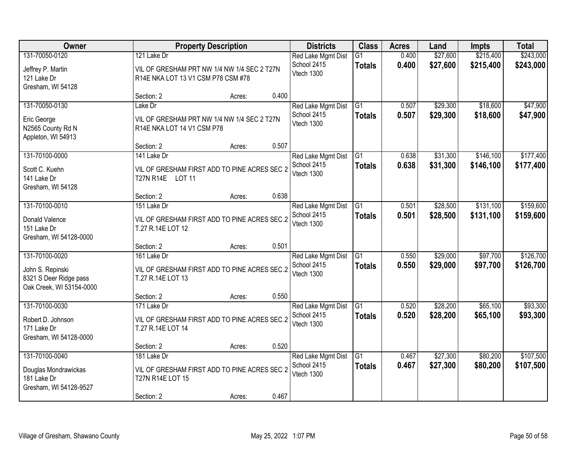| Owner                                                                                    |                                                                                                  | <b>Property Description</b> |       | <b>Districts</b>                                | <b>Class</b>                     | <b>Acres</b>   | Land                 | Impts                  | <b>Total</b>           |
|------------------------------------------------------------------------------------------|--------------------------------------------------------------------------------------------------|-----------------------------|-------|-------------------------------------------------|----------------------------------|----------------|----------------------|------------------------|------------------------|
| 131-70050-0120<br>Jeffrey P. Martin<br>121 Lake Dr<br>Gresham, WI 54128                  | 121 Lake Dr<br>VIL OF GRESHAM PRT NW 1/4 NW 1/4 SEC 2 T27N<br>R14E NKA LOT 13 V1 CSM P78 CSM #78 |                             |       | Red Lake Mgmt Dist<br>School 2415<br>Vtech 1300 | G1<br><b>Totals</b>              | 0.400<br>0.400 | \$27,600<br>\$27,600 | \$215,400<br>\$215,400 | \$243,000<br>\$243,000 |
|                                                                                          | Section: 2                                                                                       | Acres:                      | 0.400 |                                                 |                                  |                |                      |                        |                        |
| 131-70050-0130<br>Eric George<br>N2565 County Rd N<br>Appleton, WI 54913                 | Lake Dr<br>VIL OF GRESHAM PRT NW 1/4 NW 1/4 SEC 2 T27N<br>R14E NKA LOT 14 V1 CSM P78             |                             |       | Red Lake Mgmt Dist<br>School 2415<br>Vtech 1300 | $\overline{G1}$<br><b>Totals</b> | 0.507<br>0.507 | \$29,300<br>\$29,300 | \$18,600<br>\$18,600   | \$47,900<br>\$47,900   |
|                                                                                          | Section: 2                                                                                       | Acres:                      | 0.507 |                                                 |                                  |                |                      |                        |                        |
| 131-70100-0000<br>Scott C. Kuehn<br>141 Lake Dr<br>Gresham, WI 54128                     | 141 Lake Dr<br>VIL OF GRESHAM FIRST ADD TO PINE ACRES SEC 2<br>T27N R14E LOT 11                  |                             |       | Red Lake Mgmt Dist<br>School 2415<br>Vtech 1300 | G1<br><b>Totals</b>              | 0.638<br>0.638 | \$31,300<br>\$31,300 | \$146,100<br>\$146,100 | \$177,400<br>\$177,400 |
|                                                                                          | Section: 2                                                                                       | Acres:                      | 0.638 |                                                 |                                  |                |                      |                        |                        |
| 131-70100-0010<br>Donald Valence<br>151 Lake Dr<br>Gresham, WI 54128-0000                | 151 Lake Dr<br>VIL OF GRESHAM FIRST ADD TO PINE ACRES SEC.2<br>T.27 R.14E LOT 12                 |                             |       | Red Lake Mgmt Dist<br>School 2415<br>Vtech 1300 | $\overline{G1}$<br><b>Totals</b> | 0.501<br>0.501 | \$28,500<br>\$28,500 | \$131,100<br>\$131,100 | \$159,600<br>\$159,600 |
|                                                                                          | Section: 2                                                                                       | Acres:                      | 0.501 |                                                 |                                  |                |                      |                        |                        |
| 131-70100-0020<br>John S. Repinski<br>8321 S Deer Ridge pass<br>Oak Creek, WI 53154-0000 | 161 Lake Dr<br>VIL OF GRESHAM FIRST ADD TO PINE ACRES SEC.2<br>T.27 R.14E LOT 13                 |                             |       | Red Lake Mgmt Dist<br>School 2415<br>Vtech 1300 | $\overline{G1}$<br><b>Totals</b> | 0.550<br>0.550 | \$29,000<br>\$29,000 | \$97,700<br>\$97,700   | \$126,700<br>\$126,700 |
|                                                                                          | Section: 2                                                                                       | Acres:                      | 0.550 |                                                 |                                  |                |                      |                        |                        |
| 131-70100-0030<br>Robert D. Johnson<br>171 Lake Dr<br>Gresham, WI 54128-0000             | 171 Lake Dr<br>VIL OF GRESHAM FIRST ADD TO PINE ACRES SEC.2<br>T.27 R.14E LOT 14                 |                             |       | Red Lake Mgmt Dist<br>School 2415<br>Vtech 1300 | G1<br><b>Totals</b>              | 0.520<br>0.520 | \$28,200<br>\$28,200 | \$65,100<br>\$65,100   | \$93,300<br>\$93,300   |
|                                                                                          | Section: 2                                                                                       | Acres:                      | 0.520 |                                                 |                                  |                |                      |                        |                        |
| 131-70100-0040<br>Douglas Mondrawickas<br>181 Lake Dr<br>Gresham, WI 54128-9527          | 181 Lake Dr<br>VIL OF GRESHAM FIRST ADD TO PINE ACRES SEC 2<br>T27N R14E LOT 15<br>Section: 2    | Acres:                      | 0.467 | Red Lake Mgmt Dist<br>School 2415<br>Vtech 1300 | $\overline{G1}$<br><b>Totals</b> | 0.467<br>0.467 | \$27,300<br>\$27,300 | \$80,200<br>\$80,200   | \$107,500<br>\$107,500 |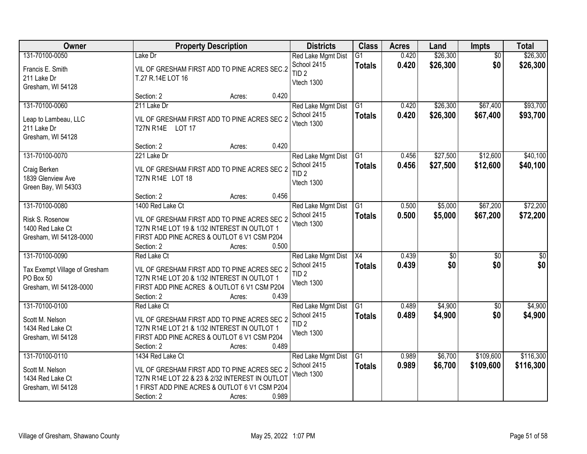| Owner                                                                                  | <b>Property Description</b>                                                                                                                                                                           | <b>Districts</b>                                                    | <b>Class</b>                     | <b>Acres</b>   | Land                   | <b>Impts</b>           | <b>Total</b>            |
|----------------------------------------------------------------------------------------|-------------------------------------------------------------------------------------------------------------------------------------------------------------------------------------------------------|---------------------------------------------------------------------|----------------------------------|----------------|------------------------|------------------------|-------------------------|
| 131-70100-0050<br>Francis E. Smith<br>211 Lake Dr<br>Gresham, WI 54128                 | Lake Dr<br>VIL OF GRESHAM FIRST ADD TO PINE ACRES SEC.2<br>T.27 R.14E LOT 16                                                                                                                          | Red Lake Mgmt Dist<br>School 2415<br>TID <sub>2</sub><br>Vtech 1300 | G1<br><b>Totals</b>              | 0.420<br>0.420 | \$26,300<br>\$26,300   | $\overline{50}$<br>\$0 | \$26,300<br>\$26,300    |
|                                                                                        | 0.420<br>Section: 2<br>Acres:                                                                                                                                                                         |                                                                     |                                  |                |                        |                        |                         |
| 131-70100-0060<br>Leap to Lambeau, LLC<br>211 Lake Dr<br>Gresham, WI 54128             | 211 Lake Dr<br>VIL OF GRESHAM FIRST ADD TO PINE ACRES SEC 2<br>T27N R14E LOT 17                                                                                                                       | Red Lake Mgmt Dist<br>School 2415<br>Vtech 1300                     | $\overline{G1}$<br><b>Totals</b> | 0.420<br>0.420 | \$26,300<br>\$26,300   | \$67,400<br>\$67,400   | \$93,700<br>\$93,700    |
|                                                                                        | 0.420<br>Section: 2<br>Acres:                                                                                                                                                                         |                                                                     |                                  |                |                        |                        |                         |
| 131-70100-0070<br>Craig Berken<br>1839 Glenview Ave<br>Green Bay, WI 54303             | 221 Lake Dr<br>VIL OF GRESHAM FIRST ADD TO PINE ACRES SEC 2<br>T27N R14E LOT 18                                                                                                                       | Red Lake Mgmt Dist<br>School 2415<br>TID <sub>2</sub><br>Vtech 1300 | $\overline{G1}$<br><b>Totals</b> | 0.456<br>0.456 | \$27,500<br>\$27,500   | \$12,600<br>\$12,600   | \$40,100<br>\$40,100    |
|                                                                                        | 0.456<br>Section: 2<br>Acres:                                                                                                                                                                         |                                                                     |                                  |                |                        |                        |                         |
| 131-70100-0080<br>Risk S. Rosenow<br>1400 Red Lake Ct<br>Gresham, WI 54128-0000        | 1400 Red Lake Ct<br>VIL OF GRESHAM FIRST ADD TO PINE ACRES SEC 2<br>T27N R14E LOT 19 & 1/32 INTEREST IN OUTLOT 1<br>FIRST ADD PINE ACRES & OUTLOT 6 V1 CSM P204<br>0.500<br>Section: 2<br>Acres:      | Red Lake Mgmt Dist<br>School 2415<br>Vtech 1300                     | G1<br><b>Totals</b>              | 0.500<br>0.500 | \$5,000<br>\$5,000     | \$67,200<br>\$67,200   | \$72,200<br>\$72,200    |
| 131-70100-0090<br>Tax Exempt Village of Gresham<br>PO Box 50<br>Gresham, WI 54128-0000 | Red Lake Ct<br>VIL OF GRESHAM FIRST ADD TO PINE ACRES SEC 2<br>T27N R14E LOT 20 & 1/32 INTEREST IN OUTLOT 1<br>FIRST ADD PINE ACRES & OUTLOT 6 V1 CSM P204<br>Section: 2<br>0.439<br>Acres:           | Red Lake Mgmt Dist<br>School 2415<br>TID <sub>2</sub><br>Vtech 1300 | $\overline{X4}$<br><b>Totals</b> | 0.439<br>0.439 | $\overline{30}$<br>\$0 | $\overline{30}$<br>\$0 | $\overline{\$0}$<br>\$0 |
| 131-70100-0100<br>Scott M. Nelson<br>1434 Red Lake Ct<br>Gresham, WI 54128             | Red Lake Ct<br>VIL OF GRESHAM FIRST ADD TO PINE ACRES SEC 2<br>T27N R14E LOT 21 & 1/32 INTEREST IN OUTLOT 1<br>FIRST ADD PINE ACRES & OUTLOT 6 V1 CSM P204<br>0.489<br>Section: 2<br>Acres:           | Red Lake Mgmt Dist<br>School 2415<br>TID <sub>2</sub><br>Vtech 1300 | G1<br><b>Totals</b>              | 0.489<br>0.489 | \$4,900<br>\$4,900     | $\sqrt{6}$<br>\$0      | \$4,900<br>\$4,900      |
| 131-70100-0110<br>Scott M. Nelson<br>1434 Red Lake Ct<br>Gresham, WI 54128             | 1434 Red Lake Ct<br>VIL OF GRESHAM FIRST ADD TO PINE ACRES SEC 2<br>T27N R14E LOT 22 & 23 & 2/32 INTEREST IN OUTLOT<br>1 FIRST ADD PINE ACRES & OUTLOT 6 V1 CSM P204<br>0.989<br>Section: 2<br>Acres: | Red Lake Mgmt Dist<br>School 2415<br>Vtech 1300                     | G1<br><b>Totals</b>              | 0.989<br>0.989 | \$6,700<br>\$6,700     | \$109,600<br>\$109,600 | \$116,300<br>\$116,300  |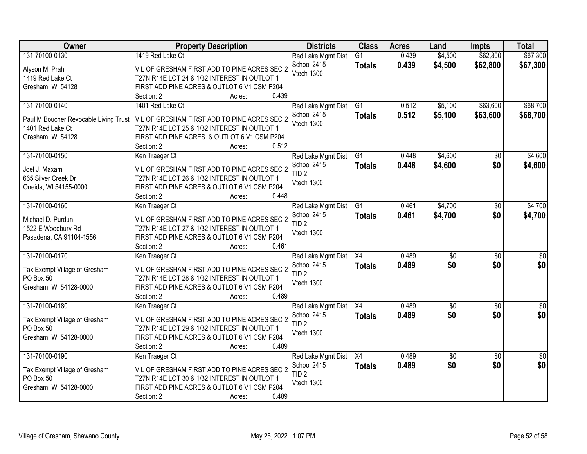| Owner                                 | <b>Property Description</b>                          | <b>Districts</b>                  | <b>Class</b>    | <b>Acres</b> | Land            | <b>Impts</b>    | <b>Total</b>    |
|---------------------------------------|------------------------------------------------------|-----------------------------------|-----------------|--------------|-----------------|-----------------|-----------------|
| 131-70100-0130                        | 1419 Red Lake Ct                                     | Red Lake Mgmt Dist                | $\overline{G1}$ | 0.439        | \$4,500         | \$62,800        | \$67,300        |
| Alyson M. Prahl                       | VIL OF GRESHAM FIRST ADD TO PINE ACRES SEC 2         | School 2415                       | <b>Totals</b>   | 0.439        | \$4,500         | \$62,800        | \$67,300        |
| 1419 Red Lake Ct                      | T27N R14E LOT 24 & 1/32 INTEREST IN OUTLOT 1         | Vtech 1300                        |                 |              |                 |                 |                 |
| Gresham, WI 54128                     | FIRST ADD PINE ACRES & OUTLOT 6 V1 CSM P204          |                                   |                 |              |                 |                 |                 |
|                                       | 0.439<br>Section: 2<br>Acres:                        |                                   |                 |              |                 |                 |                 |
| 131-70100-0140                        | 1401 Red Lake Ct                                     | Red Lake Mgmt Dist                | $\overline{G1}$ | 0.512        | \$5,100         | \$63,600        | \$68,700        |
|                                       |                                                      | School 2415                       | <b>Totals</b>   | 0.512        | \$5,100         | \$63,600        | \$68,700        |
| Paul M Boucher Revocable Living Trust | VIL OF GRESHAM FIRST ADD TO PINE ACRES SEC 2         | Vtech 1300                        |                 |              |                 |                 |                 |
| 1401 Red Lake Ct                      | T27N R14E LOT 25 & 1/32 INTEREST IN OUTLOT 1         |                                   |                 |              |                 |                 |                 |
| Gresham, WI 54128                     | FIRST ADD PINE ACRES & OUTLOT 6 V1 CSM P204<br>0.512 |                                   |                 |              |                 |                 |                 |
| 131-70100-0150                        | Section: 2<br>Acres:                                 |                                   | G1              | 0.448        | \$4,600         | $\overline{50}$ | \$4,600         |
|                                       | Ken Traeger Ct                                       | Red Lake Mgmt Dist<br>School 2415 |                 |              |                 |                 |                 |
| Joel J. Maxam                         | VIL OF GRESHAM FIRST ADD TO PINE ACRES SEC 2         | TID <sub>2</sub>                  | <b>Totals</b>   | 0.448        | \$4,600         | \$0             | \$4,600         |
| 665 Silver Creek Dr                   | T27N R14E LOT 26 & 1/32 INTEREST IN OUTLOT 1         | Vtech 1300                        |                 |              |                 |                 |                 |
| Oneida, WI 54155-0000                 | FIRST ADD PINE ACRES & OUTLOT 6 V1 CSM P204          |                                   |                 |              |                 |                 |                 |
|                                       | 0.448<br>Section: 2<br>Acres:                        |                                   |                 |              |                 |                 |                 |
| 131-70100-0160                        | Ken Traeger Ct                                       | Red Lake Mgmt Dist                | $\overline{G1}$ | 0.461        | \$4,700         | \$0             | \$4,700         |
| Michael D. Purdun                     | VIL OF GRESHAM FIRST ADD TO PINE ACRES SEC 2         | School 2415                       | <b>Totals</b>   | 0.461        | \$4,700         | \$0             | \$4,700         |
| 1522 E Woodbury Rd                    | T27N R14E LOT 27 & 1/32 INTEREST IN OUTLOT 1         | TID <sub>2</sub>                  |                 |              |                 |                 |                 |
| Pasadena, CA 91104-1556               | FIRST ADD PINE ACRES & OUTLOT 6 V1 CSM P204          | Vtech 1300                        |                 |              |                 |                 |                 |
|                                       | 0.461<br>Section: 2<br>Acres:                        |                                   |                 |              |                 |                 |                 |
| 131-70100-0170                        | Ken Traeger Ct                                       | Red Lake Mgmt Dist                | $\overline{X4}$ | 0.489        | $\overline{50}$ | $\overline{50}$ | \$0             |
|                                       |                                                      | School 2415                       |                 | 0.489        | \$0             | \$0             | \$0             |
| Tax Exempt Village of Gresham         | VIL OF GRESHAM FIRST ADD TO PINE ACRES SEC 2         | TID <sub>2</sub>                  | <b>Totals</b>   |              |                 |                 |                 |
| PO Box 50                             | T27N R14E LOT 28 & 1/32 INTEREST IN OUTLOT 1         | Vtech 1300                        |                 |              |                 |                 |                 |
| Gresham, WI 54128-0000                | FIRST ADD PINE ACRES & OUTLOT 6 V1 CSM P204          |                                   |                 |              |                 |                 |                 |
|                                       | 0.489<br>Section: 2<br>Acres:                        |                                   |                 |              |                 |                 |                 |
| 131-70100-0180                        | Ken Traeger Ct                                       | Red Lake Mgmt Dist                | $\overline{X4}$ | 0.489        | $\sqrt{50}$     | $\overline{50}$ | $\overline{50}$ |
| Tax Exempt Village of Gresham         | VIL OF GRESHAM FIRST ADD TO PINE ACRES SEC 2         | School 2415                       | <b>Totals</b>   | 0.489        | \$0             | \$0             | \$0             |
| PO Box 50                             | T27N R14E LOT 29 & 1/32 INTEREST IN OUTLOT 1         | TID <sub>2</sub>                  |                 |              |                 |                 |                 |
| Gresham, WI 54128-0000                | FIRST ADD PINE ACRES & OUTLOT 6 V1 CSM P204          | Vtech 1300                        |                 |              |                 |                 |                 |
|                                       | 0.489<br>Section: 2<br>Acres:                        |                                   |                 |              |                 |                 |                 |
| 131-70100-0190                        | Ken Traeger Ct                                       | Red Lake Mgmt Dist                | X4              | 0.489        | \$0             | $\overline{50}$ | $\overline{50}$ |
|                                       |                                                      | School 2415                       | <b>Totals</b>   | 0.489        | \$0             | \$0             | \$0             |
| Tax Exempt Village of Gresham         | VIL OF GRESHAM FIRST ADD TO PINE ACRES SEC 2         | TID <sub>2</sub>                  |                 |              |                 |                 |                 |
| PO Box 50                             | T27N R14E LOT 30 & 1/32 INTEREST IN OUTLOT 1         | Vtech 1300                        |                 |              |                 |                 |                 |
| Gresham, WI 54128-0000                | FIRST ADD PINE ACRES & OUTLOT 6 V1 CSM P204          |                                   |                 |              |                 |                 |                 |
|                                       | 0.489<br>Section: 2<br>Acres:                        |                                   |                 |              |                 |                 |                 |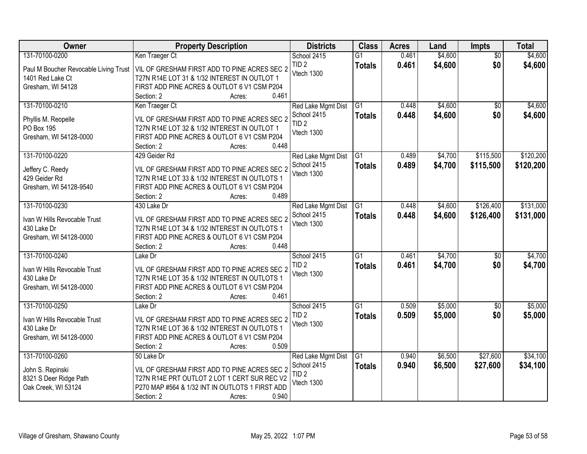| <b>Owner</b>                             | <b>Property Description</b>                     | <b>Districts</b>          | <b>Class</b>    | <b>Acres</b> | Land    | <b>Impts</b>    | <b>Total</b> |
|------------------------------------------|-------------------------------------------------|---------------------------|-----------------|--------------|---------|-----------------|--------------|
| 131-70100-0200                           | Ken Traeger Ct                                  | School 2415               | $\overline{G1}$ | 0.461        | \$4,600 | $\overline{50}$ | \$4,600      |
| Paul M Boucher Revocable Living Trust    | VIL OF GRESHAM FIRST ADD TO PINE ACRES SEC 2    | TID <sub>2</sub>          | <b>Totals</b>   | 0.461        | \$4,600 | \$0             | \$4,600      |
| 1401 Red Lake Ct                         | T27N R14E LOT 31 & 1/32 INTEREST IN OUTLOT 1    | Vtech 1300                |                 |              |         |                 |              |
| Gresham, WI 54128                        | FIRST ADD PINE ACRES & OUTLOT 6 V1 CSM P204     |                           |                 |              |         |                 |              |
|                                          | 0.461<br>Section: 2<br>Acres:                   |                           |                 |              |         |                 |              |
| 131-70100-0210                           | Ken Traeger Ct                                  | Red Lake Mgmt Dist        | $\overline{G1}$ | 0.448        | \$4,600 | $\overline{30}$ | \$4,600      |
|                                          | VIL OF GRESHAM FIRST ADD TO PINE ACRES SEC 2    | School 2415               | <b>Totals</b>   | 0.448        | \$4,600 | \$0             | \$4,600      |
| Phyllis M. Reopelle<br><b>PO Box 195</b> | T27N R14E LOT 32 & 1/32 INTEREST IN OUTLOT 1    | TID <sub>2</sub>          |                 |              |         |                 |              |
| Gresham, WI 54128-0000                   | FIRST ADD PINE ACRES & OUTLOT 6 V1 CSM P204     | Vtech 1300                |                 |              |         |                 |              |
|                                          | 0.448<br>Section: 2<br>Acres:                   |                           |                 |              |         |                 |              |
| 131-70100-0220                           | 429 Geider Rd                                   | Red Lake Mgmt Dist        | G <sub>1</sub>  | 0.489        | \$4,700 | \$115,500       | \$120,200    |
|                                          |                                                 | School 2415               | <b>Totals</b>   | 0.489        | \$4,700 | \$115,500       | \$120,200    |
| Jeffery C. Reedy                         | VIL OF GRESHAM FIRST ADD TO PINE ACRES SEC 2    | Vtech 1300                |                 |              |         |                 |              |
| 429 Geider Rd                            | T27N R14E LOT 33 & 1/32 INTEREST IN OUTLOTS 1   |                           |                 |              |         |                 |              |
| Gresham, WI 54128-9540                   | FIRST ADD PINE ACRES & OUTLOT 6 V1 CSM P204     |                           |                 |              |         |                 |              |
|                                          | 0.489<br>Section: 2<br>Acres:                   |                           |                 |              |         |                 |              |
| 131-70100-0230                           | 430 Lake Dr                                     | Red Lake Mgmt Dist        | G1              | 0.448        | \$4,600 | \$126,400       | \$131,000    |
| Ivan W Hills Revocable Trust             | VIL OF GRESHAM FIRST ADD TO PINE ACRES SEC 2    | School 2415<br>Vtech 1300 | <b>Totals</b>   | 0.448        | \$4,600 | \$126,400       | \$131,000    |
| 430 Lake Dr                              | T27N R14E LOT 34 & 1/32 INTEREST IN OUTLOTS 1   |                           |                 |              |         |                 |              |
| Gresham, WI 54128-0000                   | FIRST ADD PINE ACRES & OUTLOT 6 V1 CSM P204     |                           |                 |              |         |                 |              |
|                                          | 0.448<br>Section: 2<br>Acres:                   |                           |                 |              |         |                 |              |
| 131-70100-0240                           | Lake Dr                                         | School 2415               | $\overline{G1}$ | 0.461        | \$4,700 | $\overline{50}$ | \$4,700      |
| Ivan W Hills Revocable Trust             | VIL OF GRESHAM FIRST ADD TO PINE ACRES SEC 2    | TID <sub>2</sub>          | <b>Totals</b>   | 0.461        | \$4,700 | \$0             | \$4,700      |
| 430 Lake Dr                              | T27N R14E LOT 35 & 1/32 INTEREST IN OUTLOTS 1   | Vtech 1300                |                 |              |         |                 |              |
| Gresham, WI 54128-0000                   | FIRST ADD PINE ACRES & OUTLOT 6 V1 CSM P204     |                           |                 |              |         |                 |              |
|                                          | 0.461<br>Section: 2<br>Acres:                   |                           |                 |              |         |                 |              |
| 131-70100-0250                           | Lake Dr                                         | School 2415               | $\overline{G1}$ | 0.509        | \$5,000 | \$0             | \$5,000      |
| Ivan W Hills Revocable Trust             | VIL OF GRESHAM FIRST ADD TO PINE ACRES SEC 2    | TID <sub>2</sub>          | <b>Totals</b>   | 0.509        | \$5,000 | \$0             | \$5,000      |
| 430 Lake Dr                              | T27N R14E LOT 36 & 1/32 INTEREST IN OUTLOTS 1   | Vtech 1300                |                 |              |         |                 |              |
| Gresham, WI 54128-0000                   | FIRST ADD PINE ACRES & OUTLOT 6 V1 CSM P204     |                           |                 |              |         |                 |              |
|                                          | 0.509<br>Section: 2<br>Acres:                   |                           |                 |              |         |                 |              |
| 131-70100-0260                           | 50 Lake Dr                                      | Red Lake Mgmt Dist        | G1              | 0.940        | \$6,500 | \$27,600        | \$34,100     |
|                                          |                                                 | School 2415               | <b>Totals</b>   | 0.940        | \$6,500 | \$27,600        | \$34,100     |
| John S. Repinski                         | VIL OF GRESHAM FIRST ADD TO PINE ACRES SEC 2    | TID <sub>2</sub>          |                 |              |         |                 |              |
| 8321 S Deer Ridge Path                   | T27N R14E PRT OUTLOT 2 LOT 1 CERT SUR REC V2    | Vtech 1300                |                 |              |         |                 |              |
| Oak Creek, WI 53124                      | P270 MAP #564 & 1/32 INT IN OUTLOTS 1 FIRST ADD |                           |                 |              |         |                 |              |
|                                          | 0.940<br>Section: 2<br>Acres:                   |                           |                 |              |         |                 |              |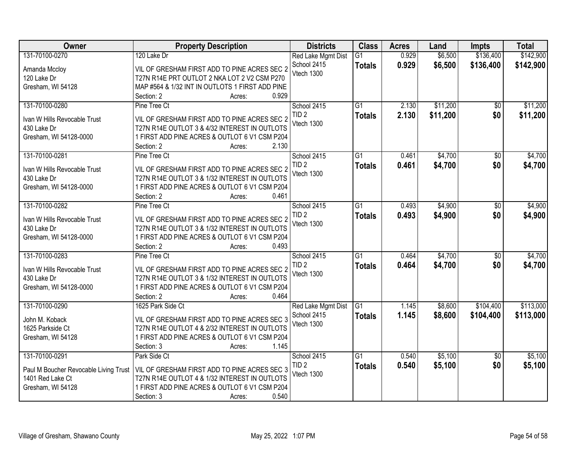| <b>Owner</b>                          | <b>Property Description</b>                                                                    | <b>Districts</b>                  | <b>Class</b>    | <b>Acres</b> | Land     | <b>Impts</b>    | <b>Total</b> |
|---------------------------------------|------------------------------------------------------------------------------------------------|-----------------------------------|-----------------|--------------|----------|-----------------|--------------|
| 131-70100-0270                        | 120 Lake Dr                                                                                    | Red Lake Mgmt Dist                | $\overline{G1}$ | 0.929        | \$6,500  | \$136,400       | \$142,900    |
| Amanda Mccloy                         | VIL OF GRESHAM FIRST ADD TO PINE ACRES SEC 2                                                   | School 2415                       | <b>Totals</b>   | 0.929        | \$6,500  | \$136,400       | \$142,900    |
| 120 Lake Dr                           | T27N R14E PRT OUTLOT 2 NKA LOT 2 V2 CSM P270                                                   | Vtech 1300                        |                 |              |          |                 |              |
| Gresham, WI 54128                     | MAP #564 & 1/32 INT IN OUTLOTS 1 FIRST ADD PINE                                                |                                   |                 |              |          |                 |              |
|                                       | 0.929<br>Section: 2<br>Acres:                                                                  |                                   |                 |              |          |                 |              |
| 131-70100-0280                        | Pine Tree Ct                                                                                   | School 2415                       | $\overline{G1}$ | 2.130        | \$11,200 | \$0             | \$11,200     |
|                                       |                                                                                                | TID <sub>2</sub>                  | <b>Totals</b>   | 2.130        | \$11,200 | \$0             | \$11,200     |
| Ivan W Hills Revocable Trust          | VIL OF GRESHAM FIRST ADD TO PINE ACRES SEC 2                                                   | Vtech 1300                        |                 |              |          |                 |              |
| 430 Lake Dr                           | T27N R14E OUTLOT 3 & 4/32 INTEREST IN OUTLOTS<br>1 FIRST ADD PINE ACRES & OUTLOT 6 V1 CSM P204 |                                   |                 |              |          |                 |              |
| Gresham, WI 54128-0000                | 2.130<br>Section: 2<br>Acres:                                                                  |                                   |                 |              |          |                 |              |
| 131-70100-0281                        | Pine Tree Ct                                                                                   | School 2415                       | $\overline{G1}$ | 0.461        | \$4,700  | $\overline{50}$ | \$4,700      |
|                                       |                                                                                                | TID <sub>2</sub>                  |                 | 0.461        | \$4,700  | \$0             | \$4,700      |
| Ivan W Hills Revocable Trust          | VIL OF GRESHAM FIRST ADD TO PINE ACRES SEC 2                                                   | Vtech 1300                        | <b>Totals</b>   |              |          |                 |              |
| 430 Lake Dr                           | T27N R14E OUTLOT 3 & 1/32 INTEREST IN OUTLOTS                                                  |                                   |                 |              |          |                 |              |
| Gresham, WI 54128-0000                | 1 FIRST ADD PINE ACRES & OUTLOT 6 V1 CSM P204                                                  |                                   |                 |              |          |                 |              |
|                                       | 0.461<br>Section: 2<br>Acres:                                                                  |                                   |                 |              |          |                 |              |
| 131-70100-0282                        | Pine Tree Ct                                                                                   | School 2415                       | G1              | 0.493        | \$4,900  | \$0             | \$4,900      |
| Ivan W Hills Revocable Trust          | VIL OF GRESHAM FIRST ADD TO PINE ACRES SEC 2                                                   | TID <sub>2</sub>                  | <b>Totals</b>   | 0.493        | \$4,900  | \$0             | \$4,900      |
| 430 Lake Dr                           | T27N R14E OUTLOT 3 & 1/32 INTEREST IN OUTLOTS                                                  | Vtech 1300                        |                 |              |          |                 |              |
| Gresham, WI 54128-0000                | 1 FIRST ADD PINE ACRES & OUTLOT 6 V1 CSM P204                                                  |                                   |                 |              |          |                 |              |
|                                       | 0.493<br>Section: 2<br>Acres:                                                                  |                                   |                 |              |          |                 |              |
| 131-70100-0283                        | Pine Tree Ct                                                                                   | School 2415                       | $\overline{G1}$ | 0.464        | \$4,700  | $\overline{50}$ | \$4,700      |
|                                       |                                                                                                | TID <sub>2</sub>                  | <b>Totals</b>   | 0.464        | \$4,700  | \$0             | \$4,700      |
| Ivan W Hills Revocable Trust          | VIL OF GRESHAM FIRST ADD TO PINE ACRES SEC 2                                                   | Vtech 1300                        |                 |              |          |                 |              |
| 430 Lake Dr                           | T27N R14E OUTLOT 3 & 1/32 INTEREST IN OUTLOTS                                                  |                                   |                 |              |          |                 |              |
| Gresham, WI 54128-0000                | 1 FIRST ADD PINE ACRES & OUTLOT 6 V1 CSM P204<br>0.464                                         |                                   |                 |              |          |                 |              |
|                                       | Section: 2<br>Acres:                                                                           |                                   |                 |              |          |                 |              |
| 131-70100-0290                        | 1625 Park Side Ct                                                                              | Red Lake Mgmt Dist<br>School 2415 | G1              | 1.145        | \$8,600  | \$104,400       | \$113,000    |
| John M. Koback                        | VIL OF GRESHAM FIRST ADD TO PINE ACRES SEC 3                                                   | Vtech 1300                        | <b>Totals</b>   | 1.145        | \$8,600  | \$104,400       | \$113,000    |
| 1625 Parkside Ct                      | T27N R14E OUTLOT 4 & 2/32 INTEREST IN OUTLOTS                                                  |                                   |                 |              |          |                 |              |
| Gresham, WI 54128                     | 1 FIRST ADD PINE ACRES & OUTLOT 6 V1 CSM P204                                                  |                                   |                 |              |          |                 |              |
|                                       | 1.145<br>Section: 3<br>Acres:                                                                  |                                   |                 |              |          |                 |              |
| 131-70100-0291                        | Park Side Ct                                                                                   | School 2415                       | $\overline{G1}$ | 0.540        | \$5,100  | $\overline{30}$ | \$5,100      |
| Paul M Boucher Revocable Living Trust | VIL OF GRESHAM FIRST ADD TO PINE ACRES SEC 3                                                   | TID <sub>2</sub>                  | <b>Totals</b>   | 0.540        | \$5,100  | \$0             | \$5,100      |
| 1401 Red Lake Ct                      | T27N R14E OUTLOT 4 & 1/32 INTEREST IN OUTLOTS                                                  | Vtech 1300                        |                 |              |          |                 |              |
| Gresham, WI 54128                     | 1 FIRST ADD PINE ACRES & OUTLOT 6 V1 CSM P204                                                  |                                   |                 |              |          |                 |              |
|                                       | 0.540<br>Section: 3<br>Acres:                                                                  |                                   |                 |              |          |                 |              |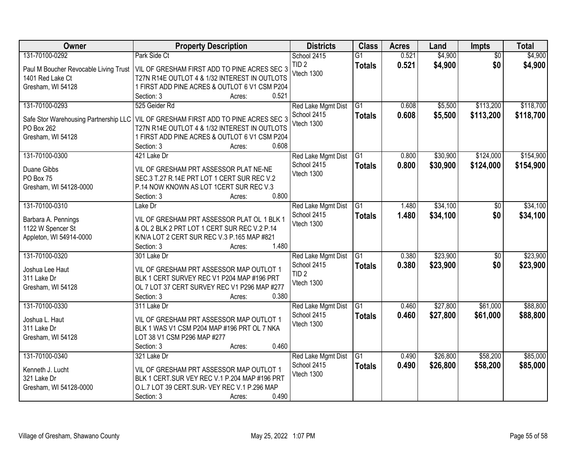| Owner                                               | <b>Property Description</b>                                                             | <b>Districts</b>          | <b>Class</b>    | <b>Acres</b> | Land     | Impts           | <b>Total</b> |
|-----------------------------------------------------|-----------------------------------------------------------------------------------------|---------------------------|-----------------|--------------|----------|-----------------|--------------|
| 131-70100-0292                                      | Park Side Ct                                                                            | School 2415               | $\overline{G1}$ | 0.521        | \$4,900  | $\overline{50}$ | \$4,900      |
| Paul M Boucher Revocable Living Trust               | VIL OF GRESHAM FIRST ADD TO PINE ACRES SEC 3                                            | TID <sub>2</sub>          | <b>Totals</b>   | 0.521        | \$4,900  | \$0             | \$4,900      |
| 1401 Red Lake Ct                                    | T27N R14E OUTLOT 4 & 1/32 INTEREST IN OUTLOTS                                           | Vtech 1300                |                 |              |          |                 |              |
| Gresham, WI 54128                                   | 1 FIRST ADD PINE ACRES & OUTLOT 6 V1 CSM P204                                           |                           |                 |              |          |                 |              |
|                                                     | 0.521<br>Section: 3<br>Acres:                                                           |                           |                 |              |          |                 |              |
| 131-70100-0293                                      | 525 Geider Rd                                                                           | Red Lake Mgmt Dist        | $\overline{G1}$ | 0.608        | \$5,500  | \$113,200       | \$118,700    |
|                                                     | VIL OF GRESHAM FIRST ADD TO PINE ACRES SEC 3                                            | School 2415               | <b>Totals</b>   | 0.608        | \$5,500  | \$113,200       | \$118,700    |
| Safe Stor Warehousing Partnership LLC<br>PO Box 262 | T27N R14E OUTLOT 4 & 1/32 INTEREST IN OUTLOTS                                           | Vtech 1300                |                 |              |          |                 |              |
| Gresham, WI 54128                                   | 1 FIRST ADD PINE ACRES & OUTLOT 6 V1 CSM P204                                           |                           |                 |              |          |                 |              |
|                                                     | 0.608<br>Section: 3<br>Acres:                                                           |                           |                 |              |          |                 |              |
| 131-70100-0300                                      | 421 Lake Dr                                                                             | Red Lake Mgmt Dist        | $\overline{G1}$ | 0.800        | \$30,900 | \$124,000       | \$154,900    |
|                                                     |                                                                                         | School 2415               | <b>Totals</b>   | 0.800        | \$30,900 | \$124,000       | \$154,900    |
| Duane Gibbs                                         | VIL OF GRESHAM PRT ASSESSOR PLAT NE-NE                                                  | Vtech 1300                |                 |              |          |                 |              |
| PO Box 75                                           | SEC.3 T.27 R.14E PRT LOT 1 CERT SUR REC V.2                                             |                           |                 |              |          |                 |              |
| Gresham, WI 54128-0000                              | P.14 NOW KNOWN AS LOT 1CERT SUR REC V.3                                                 |                           |                 |              |          |                 |              |
| 131-70100-0310                                      | 0.800<br>Section: 3<br>Acres:                                                           |                           |                 |              |          |                 |              |
|                                                     | Lake Dr                                                                                 | Red Lake Mgmt Dist        | $\overline{G1}$ | 1.480        | \$34,100 | \$0             | \$34,100     |
| Barbara A. Pennings                                 | VIL OF GRESHAM PRT ASSESSOR PLAT OL 1 BLK 1                                             | School 2415<br>Vtech 1300 | <b>Totals</b>   | 1.480        | \$34,100 | \$0             | \$34,100     |
| 1122 W Spencer St                                   | & OL 2 BLK 2 PRT LOT 1 CERT SUR REC V.2 P.14                                            |                           |                 |              |          |                 |              |
| Appleton, WI 54914-0000                             | K/N/A LOT 2 CERT SUR REC V.3 P.165 MAP #821                                             |                           |                 |              |          |                 |              |
|                                                     | 1.480<br>Section: 3<br>Acres:                                                           |                           |                 |              |          |                 |              |
| 131-70100-0320                                      | 301 Lake Dr                                                                             | Red Lake Mgmt Dist        | $\overline{G1}$ | 0.380        | \$23,900 | \$0             | \$23,900     |
| Joshua Lee Haut                                     | VIL OF GRESHAM PRT ASSESSOR MAP OUTLOT 1                                                | School 2415               | <b>Totals</b>   | 0.380        | \$23,900 | \$0             | \$23,900     |
| 311 Lake Dr                                         | BLK 1 CERT SURVEY REC V1 P204 MAP #196 PRT                                              | TID <sub>2</sub>          |                 |              |          |                 |              |
| Gresham, WI 54128                                   | OL 7 LOT 37 CERT SURVEY REC V1 P296 MAP #277                                            | Vtech 1300                |                 |              |          |                 |              |
|                                                     | Section: 3<br>0.380<br>Acres:                                                           |                           |                 |              |          |                 |              |
| 131-70100-0330                                      | 311 Lake Dr                                                                             | Red Lake Mgmt Dist        | G1              | 0.460        | \$27,800 | \$61,000        | \$88,800     |
|                                                     |                                                                                         | School 2415               | <b>Totals</b>   | 0.460        | \$27,800 | \$61,000        | \$88,800     |
| Joshua L. Haut                                      | VIL OF GRESHAM PRT ASSESSOR MAP OUTLOT 1<br>BLK 1 WAS V1 CSM P204 MAP #196 PRT OL 7 NKA | Vtech 1300                |                 |              |          |                 |              |
| 311 Lake Dr<br>Gresham, WI 54128                    | LOT 38 V1 CSM P296 MAP #277                                                             |                           |                 |              |          |                 |              |
|                                                     | 0.460<br>Section: 3<br>Acres:                                                           |                           |                 |              |          |                 |              |
| 131-70100-0340                                      | 321 Lake Dr                                                                             | Red Lake Mgmt Dist        | $\overline{G1}$ | 0.490        | \$26,800 | \$58,200        | \$85,000     |
|                                                     |                                                                                         | School 2415               | <b>Totals</b>   | 0.490        | \$26,800 | \$58,200        | \$85,000     |
| Kenneth J. Lucht                                    | VIL OF GRESHAM PRT ASSESSOR MAP OUTLOT 1                                                | Vtech 1300                |                 |              |          |                 |              |
| 321 Lake Dr                                         | BLK 1 CERT.SUR VEY REC V.1 P.204 MAP #196 PRT                                           |                           |                 |              |          |                 |              |
| Gresham, WI 54128-0000                              | O.L.7 LOT 39 CERT.SUR- VEY REC V.1 P.296 MAP                                            |                           |                 |              |          |                 |              |
|                                                     | 0.490<br>Section: 3<br>Acres:                                                           |                           |                 |              |          |                 |              |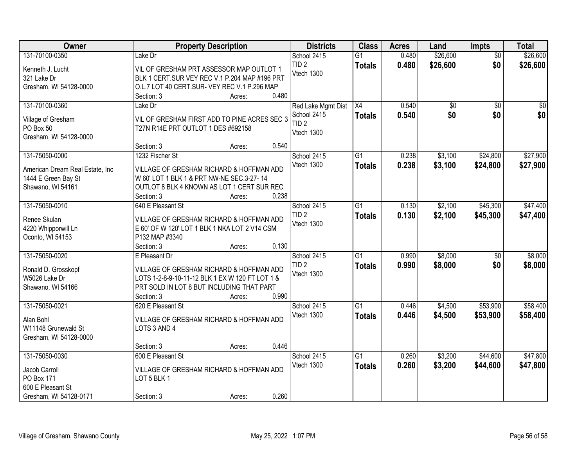| Owner                                   | <b>Property Description</b>                                     | <b>Districts</b>   | <b>Class</b>    | <b>Acres</b> | Land            | <b>Impts</b>    | <b>Total</b> |
|-----------------------------------------|-----------------------------------------------------------------|--------------------|-----------------|--------------|-----------------|-----------------|--------------|
| 131-70100-0350                          | Lake Dr                                                         | School 2415        | $\overline{G1}$ | 0.480        | \$26,600        | $\overline{50}$ | \$26,600     |
| Kenneth J. Lucht                        | VIL OF GRESHAM PRT ASSESSOR MAP OUTLOT 1                        | TID <sub>2</sub>   | <b>Totals</b>   | 0.480        | \$26,600        | \$0             | \$26,600     |
| 321 Lake Dr                             | BLK 1 CERT.SUR VEY REC V.1 P.204 MAP #196 PRT                   | Vtech 1300         |                 |              |                 |                 |              |
| Gresham, WI 54128-0000                  | O.L.7 LOT 40 CERT.SUR- VEY REC V.1 P.296 MAP                    |                    |                 |              |                 |                 |              |
|                                         | 0.480<br>Section: 3<br>Acres:                                   |                    |                 |              |                 |                 |              |
| 131-70100-0360                          | Lake Dr                                                         | Red Lake Mgmt Dist | $\overline{X4}$ | 0.540        | $\overline{50}$ | $\overline{50}$ | \$0          |
|                                         |                                                                 | School 2415        | <b>Totals</b>   | 0.540        | \$0             | \$0             | \$0          |
| Village of Gresham                      | VIL OF GRESHAM FIRST ADD TO PINE ACRES SEC 3                    | TID <sub>2</sub>   |                 |              |                 |                 |              |
| PO Box 50                               | T27N R14E PRT OUTLOT 1 DES #692158                              | Vtech 1300         |                 |              |                 |                 |              |
| Gresham, WI 54128-0000                  | 0.540                                                           |                    |                 |              |                 |                 |              |
|                                         | Section: 3<br>Acres:                                            |                    |                 |              |                 |                 |              |
| 131-75050-0000                          | 1232 Fischer St                                                 | School 2415        | G1              | 0.238        | \$3,100         | \$24,800        | \$27,900     |
| American Dream Real Estate, Inc         | VILLAGE OF GRESHAM RICHARD & HOFFMAN ADD                        | Vtech 1300         | <b>Totals</b>   | 0.238        | \$3,100         | \$24,800        | \$27,900     |
| 1444 E Green Bay St                     | W 60' LOT 1 BLK 1 & PRT NW-NE SEC.3-27-14                       |                    |                 |              |                 |                 |              |
| Shawano, WI 54161                       | OUTLOT 8 BLK 4 KNOWN AS LOT 1 CERT SUR REC                      |                    |                 |              |                 |                 |              |
|                                         | 0.238<br>Section: 3<br>Acres:                                   |                    |                 |              |                 |                 |              |
| 131-75050-0010                          | 640 E Pleasant St                                               | School 2415        | $\overline{G1}$ | 0.130        | \$2,100         | \$45,300        | \$47,400     |
|                                         |                                                                 | TID <sub>2</sub>   | <b>Totals</b>   | 0.130        | \$2,100         | \$45,300        | \$47,400     |
| Renee Skulan                            | VILLAGE OF GRESHAM RICHARD & HOFFMAN ADD                        | Vtech 1300         |                 |              |                 |                 |              |
| 4220 Whipporwill Ln<br>Oconto, WI 54153 | E 60' OF W 120' LOT 1 BLK 1 NKA LOT 2 V14 CSM<br>P132 MAP #3340 |                    |                 |              |                 |                 |              |
|                                         | 0.130<br>Section: 3                                             |                    |                 |              |                 |                 |              |
| 131-75050-0020                          | Acres:<br>E Pleasant Dr                                         | School 2415        | $\overline{G1}$ | 0.990        | \$8,000         | $\overline{50}$ | \$8,000      |
|                                         |                                                                 | TID <sub>2</sub>   |                 |              |                 |                 |              |
| Ronald D. Grosskopf                     | VILLAGE OF GRESHAM RICHARD & HOFFMAN ADD                        | Vtech 1300         | <b>Totals</b>   | 0.990        | \$8,000         | \$0             | \$8,000      |
| W5026 Lake Dr                           | LOTS 1-2-8-9-10-11-12 BLK 1 EX W 120 FT LOT 1 &                 |                    |                 |              |                 |                 |              |
| Shawano, WI 54166                       | PRT SOLD IN LOT 8 BUT INCLUDING THAT PART                       |                    |                 |              |                 |                 |              |
|                                         | Section: 3<br>0.990<br>Acres:                                   |                    |                 |              |                 |                 |              |
| 131-75050-0021                          | 620 E Pleasant St                                               | School 2415        | $\overline{G1}$ | 0.446        | \$4,500         | \$53,900        | \$58,400     |
| Alan Bohl                               | VILLAGE OF GRESHAM RICHARD & HOFFMAN ADD                        | Vtech 1300         | <b>Totals</b>   | 0.446        | \$4,500         | \$53,900        | \$58,400     |
| W11148 Grunewald St                     | LOTS 3 AND 4                                                    |                    |                 |              |                 |                 |              |
| Gresham, WI 54128-0000                  |                                                                 |                    |                 |              |                 |                 |              |
|                                         | 0.446<br>Section: 3<br>Acres:                                   |                    |                 |              |                 |                 |              |
| 131-75050-0030                          | 600 E Pleasant St                                               | School 2415        | $\overline{G1}$ | 0.260        | \$3,200         | \$44,600        | \$47,800     |
|                                         |                                                                 | Vtech 1300         | <b>Totals</b>   | 0.260        | \$3,200         | \$44,600        | \$47,800     |
| Jacob Carroll                           | VILLAGE OF GRESHAM RICHARD & HOFFMAN ADD                        |                    |                 |              |                 |                 |              |
| PO Box 171                              | LOT 5 BLK 1                                                     |                    |                 |              |                 |                 |              |
| 600 E Pleasant St                       |                                                                 |                    |                 |              |                 |                 |              |
| Gresham, WI 54128-0171                  | 0.260<br>Section: 3<br>Acres:                                   |                    |                 |              |                 |                 |              |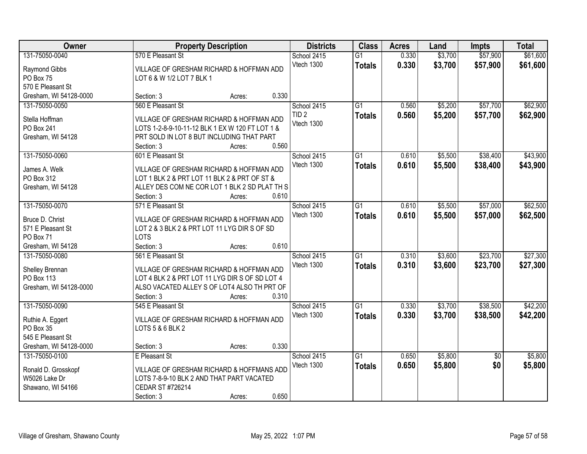| Owner                          |                           | <b>Property Description</b>                     |       |                  | <b>Class</b>    | <b>Acres</b> | Land    | <b>Impts</b>    | <b>Total</b> |
|--------------------------------|---------------------------|-------------------------------------------------|-------|------------------|-----------------|--------------|---------|-----------------|--------------|
| 131-75050-0040                 | 570 E Pleasant St         |                                                 |       | School 2415      | $\overline{G1}$ | 0.330        | \$3,700 | \$57,900        | \$61,600     |
| Raymond Gibbs                  |                           | VILLAGE OF GRESHAM RICHARD & HOFFMAN ADD        |       | Vtech 1300       | <b>Totals</b>   | 0.330        | \$3,700 | \$57,900        | \$61,600     |
| PO Box 75                      | LOT 6 & W 1/2 LOT 7 BLK 1 |                                                 |       |                  |                 |              |         |                 |              |
| 570 E Pleasant St              |                           |                                                 |       |                  |                 |              |         |                 |              |
| Gresham, WI 54128-0000         | Section: 3                | Acres:                                          | 0.330 |                  |                 |              |         |                 |              |
| 131-75050-0050                 | 560 E Pleasant St         |                                                 |       | School 2415      | $\overline{G1}$ | 0.560        | \$5,200 | \$57,700        | \$62,900     |
|                                |                           |                                                 |       | TID <sub>2</sub> | <b>Totals</b>   | 0.560        | \$5,200 | \$57,700        | \$62,900     |
| Stella Hoffman                 |                           | VILLAGE OF GRESHAM RICHARD & HOFFMAN ADD        |       | Vtech 1300       |                 |              |         |                 |              |
| PO Box 241                     |                           | LOTS 1-2-8-9-10-11-12 BLK 1 EX W 120 FT LOT 1 & |       |                  |                 |              |         |                 |              |
| Gresham, WI 54128              |                           | PRT SOLD IN LOT 8 BUT INCLUDING THAT PART       | 0.560 |                  |                 |              |         |                 |              |
|                                | Section: 3                | Acres:                                          |       |                  |                 |              |         |                 |              |
| 131-75050-0060                 | 601 E Pleasant St         |                                                 |       | School 2415      | $\overline{G1}$ | 0.610        | \$5,500 | \$38,400        | \$43,900     |
| James A. Welk                  |                           | VILLAGE OF GRESHAM RICHARD & HOFFMAN ADD        |       | Vtech 1300       | <b>Totals</b>   | 0.610        | \$5,500 | \$38,400        | \$43,900     |
| PO Box 312                     |                           | LOT 1 BLK 2 & PRT LOT 11 BLK 2 & PRT OF ST &    |       |                  |                 |              |         |                 |              |
| Gresham, WI 54128              |                           | ALLEY DES COM NE COR LOT 1 BLK 2 SD PLAT TH S   |       |                  |                 |              |         |                 |              |
|                                | Section: 3                | Acres:                                          | 0.610 |                  |                 |              |         |                 |              |
| 131-75050-0070                 | 571 E Pleasant St         |                                                 |       | School 2415      | $\overline{G1}$ | 0.610        | \$5,500 | \$57,000        | \$62,500     |
|                                |                           |                                                 |       | Vtech 1300       | <b>Totals</b>   | 0.610        | \$5,500 | \$57,000        | \$62,500     |
| Bruce D. Christ                |                           | VILLAGE OF GRESHAM RICHARD & HOFFMAN ADD        |       |                  |                 |              |         |                 |              |
| 571 E Pleasant St<br>PO Box 71 | <b>LOTS</b>               | LOT 2 & 3 BLK 2 & PRT LOT 11 LYG DIR S OF SD    |       |                  |                 |              |         |                 |              |
| Gresham, WI 54128              | Section: 3                |                                                 | 0.610 |                  |                 |              |         |                 |              |
| 131-75050-0080                 | 561 E Pleasant St         | Acres:                                          |       |                  | $\overline{G1}$ | 0.310        | \$3,600 | \$23,700        |              |
|                                |                           |                                                 |       | School 2415      |                 |              |         |                 | \$27,300     |
| Shelley Brennan                |                           | VILLAGE OF GRESHAM RICHARD & HOFFMAN ADD        |       | Vtech 1300       | Totals          | 0.310        | \$3,600 | \$23,700        | \$27,300     |
| <b>PO Box 113</b>              |                           | LOT 4 BLK 2 & PRT LOT 11 LYG DIR S OF SD LOT 4  |       |                  |                 |              |         |                 |              |
| Gresham, WI 54128-0000         |                           | ALSO VACATED ALLEY S OF LOT4 ALSO TH PRT OF     |       |                  |                 |              |         |                 |              |
|                                | Section: 3                | Acres:                                          | 0.310 |                  |                 |              |         |                 |              |
| 131-75050-0090                 | 545 E Pleasant St         |                                                 |       | School 2415      | $\overline{G1}$ | 0.330        | \$3,700 | \$38,500        | \$42,200     |
|                                |                           | VILLAGE OF GRESHAM RICHARD & HOFFMAN ADD        |       | Vtech 1300       | <b>Totals</b>   | 0.330        | \$3,700 | \$38,500        | \$42,200     |
| Ruthie A. Eggert<br>PO Box 35  | LOTS 5 & 6 BLK 2          |                                                 |       |                  |                 |              |         |                 |              |
| 545 E Pleasant St              |                           |                                                 |       |                  |                 |              |         |                 |              |
| Gresham, WI 54128-0000         | Section: 3                | Acres:                                          | 0.330 |                  |                 |              |         |                 |              |
| 131-75050-0100                 | E Pleasant St             |                                                 |       | School 2415      | $\overline{G1}$ | 0.650        | \$5,800 | $\overline{50}$ | \$5,800      |
|                                |                           |                                                 |       | Vtech 1300       |                 |              |         | \$0             |              |
| Ronald D. Grosskopf            |                           | VILLAGE OF GRESHAM RICHARD & HOFFMANS ADD       |       |                  | <b>Totals</b>   | 0.650        | \$5,800 |                 | \$5,800      |
| W5026 Lake Dr                  |                           | LOTS 7-8-9-10 BLK 2 AND THAT PART VACATED       |       |                  |                 |              |         |                 |              |
| Shawano, WI 54166              | CEDAR ST #726214          |                                                 |       |                  |                 |              |         |                 |              |
|                                | Section: 3                | Acres:                                          | 0.650 |                  |                 |              |         |                 |              |